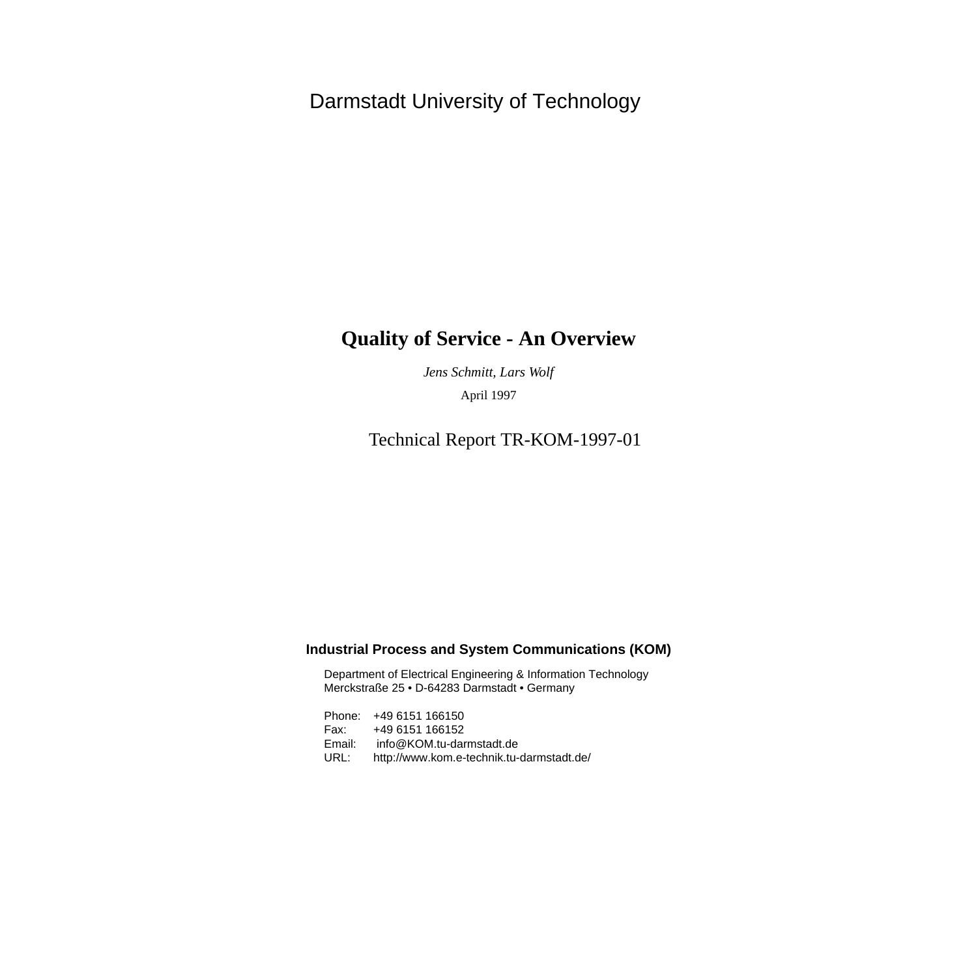# Darmstadt University of Technology

# **Quality of Service - An Overview**

*Jens Schmitt, Lars Wolf* April 1997

Technical Report TR-KOM-1997-01

#### **Industrial Process and System Communications (KOM)**

Department of Electrical Engineering & Information Technology Merckstraße 25 • D-64283 Darmstadt • Germany

Phone: +49 6151 166150 Fax: +49 6151 166152 Email: info@KOM.tu-darmstadt.de URL: http://www.kom.e-technik.tu-darmstadt.de/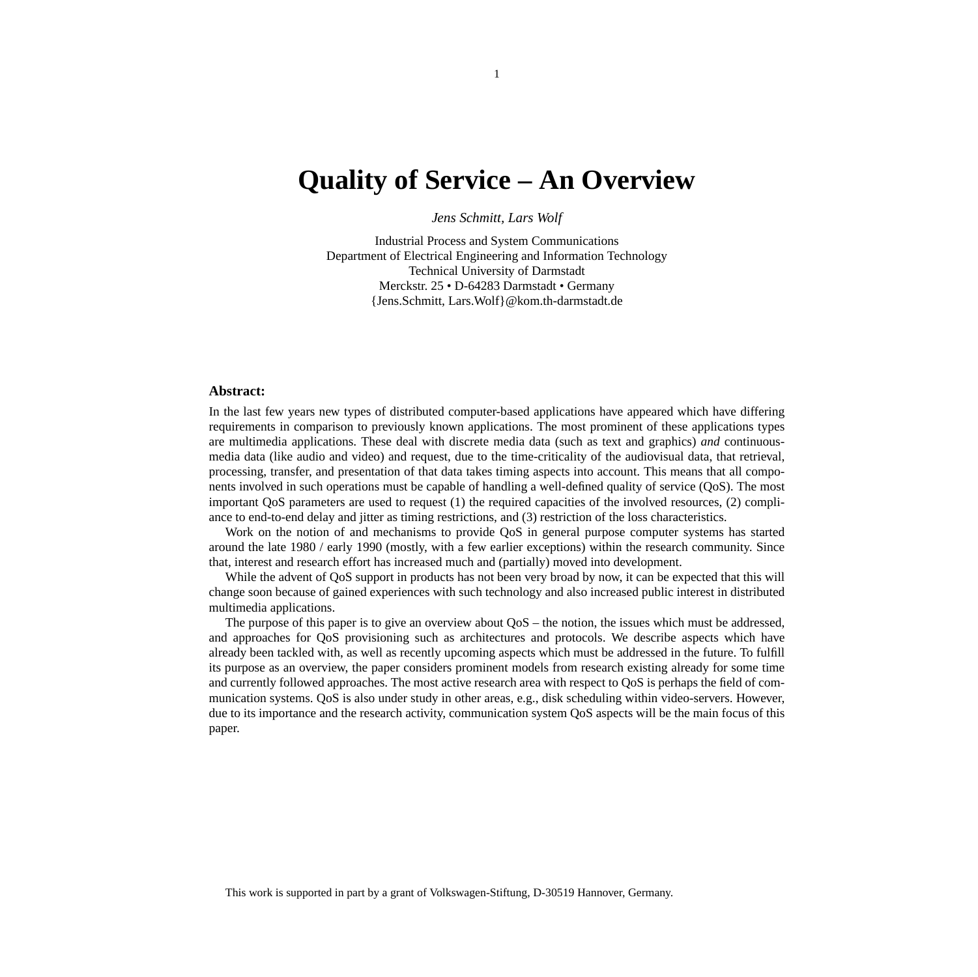# **Quality of Service – An Overview**

*Jens Schmitt, Lars Wolf*

Industrial Process and System Communications Department of Electrical Engineering and Information Technology Technical University of Darmstadt Merckstr. 25 • D-64283 Darmstadt • Germany {Jens.Schmitt, Lars.Wolf}@kom.th-darmstadt.de

#### **Abstract:**

In the last few years new types of distributed computer-based applications have appeared which have differing requirements in comparison to previously known applications. The most prominent of these applications types are multimedia applications. These deal with discrete media data (such as text and graphics) *and* continuousmedia data (like audio and video) and request, due to the time-criticality of the audiovisual data, that retrieval, processing, transfer, and presentation of that data takes timing aspects into account. This means that all components involved in such operations must be capable of handling a well-defined quality of service (QoS). The most important QoS parameters are used to request (1) the required capacities of the involved resources, (2) compliance to end-to-end delay and jitter as timing restrictions, and (3) restriction of the loss characteristics.

Work on the notion of and mechanisms to provide QoS in general purpose computer systems has started around the late 1980 / early 1990 (mostly, with a few earlier exceptions) within the research community. Since that, interest and research effort has increased much and (partially) moved into development.

While the advent of QoS support in products has not been very broad by now, it can be expected that this will change soon because of gained experiences with such technology and also increased public interest in distributed multimedia applications.

The purpose of this paper is to give an overview about  $QoS$  – the notion, the issues which must be addressed, and approaches for QoS provisioning such as architectures and protocols. We describe aspects which have already been tackled with, as well as recently upcoming aspects which must be addressed in the future. To fulfill its purpose as an overview, the paper considers prominent models from research existing already for some time and currently followed approaches. The most active research area with respect to QoS is perhaps the field of communication systems. QoS is also under study in other areas, e.g., disk scheduling within video-servers. However, due to its importance and the research activity, communication system QoS aspects will be the main focus of this paper.

1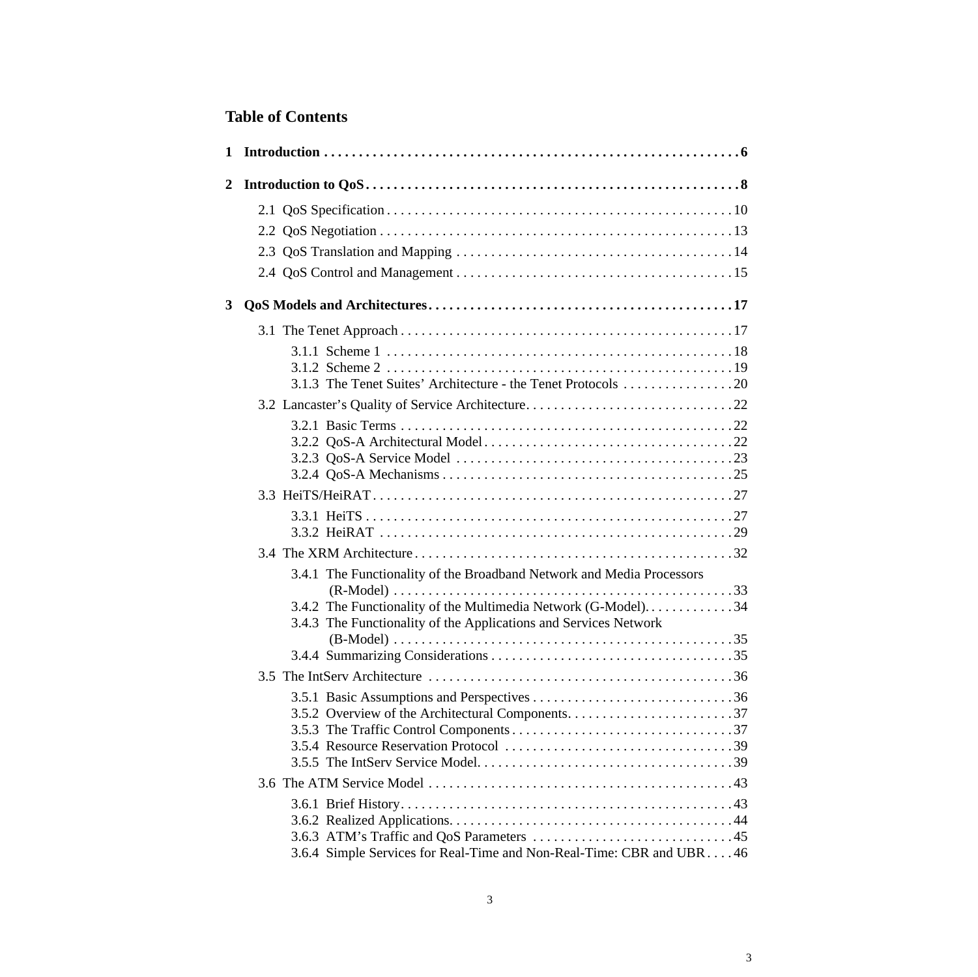# **Table of Contents**

| 1            |                                                                                                                                                                                                            |
|--------------|------------------------------------------------------------------------------------------------------------------------------------------------------------------------------------------------------------|
| 2            |                                                                                                                                                                                                            |
|              |                                                                                                                                                                                                            |
|              |                                                                                                                                                                                                            |
|              |                                                                                                                                                                                                            |
|              |                                                                                                                                                                                                            |
| $\mathbf{3}$ |                                                                                                                                                                                                            |
|              |                                                                                                                                                                                                            |
|              | 3.1.3 The Tenet Suites' Architecture - the Tenet Protocols 20                                                                                                                                              |
|              |                                                                                                                                                                                                            |
|              |                                                                                                                                                                                                            |
|              |                                                                                                                                                                                                            |
|              |                                                                                                                                                                                                            |
|              |                                                                                                                                                                                                            |
|              | 3.4.1 The Functionality of the Broadband Network and Media Processors<br>3.4.2 The Functionality of the Multimedia Network (G-Model)34<br>3.4.3 The Functionality of the Applications and Services Network |
|              |                                                                                                                                                                                                            |
|              |                                                                                                                                                                                                            |
|              |                                                                                                                                                                                                            |
|              | 3.6.4 Simple Services for Real-Time and Non-Real-Time: CBR and UBR 46                                                                                                                                      |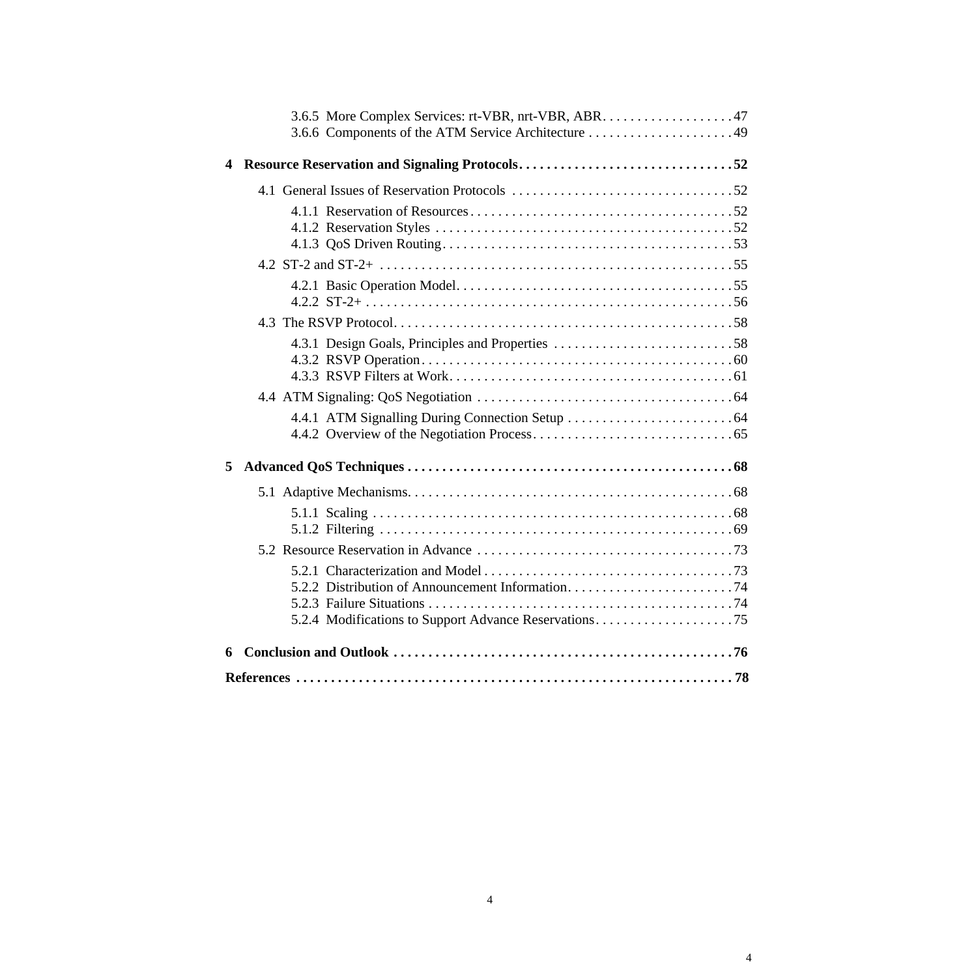|    | 3.6.5 More Complex Services: rt-VBR, nrt-VBR, ABR47 |  |
|----|-----------------------------------------------------|--|
|    |                                                     |  |
|    |                                                     |  |
|    |                                                     |  |
|    |                                                     |  |
|    |                                                     |  |
|    |                                                     |  |
|    |                                                     |  |
|    |                                                     |  |
|    |                                                     |  |
|    |                                                     |  |
|    |                                                     |  |
|    |                                                     |  |
| 5. |                                                     |  |
|    |                                                     |  |
|    |                                                     |  |
|    |                                                     |  |
|    |                                                     |  |
|    |                                                     |  |
| 6  |                                                     |  |
|    |                                                     |  |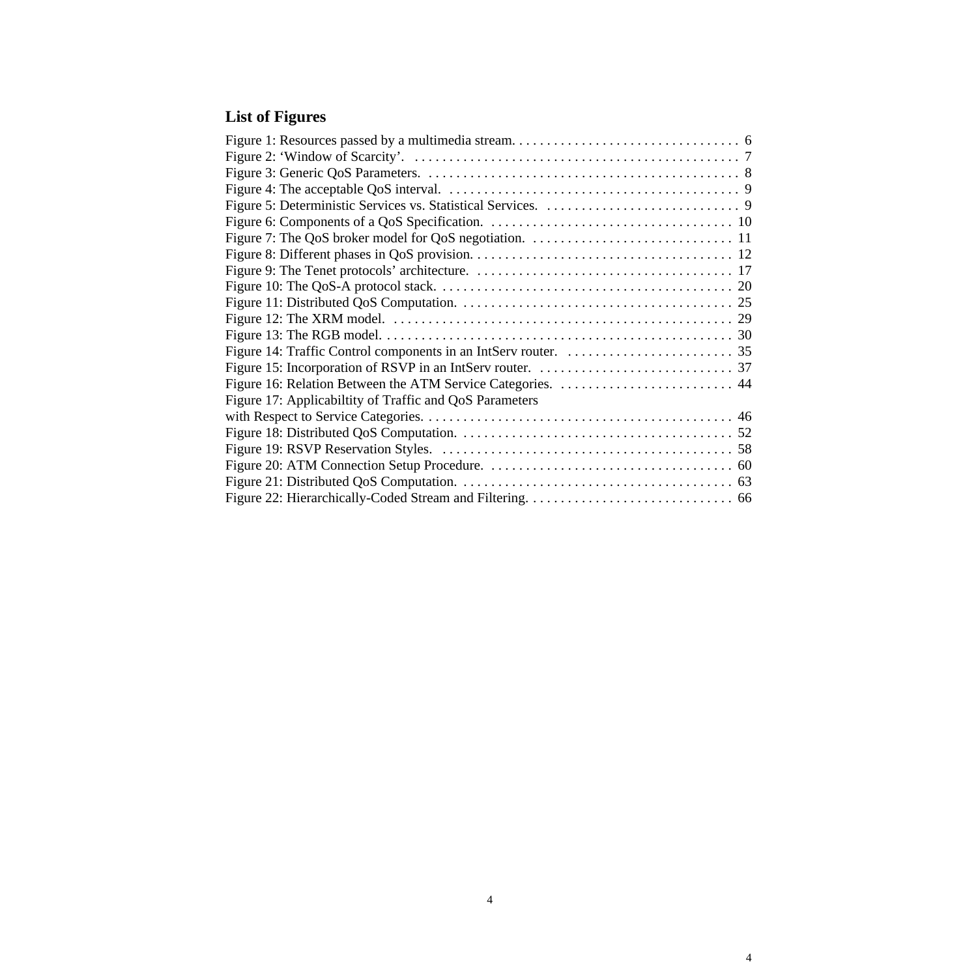# **List of Figures**

| Figure 4: The acceptable QoS interval. $\dots \dots \dots \dots \dots \dots \dots \dots \dots \dots \dots \dots \dots \dots$ |  |
|------------------------------------------------------------------------------------------------------------------------------|--|
|                                                                                                                              |  |
|                                                                                                                              |  |
|                                                                                                                              |  |
|                                                                                                                              |  |
|                                                                                                                              |  |
|                                                                                                                              |  |
|                                                                                                                              |  |
|                                                                                                                              |  |
|                                                                                                                              |  |
|                                                                                                                              |  |
|                                                                                                                              |  |
|                                                                                                                              |  |
| Figure 17: Applicabiltity of Traffic and QoS Parameters                                                                      |  |
|                                                                                                                              |  |
|                                                                                                                              |  |
|                                                                                                                              |  |
|                                                                                                                              |  |
|                                                                                                                              |  |
|                                                                                                                              |  |
|                                                                                                                              |  |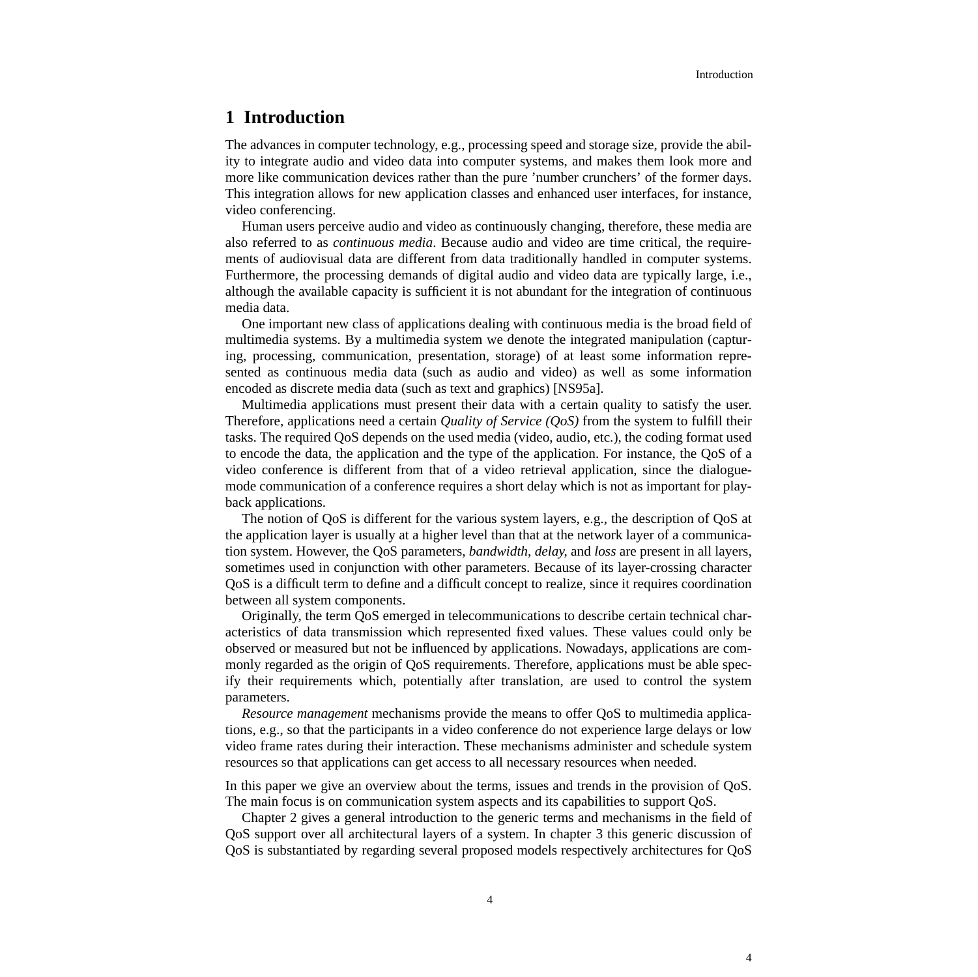## <span id="page-5-0"></span>**1 Introduction**

The advances in computer technology, e.g., processing speed and storage size, provide the ability to integrate audio and video data into computer systems, and makes them look more and more like communication devices rather than the pure 'number crunchers' of the former days. This integration allows for new application classes and enhanced user interfaces, for instance, video conferencing.

Human users perceive audio and video as continuously changing, therefore, these media are also referred to as *continuous media*. Because audio and video are time critical, the requirements of audiovisual data are different from data traditionally handled in computer systems. Furthermore, the processing demands of digital audio and video data are typically large, i.e., although the available capacity is sufficient it is not abundant for the integration of continuous media data.

One important new class of applications dealing with continuous media is the broad field of multimedia systems. By a multimedia system we denote the integrated manipulation (capturing, processing, communication, presentation, storage) of at least some information represented as continuous media data (such as audio and video) as well as some information encoded as discrete media data (such as text and graphics) [N[S95a\].](#page-82-0)

Multimedia applications must present their data with a certain quality to satisfy the user. Therefore, applications need a certain *Quality of Service (QoS)* from the system to fulfill their tasks. The required QoS depends on the used media (video, audio, etc.), the coding format used to encode the data, the application and the type of the application. For instance, the QoS of a video conference is different from that of a video retrieval application, since the dialoguemode communication of a conference requires a short delay which is not as important for playback applications.

The notion of QoS is different for the various system layers, e.g., the description of QoS at the application layer is usually at a higher level than that at the network layer of a communication system. However, the QoS parameters, *bandwidth*, *delay*, and *loss* are present in all layers, sometimes used in conjunction with other parameters. Because of its layer-crossing character QoS is a difficult term to define and a difficult concept to realize, since it requires coordination between all system components.

Originally, the term QoS emerged in telecommunications to describe certain technical characteristics of data transmission which represented fixed values. These values could only be observed or measured but not be influenced by applications. Nowadays, applications are commonly regarded as the origin of QoS requirements. Therefore, applications must be able specify their requirements which, potentially after translation, are used to control the system parameters.

*Resource management* mechanisms provide the means to offer QoS to multimedia applications, e.g., so that the participants in a video conference do not experience large delays or low video frame rates during their interaction. These mechanisms administer and schedule system resources so that applications can get access to all necessary resources when needed.

In this paper we give an overview about the terms, issues and trends in the provision of QoS. The main focus is on communication system aspects and its capabilities to support QoS.

Chapter 2 gives a general introduction to the generic terms and mechanisms in the field of QoS support over all architectural layers of a system. In chapter 3 this generic discussion of QoS is substantiated by regarding several proposed models respectively architectures for QoS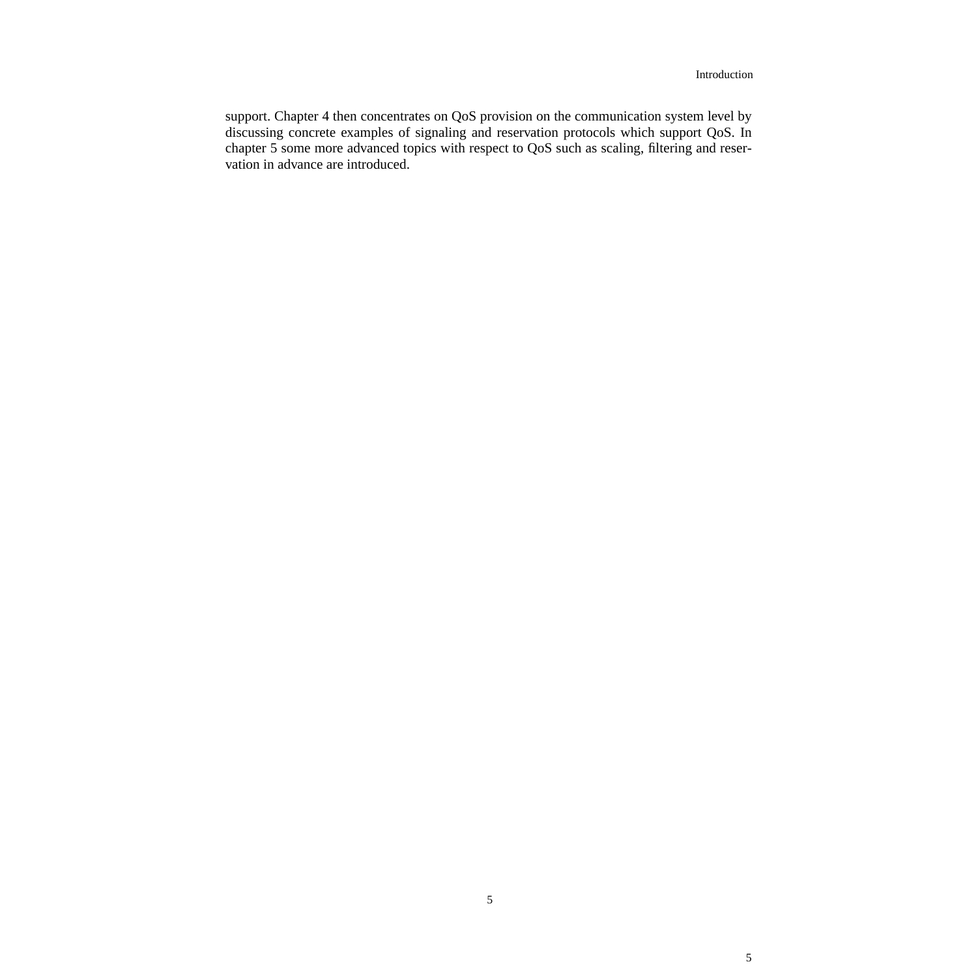support. Chapter 4 then concentrates on QoS provision on the communication system level by discussing concrete examples of signaling and reservation protocols which support QoS. In chapter 5 some more advanced topics with respect to QoS such as scaling, filtering and reservation in advance are introduced.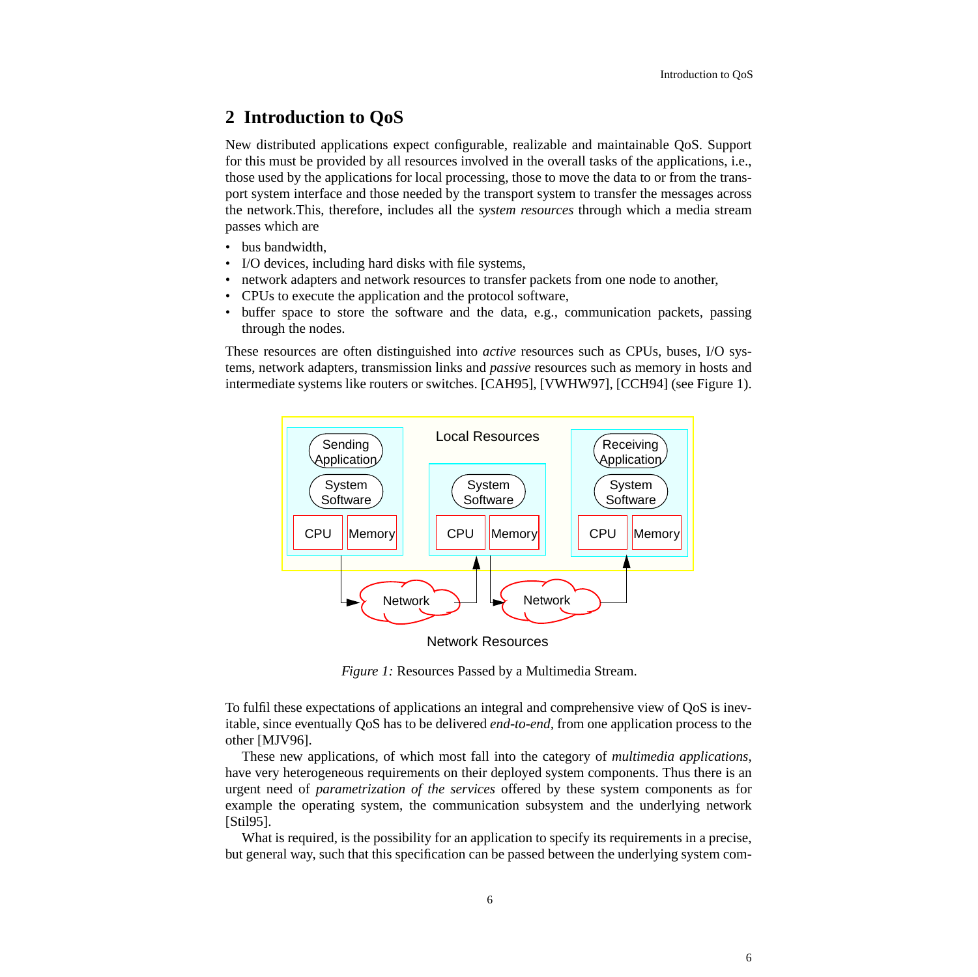# <span id="page-7-0"></span>**2 Introduction to QoS**

New distributed applications expect configurable, realizable and maintainable QoS. Support for this must be provided by all resources involved in the overall tasks of the applications, i.e., those used by the applications for local processing, those to move the data to or from the transport system interface and those needed by the transport system to transfer the messages across the network.This, therefore, includes all the *system resources* through which a media stream passes which are

- bus bandwidth.
- I/O devices, including hard disks with file systems,
- network adapters and network resources to transfer packets from one node to another,
- CPUs to execute the application and the protocol software,
- buffer space to store the software and the data, e.g., communication packets, passing through the nodes.

These resources are often distinguished into *active* resources such as CPUs, buses, I/O systems, network adapters, transmission links and *passive* resources such as memory in hosts and intermediate systems like routers or switches. [\[CAH95\]](#page-78-0), [\[VWHW97\]](#page-83-0), [\[CCH94\]](#page-78-0) (see Figure 1).



Network Resources

*Figure 1:* Resources Passed by a Multimedia Stream.

To fulfil these expectations of applications an integral and comprehensive view of QoS is inevitable, since eventually QoS has to be delivered *end-to-end,* from one application process to the other [\[MJV96\].](#page-81-0)

These new applications, of which most fall into the category of *multimedia applications*, have very heterogeneous requirements on their deployed system components. Thus there is an urgent need of *parametrization of the services* offered by these system components as for example the operating system, the communication subsystem and the underlying network [\[Stil95\].](#page-82-0)

What is required, is the possibility for an application to specify its requirements in a precise, but general way, such that this specification can be passed between the underlying system com-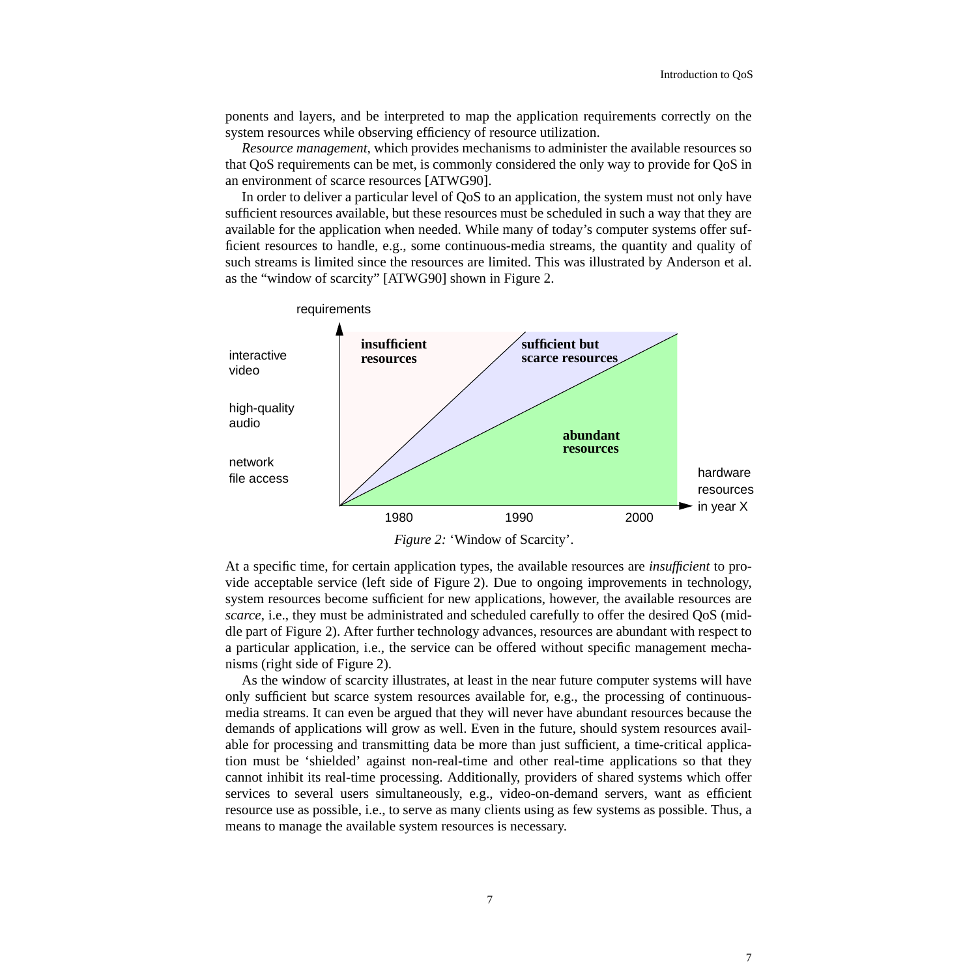ponents and layers, and be interpreted to map the application requirements correctly on the system resources while observing efficiency of resource utilization.

*Resource management*, which provides mechanisms to administer the available resources so that QoS requirements can be met, is commonly considered the only way to provide for QoS in an environment of scarce resources [[ATWG90\].](#page-77-0)

In order to deliver a particular level of QoS to an application, the system must not only have sufficient resources available, but these resources must be scheduled in such a way that they are available for the application when needed. While many of today's computer systems offer sufficient resources to handle, e.g., some continuous-media streams, the quantity and quality of such streams is limited since the resources are limited. This was illustrated by Anderson et al. as the "window of scarcity" [[ATWG90\] sh](#page-77-0)own in Figure 2.



At a specific time, for certain application types, the available resources are *insufficient* to provide acceptable service (left side of Figure 2). Due to ongoing improvements in technology, system resources become sufficient for new applications, however, the available resources are *scarce*, i.e., they must be administrated and scheduled carefully to offer the desired QoS (middle part of Figure 2). After further technology advances, resources are abundant with respect to a particular application, i.e., the service can be offered without specific management mechanisms (right side of Figure 2).

As the window of scarcity illustrates, at least in the near future computer systems will have only sufficient but scarce system resources available for, e.g., the processing of continuousmedia streams. It can even be argued that they will never have abundant resources because the demands of applications will grow as well. Even in the future, should system resources available for processing and transmitting data be more than just sufficient, a time-critical application must be 'shielded' against non-real-time and other real-time applications so that they cannot inhibit its real-time processing. Additionally, providers of shared systems which offer services to several users simultaneously, e.g., video-on-demand servers, want as efficient resource use as possible, i.e., to serve as many clients using as few systems as possible. Thus, a means to manage the available system resources is necessary.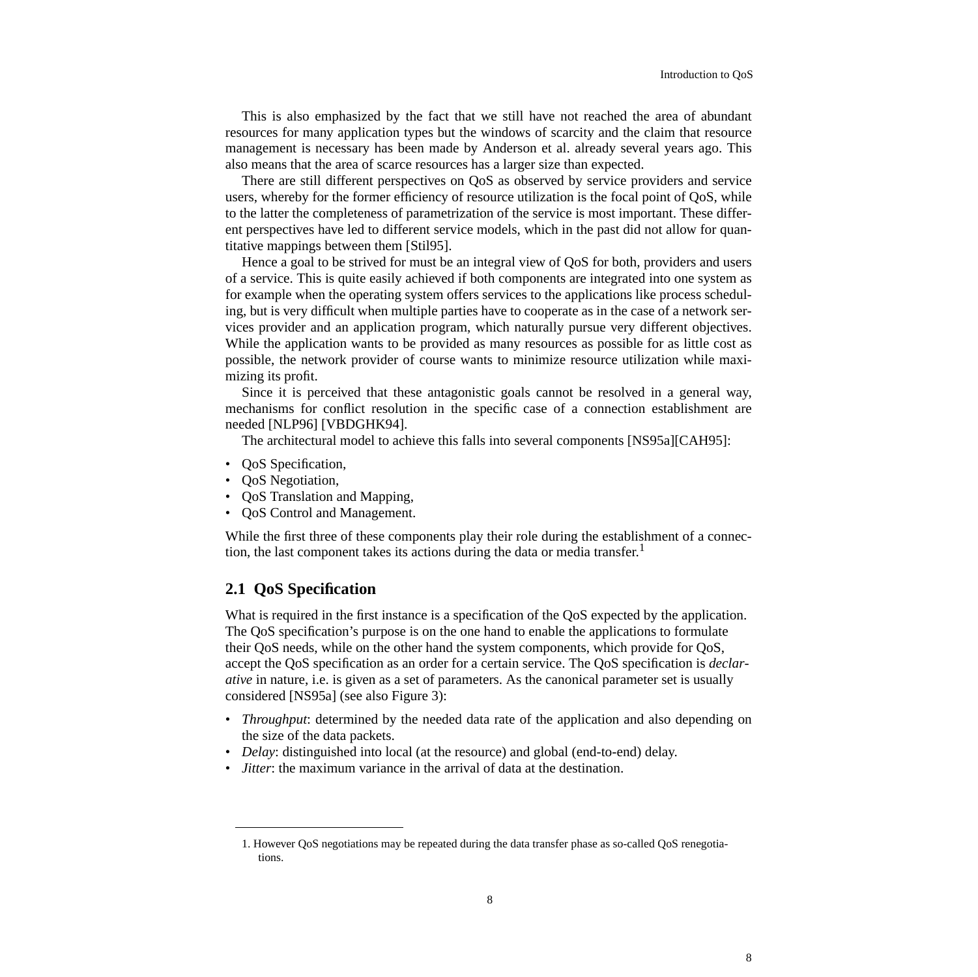<span id="page-9-0"></span>This is also emphasized by the fact that we still have not reached the area of abundant resources for many application types but the windows of scarcity and the claim that resource management is necessary has been made by Anderson et al. already several years ago. This also means that the area of scarce resources has a larger size than expected.

There are still different perspectives on QoS as observed by service providers and service users, whereby for the former efficiency of resource utilization is the focal point of QoS, while to the latter the completeness of parametrization of the service is most important. These different perspectives have led to different service models, which in the past did not allow for quantitative mappings between them [[Stil95\].](#page-82-0)

Hence a goal to be strived for must be an integral view of QoS for both, providers and users of a service. This is quite easily achieved if both components are integrated into one system as for example when the operating system offers services to the applications like process scheduling, but is very difficult when multiple parties have to cooperate as in the case of a network services provider and an application program, which naturally pursue very different objectives. While the application wants to be provided as many resources as possible for as little cost as possible, the network provider of course wants to minimize resource utilization while maximizing its profit.

Since it is perceived that these antagonistic goals cannot be resolved in a general way, mechanisms for conflict resolution in the specific case of a connection establishment are needed [\[NLP96\] \[](#page-82-0)[VBDGHK94\].](#page-83-0)

The architectural model to achieve this falls into several components [[NS95a\]\[C](#page-82-0)[AH95\]:](#page-78-0)

- **QoS** Specification,
- QoS Negotiation,
- OoS Translation and Mapping,
- QoS Control and Management.

While the first three of these components play their role during the establishment of a connection, the last component takes its actions during the data or media transfer.<sup>1</sup>

## **2.1 QoS Specification**

What is required in the first instance is a specification of the QoS expected by the application. The QoS specification's purpose is on the one hand to enable the applications to formulate their QoS needs, while on the other hand the system components, which provide for QoS, accept the QoS specification as an order for a certain service. The QoS specification is *declarative* in nature, i.e. is given as a set of parameters. As the canonical parameter set is usually considered [\[NS95a\] \(](#page-82-0)see also Fi[gure 3\):](#page-10-0)

- *Throughput*: determined by the needed data rate of the application and also depending on the size of the data packets.
- *Delay*: distinguished into local (at the resource) and global (end-to-end) delay.
- *Jitter*: the maximum variance in the arrival of data at the destination.

<sup>1.</sup> However QoS negotiations may be repeated during the data transfer phase as so-called QoS renegotiations.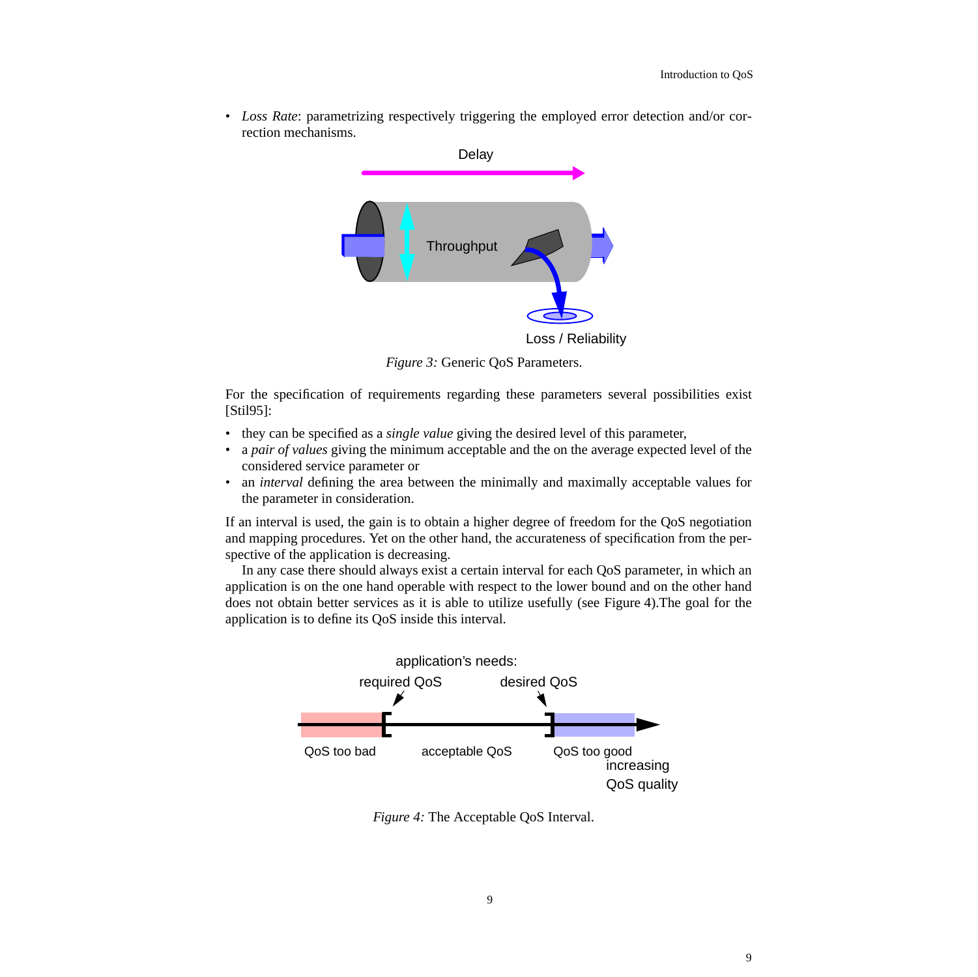<span id="page-10-0"></span>• *Loss Rate*: parametrizing respectively triggering the employed error detection and/or correction mechanisms.



*Figure 3:* Generic OoS Parameters.

For the specification of requirements regarding these parameters several possibilities exist [\[Stil95\]:](#page-82-0)

- they can be specified as a *single value* giving the desired level of this parameter,
- a *pair of values* giving the minimum acceptable and the on the average expected level of the considered service parameter or
- an *interval* defining the area between the minimally and maximally acceptable values for the parameter in consideration.

If an interval is used, the gain is to obtain a higher degree of freedom for the QoS negotiation and mapping procedures. Yet on the other hand, the accurateness of specification from the perspective of the application is decreasing.

In any case there should always exist a certain interval for each QoS parameter, in which an application is on the one hand operable with respect to the lower bound and on the other hand does not obtain better services as it is able to utilize usefully (see Figure 4).The goal for the application is to define its QoS inside this interval.



*Figure 4:* The Acceptable QoS Interval.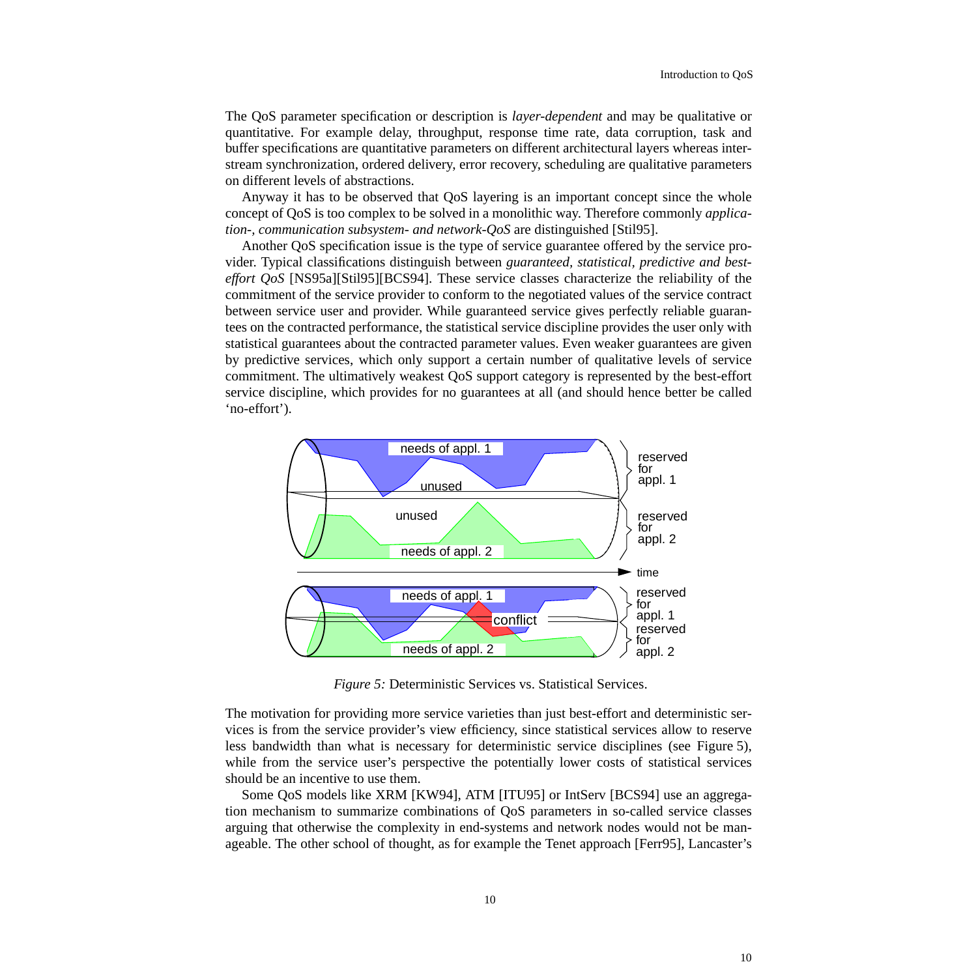The QoS parameter specification or description is *layer-dependent* and may be qualitative or quantitative. For example delay, throughput, response time rate, data corruption, task and buffer specifications are quantitative parameters on different architectural layers whereas interstream synchronization, ordered delivery, error recovery, scheduling are qualitative parameters on different levels of abstractions.

Anyway it has to be observed that QoS layering is an important concept since the whole concept of QoS is too complex to be solved in a monolithic way. Therefore commonly *application-, communication subsystem- and network-QoS* are distinguished [S[til95\].](#page-82-0)

Another QoS specification issue is the type of service guarantee offered by the service provider. Typical classifications distinguish between *guaranteed, statistical, predictive and besteffort QoS* [\[NS95a\]\[Stil95\]\[](#page-82-0)[BCS94\].](#page-77-0) These service classes characterize the reliability of the commitment of the service provider to conform to the negotiated values of the service contract between service user and provider. While guaranteed service gives perfectly reliable guarantees on the contracted performance, the statistical service discipline provides the user only with statistical guarantees about the contracted parameter values. Even weaker guarantees are given by predictive services, which only support a certain number of qualitative levels of service commitment. The ultimatively weakest QoS support category is represented by the best-effort service discipline, which provides for no guarantees at all (and should hence better be called 'no-effort').



*Figure 5:* Deterministic Services vs. Statistical Services.

The motivation for providing more service varieties than just best-effort and deterministic services is from the service provider's view efficiency, since statistical services allow to reserve less bandwidth than what is necessary for deterministic service disciplines (see Figure 5), while from the service user's perspective the potentially lower costs of statistical services should be an incentive to use them.

Some QoS models like XRM [\[KW94\]](#page-81-0), ATM [\[ITU95\]](#page-80-0) or IntSer[v \[BCS94\]](#page-77-0) use an aggregation mechanism to summarize combinations of QoS parameters in so-called service classes arguing that otherwise the complexity in end-systems and network nodes would not be manageable. The other school of thought, as for example the Tenet approac[h \[Ferr95\]](#page-79-0), Lancaster's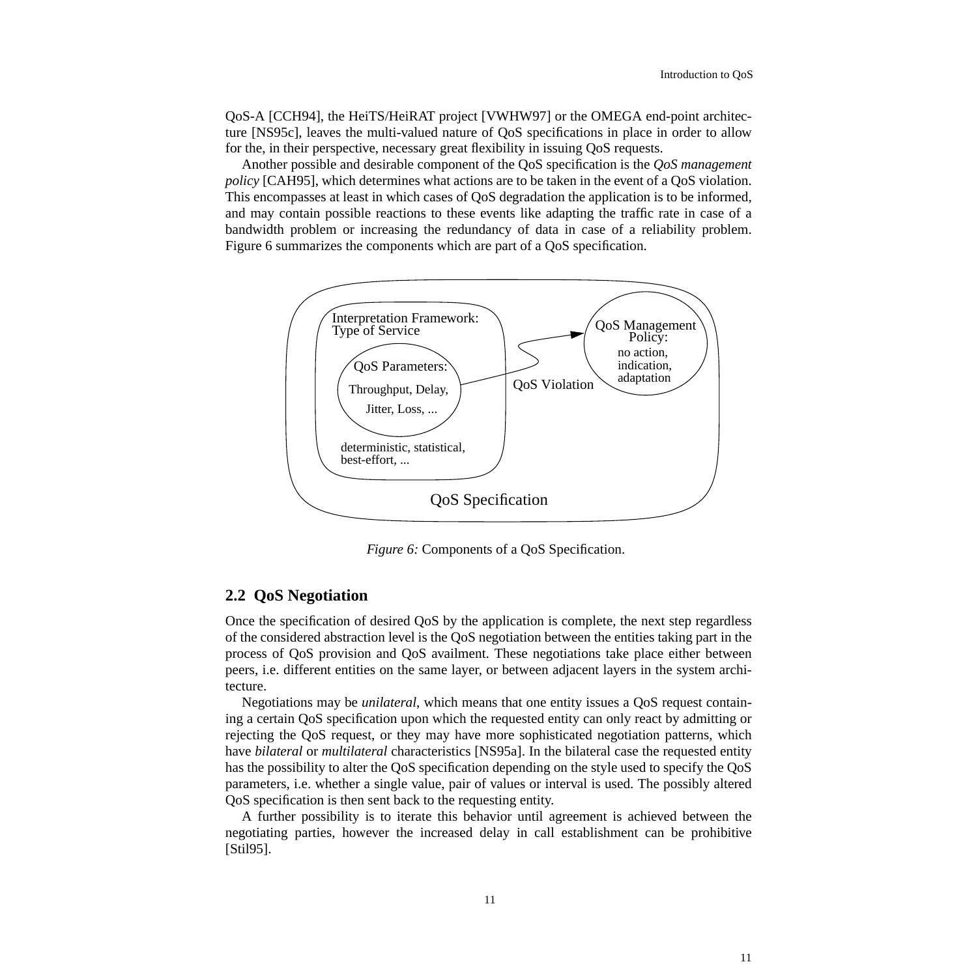<span id="page-12-0"></span>QoS-A [\[CCH94\],](#page-78-0) the HeiTS/HeiRAT project [\[VWHW97\]](#page-83-0) or the OMEGA end-point architecture [\[NS95c\],](#page-82-0) leaves the multi-valued nature of QoS specifications in place in order to allow for the, in their perspective, necessary great flexibility in issuing QoS requests.

Another possible and desirable component of the QoS specification is the *QoS management policy* [\[CAH95\],](#page-78-0) which determines what actions are to be taken in the event of a QoS violation. This encompasses at least in which cases of QoS degradation the application is to be informed, and may contain possible reactions to these events like adapting the traffic rate in case of a bandwidth problem or increasing the redundancy of data in case of a reliability problem. Figure 6 summarizes the components which are part of a QoS specification.



*Figure 6:* Components of a QoS Specification.

# **2.2 QoS Negotiation**

Once the specification of desired QoS by the application is complete, the next step regardless of the considered abstraction level is the QoS negotiation between the entities taking part in the process of QoS provision and QoS availment. These negotiations take place either between peers, i.e. different entities on the same layer, or between adjacent layers in the system architecture.

Negotiations may be *unilateral*, which means that one entity issues a QoS request containing a certain QoS specification upon which the requested entity can only react by admitting or rejecting the QoS request, or they may have more sophisticated negotiation patterns, which have *bilateral* or *multilateral* characteristics [\[NS95a\]](#page-82-0). In the bilateral case the requested entity has the possibility to alter the QoS specification depending on the style used to specify the QoS parameters, i.e. whether a single value, pair of values or interval is used. The possibly altered QoS specification is then sent back to the requesting entity.

A further possibility is to iterate this behavior until agreement is achieved between the negotiating parties, however the increased delay in call establishment can be prohibitive [\[Stil95\].](#page-82-0)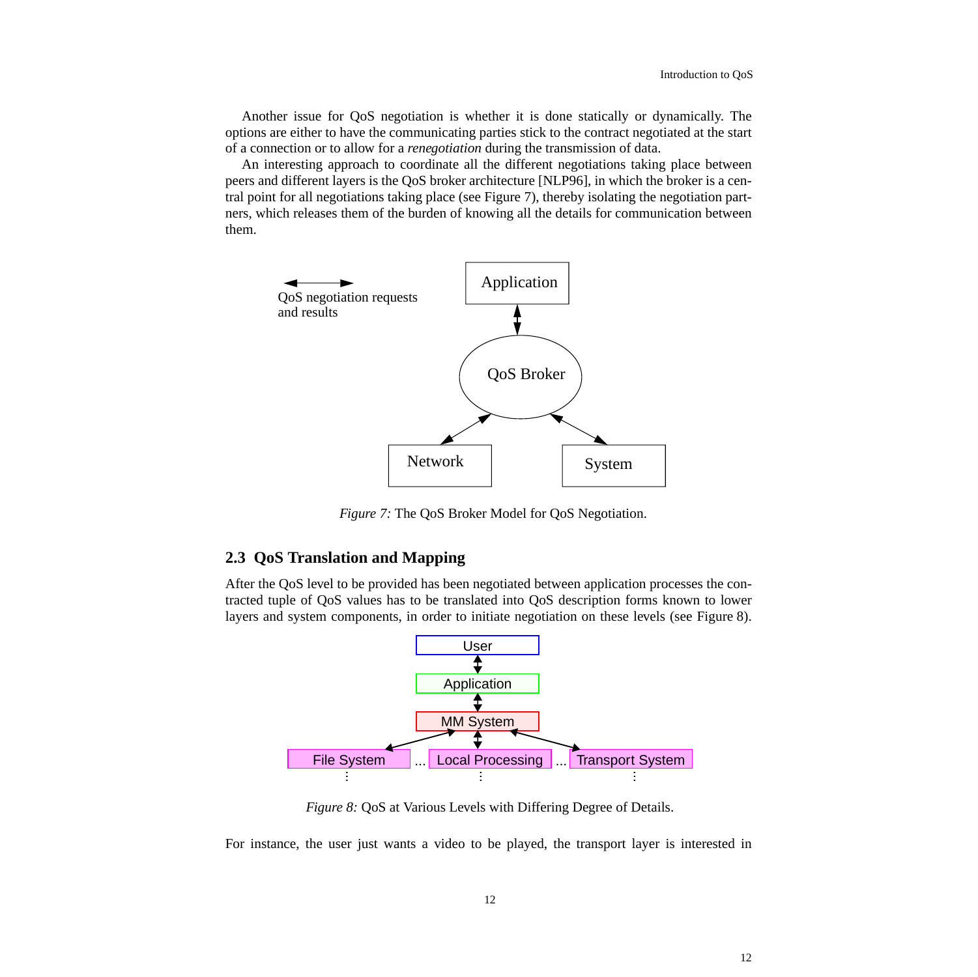<span id="page-13-0"></span>Another issue for QoS negotiation is whether it is done statically or dynamically. The options are either to have the communicating parties stick to the contract negotiated at the start of a connection or to allow for a *renegotiation* during the transmission of data.

An interesting approach to coordinate all the different negotiations taking place between peers and different layers is the QoS broker architecture [\[NLP96\]](#page-82-0), in which the broker is a central point for all negotiations taking place (see Figure 7), thereby isolating the negotiation partners, which releases them of the burden of knowing all the details for communication between them.



*Figure 7:* The QoS Broker Model for QoS Negotiation.

### **2.3 QoS Translation and Mapping**

After the QoS level to be provided has been negotiated between application processes the contracted tuple of QoS values has to be translated into QoS description forms known to lower layers and system components, in order to initiate negotiation on these levels (see Figure 8).



*Figure 8:* QoS at Various Levels with Differing Degree of Details.

For instance, the user just wants a video to be played, the transport layer is interested in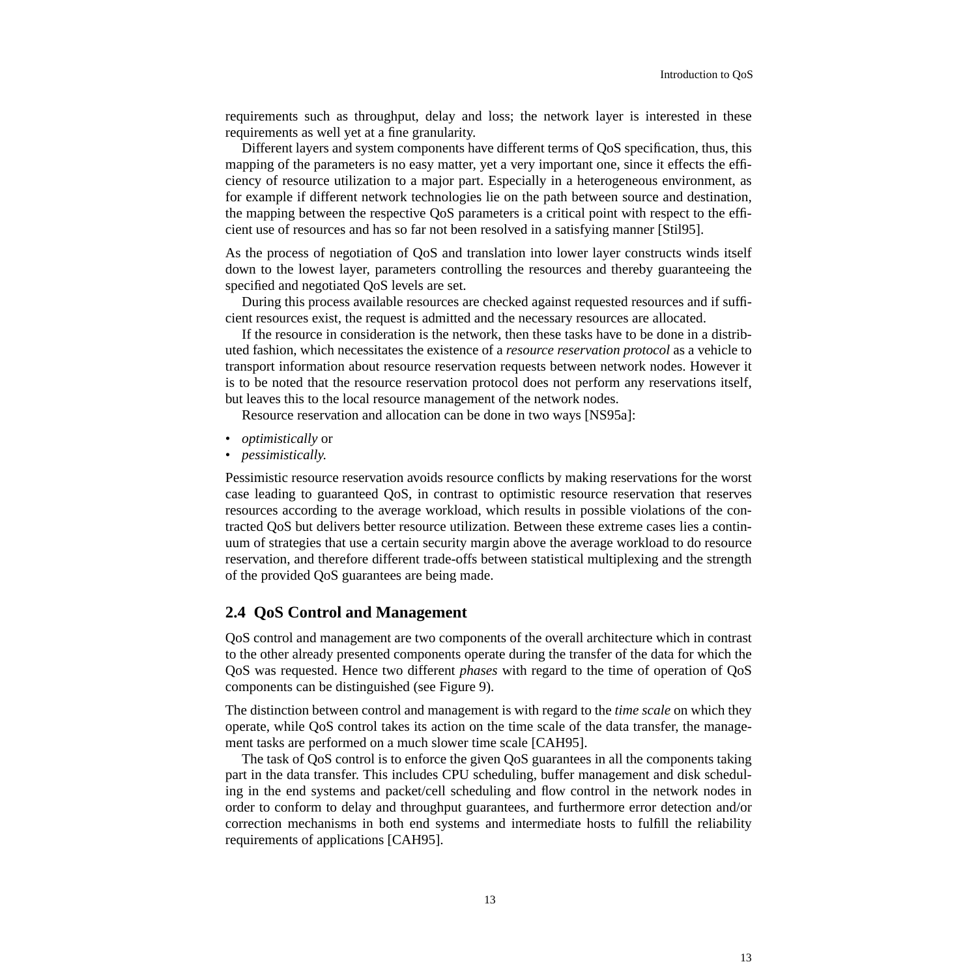<span id="page-14-0"></span>requirements such as throughput, delay and loss; the network layer is interested in these requirements as well yet at a fine granularity.

Different layers and system components have different terms of QoS specification, thus, this mapping of the parameters is no easy matter, yet a very important one, since it effects the efficiency of resource utilization to a major part. Especially in a heterogeneous environment, as for example if different network technologies lie on the path between source and destination, the mapping between the respective QoS parameters is a critical point with respect to the efficient use of resources and has so far not been resolved in a satisfying manner [St[il95\].](#page-82-0)

As the process of negotiation of QoS and translation into lower layer constructs winds itself down to the lowest layer, parameters controlling the resources and thereby guaranteeing the specified and negotiated QoS levels are set.

During this process available resources are checked against requested resources and if sufficient resources exist, the request is admitted and the necessary resources are allocated.

If the resource in consideration is the network, then these tasks have to be done in a distributed fashion, which necessitates the existence of a *resource reservation protocol* as a vehicle to transport information about resource reservation requests between network nodes. However it is to be noted that the resource reservation protocol does not perform any reservations itself, but leaves this to the local resource management of the network nodes.

Resource reservation and allocation can be done in two ways [[NS95a\]:](#page-82-0)

- *optimistically* or
- *pessimistically*.

Pessimistic resource reservation avoids resource conflicts by making reservations for the worst case leading to guaranteed QoS, in contrast to optimistic resource reservation that reserves resources according to the average workload, which results in possible violations of the contracted QoS but delivers better resource utilization. Between these extreme cases lies a continuum of strategies that use a certain security margin above the average workload to do resource reservation, and therefore different trade-offs between statistical multiplexing and the strength of the provided QoS guarantees are being made.

## **2.4 QoS Control and Management**

QoS control and management are two components of the overall architecture which in contrast to the other already presented components operate during the transfer of the data for which the QoS was requested. Hence two different *phases* with regard to the time of operation of QoS components can be distinguished (see F[igure 9\).](#page-15-0)

The distinction between control and management is with regard to the *time scale* on which they operate, while QoS control takes its action on the time scale of the data transfer, the management tasks are performed on a much slower time scale [[CAH95\].](#page-78-0)

The task of QoS control is to enforce the given QoS guarantees in all the components taking part in the data transfer. This includes CPU scheduling, buffer management and disk scheduling in the end systems and packet/cell scheduling and flow control in the network nodes in order to conform to delay and throughput guarantees, and furthermore error detection and/or correction mechanisms in both end systems and intermediate hosts to fulfill the reliability requirements of applications [[CAH95\].](#page-78-0)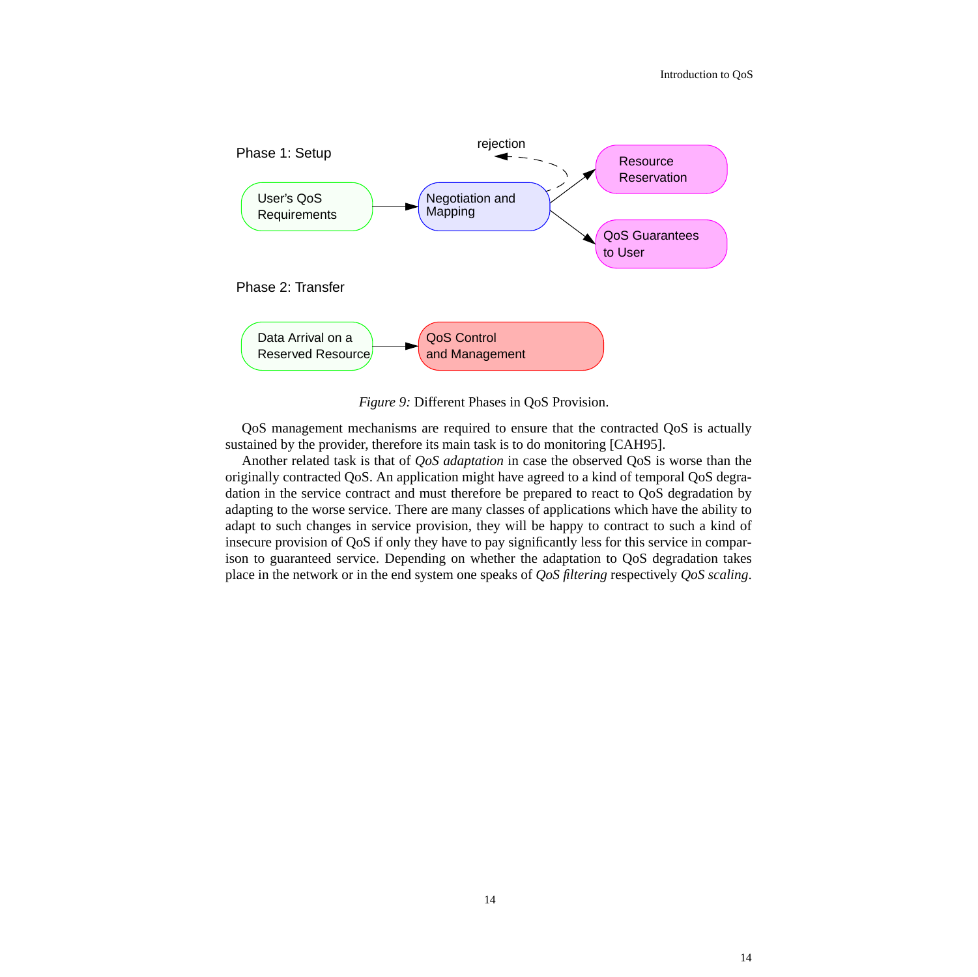<span id="page-15-0"></span>

*Figure 9:* Different Phases in QoS Provision.

QoS management mechanisms are required to ensure that the contracted QoS is actually sustained by the provider, therefore its main task is to do monitoring [C[AH95\].](#page-78-0)

Another related task is that of *QoS adaptation* in case the observed QoS is worse than the originally contracted QoS. An application might have agreed to a kind of temporal QoS degradation in the service contract and must therefore be prepared to react to QoS degradation by adapting to the worse service. There are many classes of applications which have the ability to adapt to such changes in service provision, they will be happy to contract to such a kind of insecure provision of QoS if only they have to pay significantly less for this service in comparison to guaranteed service. Depending on whether the adaptation to QoS degradation takes place in the network or in the end system one speaks of *QoS filtering* respectively *QoS scaling*.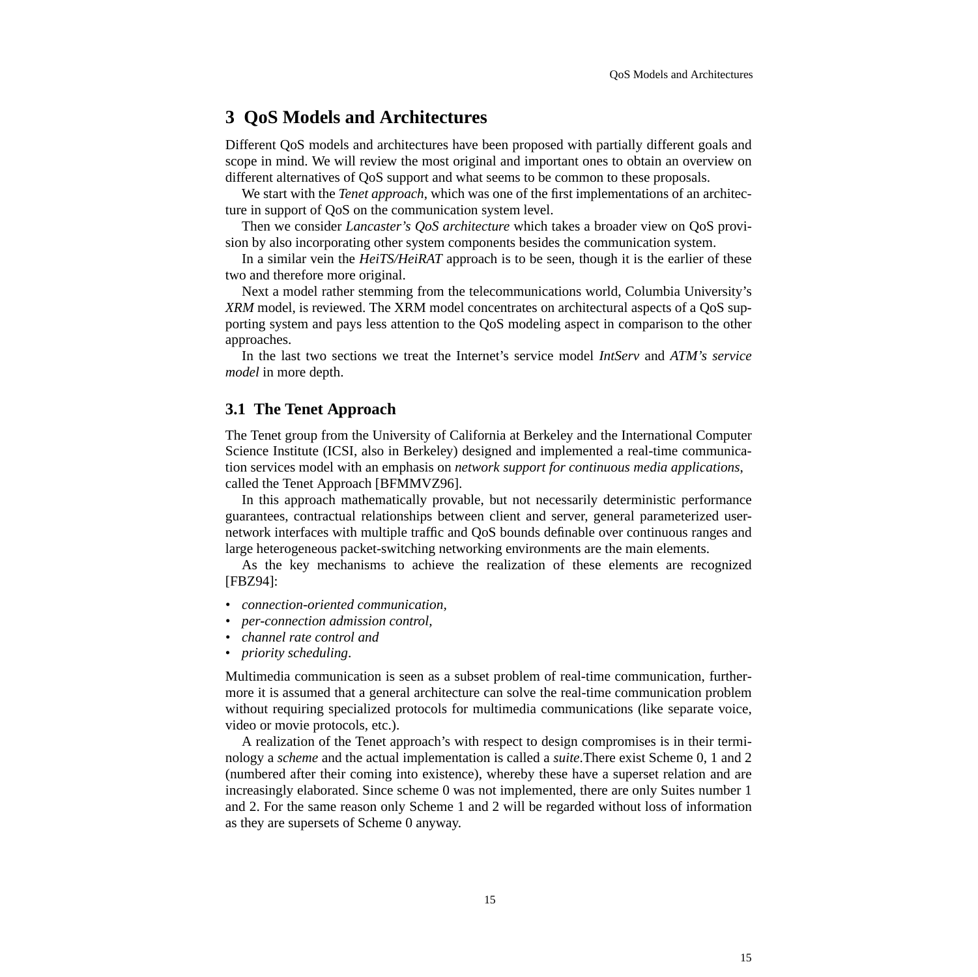# <span id="page-16-0"></span>**3 QoS Models and Architectures**

Different QoS models and architectures have been proposed with partially different goals and scope in mind. We will review the most original and important ones to obtain an overview on different alternatives of QoS support and what seems to be common to these proposals.

We start with the *Tenet approach*, which was one of the first implementations of an architecture in support of QoS on the communication system level.

Then we consider *Lancaster's QoS architecture* which takes a broader view on QoS provision by also incorporating other system components besides the communication system.

In a similar vein the *HeiTS/HeiRAT* approach is to be seen, though it is the earlier of these two and therefore more original.

Next a model rather stemming from the telecommunications world, Columbia University's *XRM* model, is reviewed. The XRM model concentrates on architectural aspects of a QoS supporting system and pays less attention to the QoS modeling aspect in comparison to the other approaches.

In the last two sections we treat the Internet's service model *IntServ* and *ATM's service model* in more depth.

## **3.1 The Tenet Approach**

The Tenet group from the University of California at Berkeley and the International Computer Science Institute (ICSI, also in Berkeley) designed and implemented a real-time communication services model with an emphasis on *network support for continuous media applications*, called the Tenet Approach [[BFMMVZ96\].](#page-77-0)

In this approach mathematically provable, but not necessarily deterministic performance guarantees, contractual relationships between client and server, general parameterized usernetwork interfaces with multiple traffic and QoS bounds definable over continuous ranges and large heterogeneous packet-switching networking environments are the main elements.

As the key mechanisms to achieve the realization of these elements are recognized [\[FBZ94\]:](#page-79-0)

- *connection-oriented communication,*
- *per-connection admission control,*
- *channel rate control and*
- *priority scheduling*.

Multimedia communication is seen as a subset problem of real-time communication, furthermore it is assumed that a general architecture can solve the real-time communication problem without requiring specialized protocols for multimedia communications (like separate voice, video or movie protocols, etc.).

A realization of the Tenet approach's with respect to design compromises is in their terminology a *scheme* and the actual implementation is called a *suite*.There exist Scheme 0, 1 and 2 (numbered after their coming into existence), whereby these have a superset relation and are increasingly elaborated. Since scheme 0 was not implemented, there are only Suites number 1 and 2. For the same reason only Scheme 1 and 2 will be regarded without loss of information as they are supersets of Scheme 0 anyway.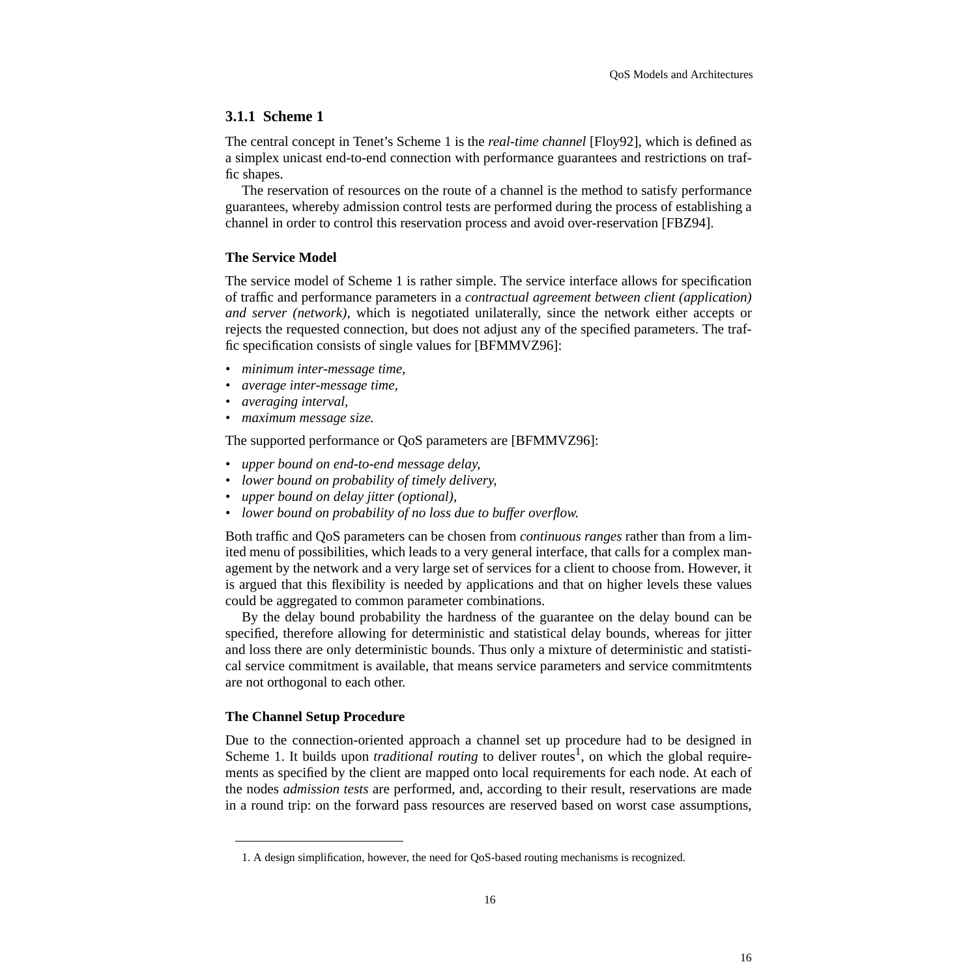### <span id="page-17-0"></span>**3.1.1 Scheme 1**

The central concept in Tenet's Scheme 1 is the *real-time channel* [\[Floy92\],](#page-79-0) which is defined as a simplex unicast end-to-end connection with performance guarantees and restrictions on traffic shapes.

The reservation of resources on the route of a channel is the method to satisfy performance guarantees, whereby admission control tests are performed during the process of establishing a channel in order to control this reservation process and avoid over-reservation [FB[Z94\].](#page-79-0)

#### **The Service Model**

The service model of Scheme 1 is rather simple. The service interface allows for specification of traffic and performance parameters in a *contractual agreement between client (application) and server (network)*, which is negotiated unilaterally, since the network either accepts or rejects the requested connection, but does not adjust any of the specified parameters. The traffic specification consists of single values for [[BFMMVZ96\]:](#page-77-0)

- *minimum inter-message time,*
- *average inter-message time,*
- *averaging interval,*
- *maximum message size.*

The supported performance or QoS parameters are [[BFMMVZ96\]:](#page-77-0)

- *upper bound on end-to-end message delay,*
- *lower bound on probability of timely delivery,*
- *upper bound on delay jitter (optional),*
- *lower bound on probability of no loss due to buffer overflow.*

Both traffic and QoS parameters can be chosen from *continuous ranges* rather than from a limited menu of possibilities, which leads to a very general interface, that calls for a complex management by the network and a very large set of services for a client to choose from. However, it is argued that this flexibility is needed by applications and that on higher levels these values could be aggregated to common parameter combinations.

By the delay bound probability the hardness of the guarantee on the delay bound can be specified, therefore allowing for deterministic and statistical delay bounds, whereas for jitter and loss there are only deterministic bounds. Thus only a mixture of deterministic and statistical service commitment is available, that means service parameters and service commitmtents are not orthogonal to each other.

### **The Channel Setup Procedure**

Due to the connection-oriented approach a channel set up procedure had to be designed in Scheme 1. It builds upon *traditional routing* to deliver routes<sup>1</sup>, on which the global requirements as specified by the client are mapped onto local requirements for each node. At each of the nodes *admission tests* are performed, and, according to their result, reservations are made in a round trip: on the forward pass resources are reserved based on worst case assumptions,

<sup>1.</sup> A design simplification, however, the need for QoS-based routing mechanisms is recognized.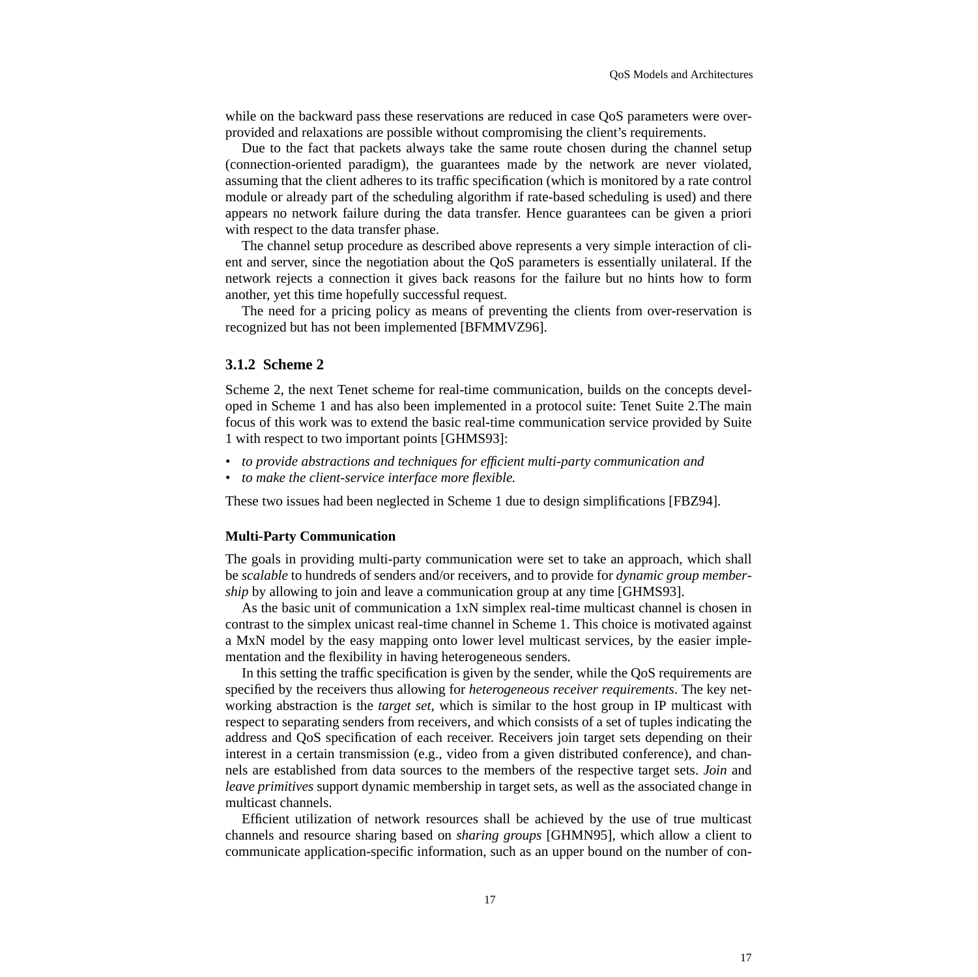<span id="page-18-0"></span>while on the backward pass these reservations are reduced in case QoS parameters were overprovided and relaxations are possible without compromising the client's requirements.

Due to the fact that packets always take the same route chosen during the channel setup (connection-oriented paradigm), the guarantees made by the network are never violated, assuming that the client adheres to its traffic specification (which is monitored by a rate control module or already part of the scheduling algorithm if rate-based scheduling is used) and there appears no network failure during the data transfer. Hence guarantees can be given a priori with respect to the data transfer phase.

The channel setup procedure as described above represents a very simple interaction of client and server, since the negotiation about the QoS parameters is essentially unilateral. If the network rejects a connection it gives back reasons for the failure but no hints how to form another, yet this time hopefully successful request.

The need for a pricing policy as means of preventing the clients from over-reservation is recognized but has not been implemented [[BFMMVZ96\].](#page-77-0)

#### **3.1.2 Scheme 2**

Scheme 2, the next Tenet scheme for real-time communication, builds on the concepts developed in Scheme 1 and has also been implemented in a protocol suite: Tenet Suite 2.The main focus of this work was to extend the basic real-time communication service provided by Suite 1 with respect to two important points [[GHMS93\]:](#page-80-0)

- *to provide abstractions and techniques for efficient multi-party communication and*
- *to make the client-service interface more flexible.*

These two issues had been neglected in Scheme 1 due to design simplifications [F[BZ94\].](#page-79-0)

#### **Multi-Party Communication**

The goals in providing multi-party communication were set to take an approach, which shall be *scalable* to hundreds of senders and/or receivers, and to provide for *dynamic group membership* by allowing to join and leave a communication group at any time [[GHMS93\].](#page-80-0)

As the basic unit of communication a 1xN simplex real-time multicast channel is chosen in contrast to the simplex unicast real-time channel in Scheme 1. This choice is motivated against a MxN model by the easy mapping onto lower level multicast services, by the easier implementation and the flexibility in having heterogeneous senders.

In this setting the traffic specification is given by the sender, while the QoS requirements are specified by the receivers thus allowing for *heterogeneous receiver requirements*. The key networking abstraction is the *target set*, which is similar to the host group in IP multicast with respect to separating senders from receivers, and which consists of a set of tuples indicating the address and QoS specification of each receiver. Receivers join target sets depending on their interest in a certain transmission (e.g., video from a given distributed conference), and channels are established from data sources to the members of the respective target sets. *Join* and *leave primitives* support dynamic membership in target sets, as well as the associated change in multicast channels.

Efficient utilization of network resources shall be achieved by the use of true multicast channels and resource sharing based on *sharing groups* [\[GHMN95\],](#page-80-0) which allow a client to communicate application-specific information, such as an upper bound on the number of con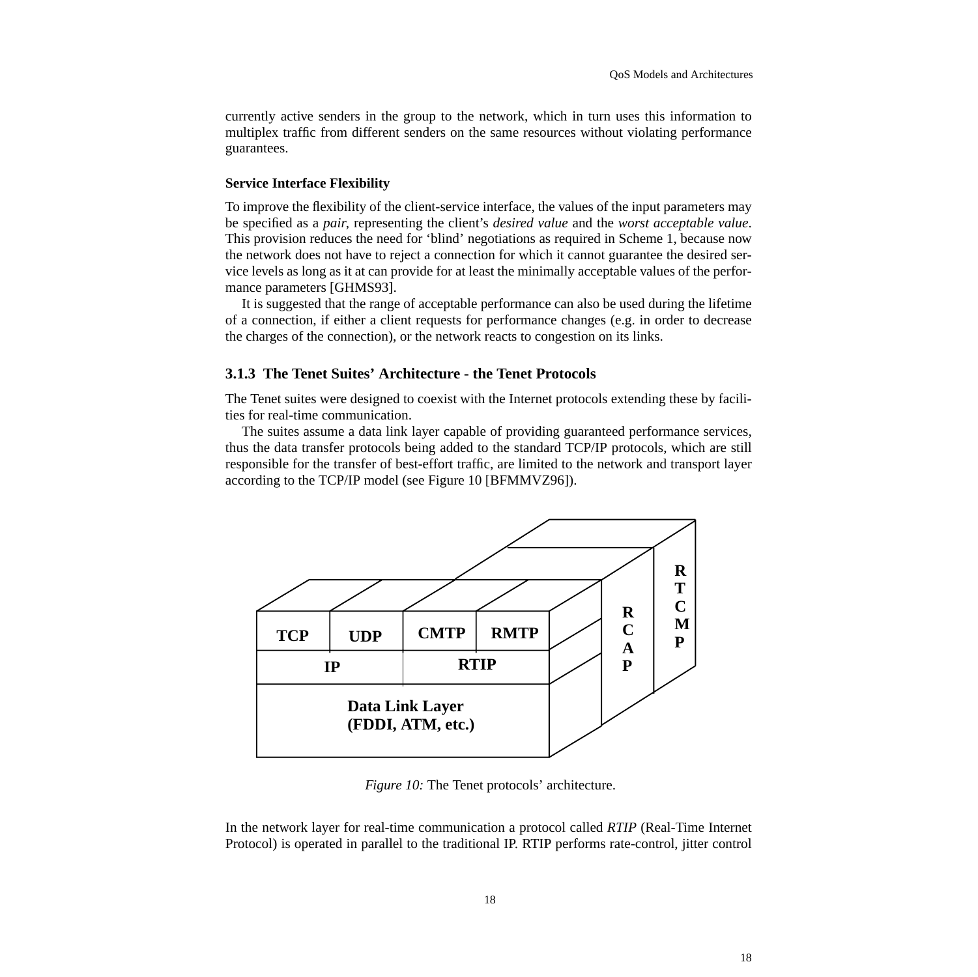<span id="page-19-0"></span>currently active senders in the group to the network, which in turn uses this information to multiplex traffic from different senders on the same resources without violating performance guarantees.

#### **Service Interface Flexibility**

To improve the flexibility of the client-service interface, the values of the input parameters may be specified as a *pair*, representing the client's *desired value* and the *worst acceptable value*. This provision reduces the need for 'blind' negotiations as required in Scheme 1, because now the network does not have to reject a connection for which it cannot guarantee the desired service levels as long as it at can provide for at least the minimally acceptable values of the performance parameters [[GHMS93\].](#page-80-0)

It is suggested that the range of acceptable performance can also be used during the lifetime of a connection, if either a client requests for performance changes (e.g. in order to decrease the charges of the connection), or the network reacts to congestion on its links.

#### **3.1.3 The Tenet Suites' Architecture - the Tenet Protocols**

The Tenet suites were designed to coexist with the Internet protocols extending these by facilities for real-time communication.

The suites assume a data link layer capable of providing guaranteed performance services, thus the data transfer protocols being added to the standard TCP/IP protocols, which are still responsible for the transfer of best-effort traffic, are limited to the network and transport layer according to the TCP/IP model (see Figure 10 [[BFMMVZ96\]\).](#page-77-0)



*Figure 10:* The Tenet protocols' architecture.

In the network layer for real-time communication a protocol called *RTIP* (Real-Time Internet Protocol) is operated in parallel to the traditional IP. RTIP performs rate-control, jitter control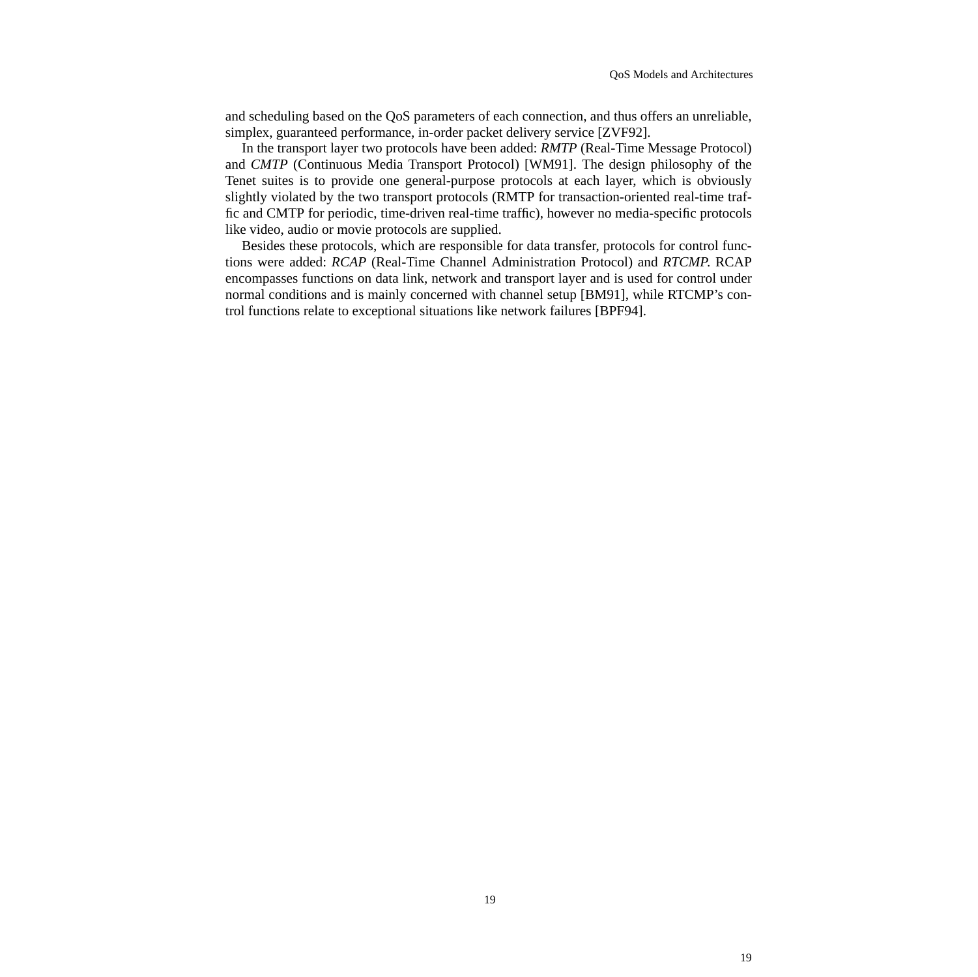and scheduling based on the QoS parameters of each connection, and thus offers an unreliable, simplex, guaranteed performance, in-order packet delivery service [Z[VF92\].](#page-84-0)

In the transport layer two protocols have been added: *RMTP* (Real-Time Message Protocol) and *CMTP* (Continuous Media Transport Protocol) [\[WM91\].](#page-84-0) The design philosophy of the Tenet suites is to provide one general-purpose protocols at each layer, which is obviously slightly violated by the two transport protocols (RMTP for transaction-oriented real-time traffic and CMTP for periodic, time-driven real-time traffic), however no media-specific protocols like video, audio or movie protocols are supplied.

Besides these protocols, which are responsible for data transfer, protocols for control functions were added: *RCAP* (Real-Time Channel Administration Protocol) and *RTCMP*. RCAP encompasses functions on data link, network and transport layer and is used for control under normal conditions and is mainly concerned with channel setu[p \[BM91\]](#page-77-0), while RTCMP's control functions relate to exceptional situations like network failures [B[PF94\].](#page-77-0)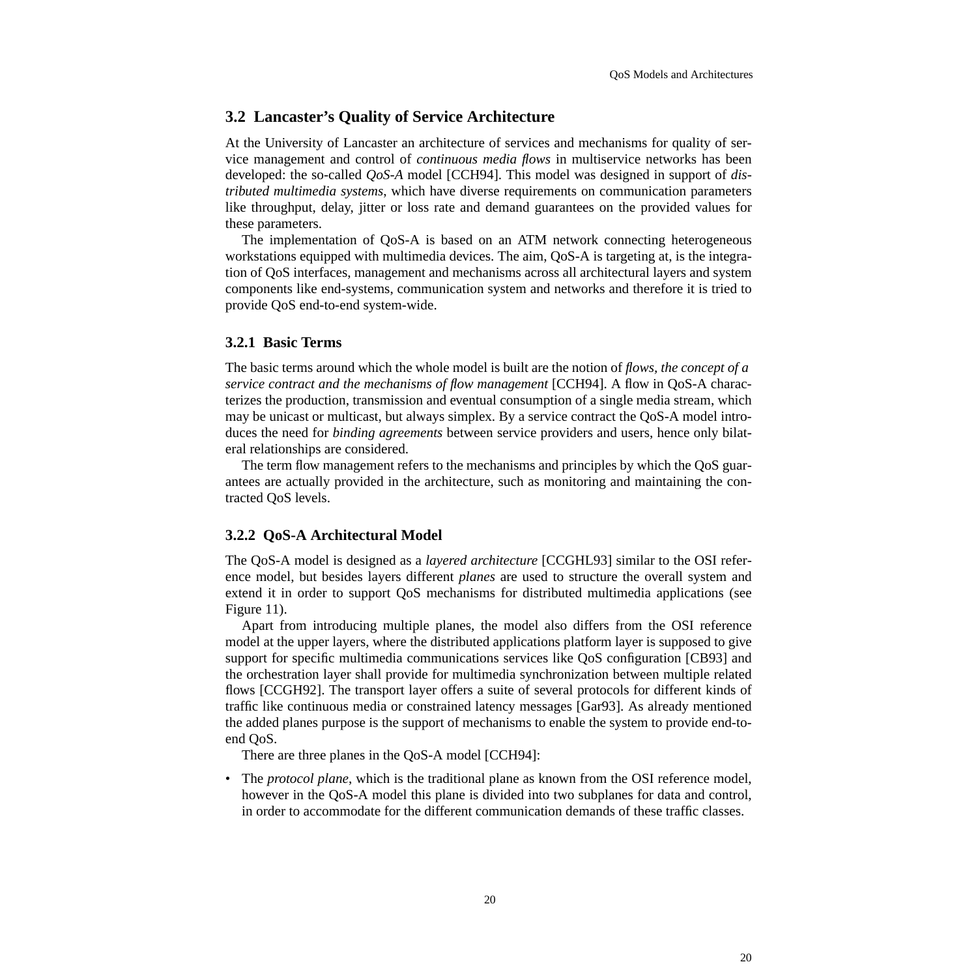## <span id="page-21-0"></span>**3.2 Lancaster's Quality of Service Architecture**

At the University of Lancaster an architecture of services and mechanisms for quality of service management and control of *continuous media flows* in multiservice networks has been developed: the so-called *QoS-A* model [\[CCH94\].](#page-78-0) This model was designed in support of *distributed multimedia systems*, which have diverse requirements on communication parameters like throughput, delay, jitter or loss rate and demand guarantees on the provided values for these parameters.

The implementation of QoS-A is based on an ATM network connecting heterogeneous workstations equipped with multimedia devices. The aim, QoS-A is targeting at, is the integration of QoS interfaces, management and mechanisms across all architectural layers and system components like end-systems, communication system and networks and therefore it is tried to provide QoS end-to-end system-wide.

### **3.2.1 Basic Terms**

The basic terms around which the whole model is built are the notion of *flows, the concept of a service contract and the mechanisms of flow management* [\[CCH94\]](#page-78-0). A flow in QoS-A characterizes the production, transmission and eventual consumption of a single media stream, which may be unicast or multicast, but always simplex. By a service contract the QoS-A model introduces the need for *binding agreements* between service providers and users, hence only bilateral relationships are considered.

The term flow management refers to the mechanisms and principles by which the QoS guarantees are actually provided in the architecture, such as monitoring and maintaining the contracted QoS levels.

## **3.2.2 QoS-A Architectural Model**

The QoS-A model is designed as a *layered architecture* [\[CCGHL93\]](#page-78-0) similar to the OSI reference model, but besides layers different *planes* are used to structure the overall system and extend it in order to support QoS mechanisms for distributed multimedia applications (see [Figure 11\)](#page-22-0).

Apart from introducing multiple planes, the model also differs from the OSI reference model at the upper layers, where the distributed applications platform layer is supposed to give support for specific multimedia communications services like QoS configuration [\[CB93\]](#page-78-0) and the orchestration layer shall provide for multimedia synchronization between multiple related flows [\[CCGH92\].](#page-78-0) The transport layer offers a suite of several protocols for different kinds of traffic like continuous media or constrained latency messages [Gar93]. As already mentioned the added planes purpose is the support of mechanisms to enable the system to provide end-toend QoS.

There are three planes in the QoS-A model [[CCH94\]:](#page-78-0)

• The *protocol plane*, which is the traditional plane as known from the OSI reference model, however in the QoS-A model this plane is divided into two subplanes for data and control, in order to accommodate for the different communication demands of these traffic classes.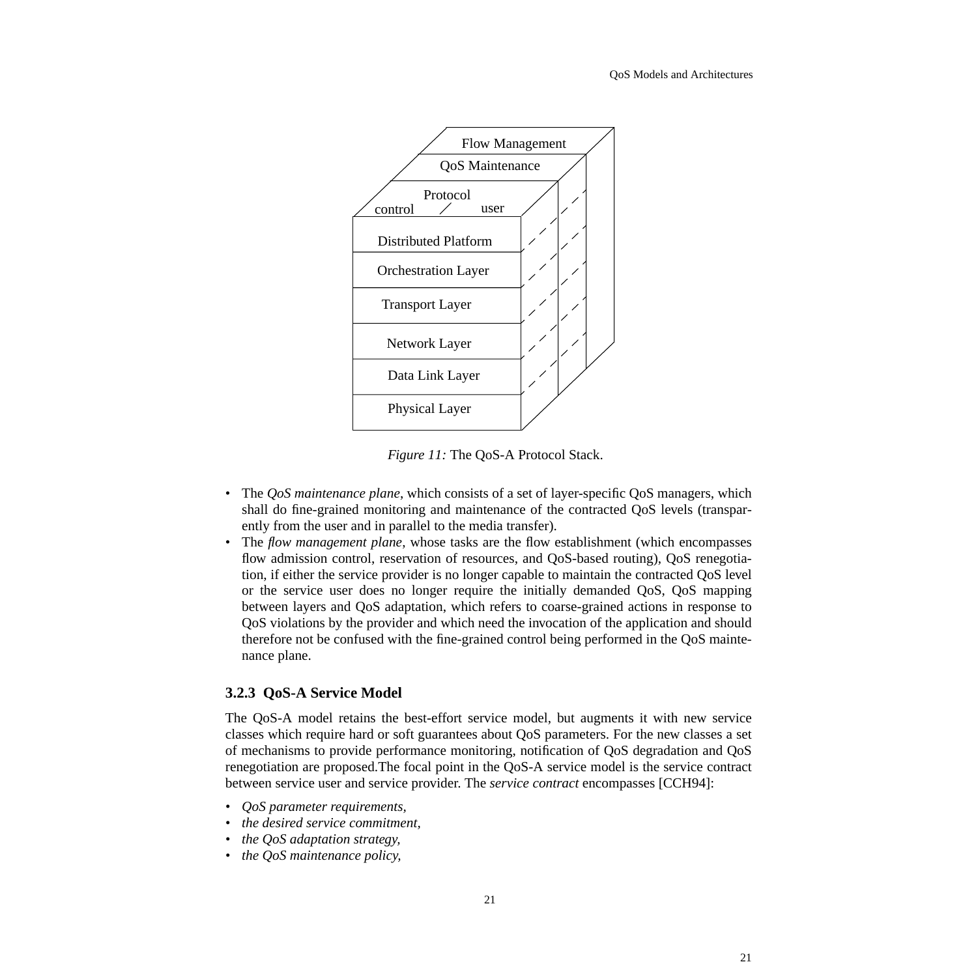<span id="page-22-0"></span>

*Figure 11:* The QoS-A Protocol Stack.

- The *QoS maintenance plane*, which consists of a set of layer-specific *QoS* managers, which shall do fine-grained monitoring and maintenance of the contracted QoS levels (transparently from the user and in parallel to the media transfer).
- The *flow management plane*, whose tasks are the flow establishment (which encompasses flow admission control, reservation of resources, and QoS-based routing), QoS renegotiation, if either the service provider is no longer capable to maintain the contracted QoS level or the service user does no longer require the initially demanded QoS, QoS mapping between layers and QoS adaptation, which refers to coarse-grained actions in response to QoS violations by the provider and which need the invocation of the application and should therefore not be confused with the fine-grained control being performed in the QoS maintenance plane.

### **3.2.3 QoS-A Service Model**

The QoS-A model retains the best-effort service model, but augments it with new service classes which require hard or soft guarantees about QoS parameters. For the new classes a set of mechanisms to provide performance monitoring, notification of QoS degradation and QoS renegotiation are proposed.The focal point in the QoS-A service model is the service contract between service user and service provider. The *service contract* encompasses [C[CH94\]:](#page-78-0)

- *QoS parameter requirements,*
- *the desired service commitment,*
- *the QoS adaptation strategy,*
- *the QoS maintenance policy,*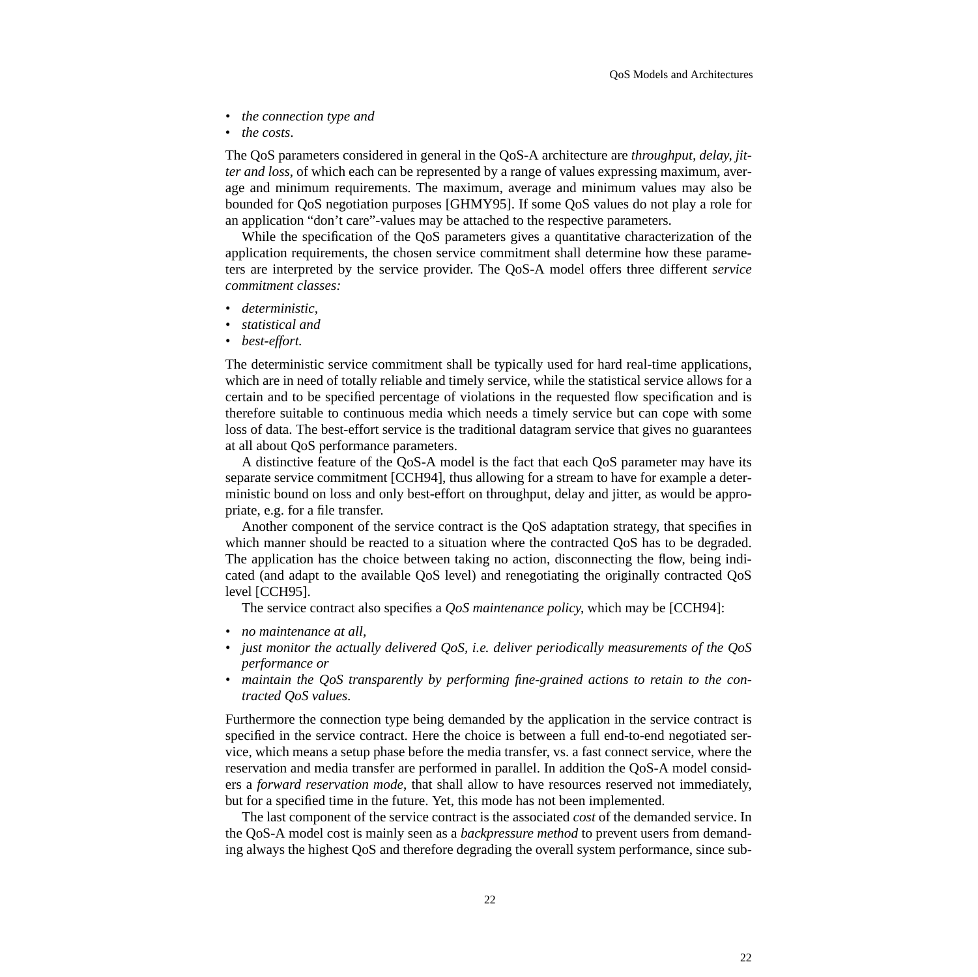- *the connection type and*
- *the costs*.

The QoS parameters considered in general in the QoS-A architecture are *throughput, delay, jitter and loss*, of which each can be represented by a range of values expressing maximum, average and minimum requirements. The maximum, average and minimum values may also be bounded for QoS negotiation purposes [\[GHMY95\].](#page-80-0) If some QoS values do not play a role for an application "don't care"-values may be attached to the respective parameters.

While the specification of the QoS parameters gives a quantitative characterization of the application requirements, the chosen service commitment shall determine how these parameters are interpreted by the service provider. The QoS-A model offers three different *service commitment classes:*

- *deterministic,*
- *statistical and*
- *best-effort.*

The deterministic service commitment shall be typically used for hard real-time applications, which are in need of totally reliable and timely service, while the statistical service allows for a certain and to be specified percentage of violations in the requested flow specification and is therefore suitable to continuous media which needs a timely service but can cope with some loss of data. The best-effort service is the traditional datagram service that gives no guarantees at all about QoS performance parameters.

A distinctive feature of the QoS-A model is the fact that each QoS parameter may have its separate service commitment [\[CCH94\]](#page-78-0), thus allowing for a stream to have for example a deterministic bound on loss and only best-effort on throughput, delay and jitter, as would be appropriate, e.g. for a file transfer.

Another component of the service contract is the QoS adaptation strategy, that specifies in which manner should be reacted to a situation where the contracted QoS has to be degraded. The application has the choice between taking no action, disconnecting the flow, being indicated (and adapt to the available QoS level) and renegotiating the originally contracted QoS level [\[CCH95\].](#page-78-0)

The service contract also specifies a *QoS maintenance policy*, which may be [[CCH94\]:](#page-78-0)

- *no maintenance at all,*
- *just monitor the actually delivered QoS, i.e. deliver periodically measurements of the QoS performance or*
- *maintain the QoS transparently by performing fine-grained actions to retain to the contracted QoS values.*

Furthermore the connection type being demanded by the application in the service contract is specified in the service contract. Here the choice is between a full end-to-end negotiated service, which means a setup phase before the media transfer, vs. a fast connect service, where the reservation and media transfer are performed in parallel. In addition the QoS-A model considers a *forward reservation mode*, that shall allow to have resources reserved not immediately, but for a specified time in the future. Yet, this mode has not been implemented.

The last component of the service contract is the associated *cost* of the demanded service. In the QoS-A model cost is mainly seen as a *backpressure method* to prevent users from demanding always the highest QoS and therefore degrading the overall system performance, since sub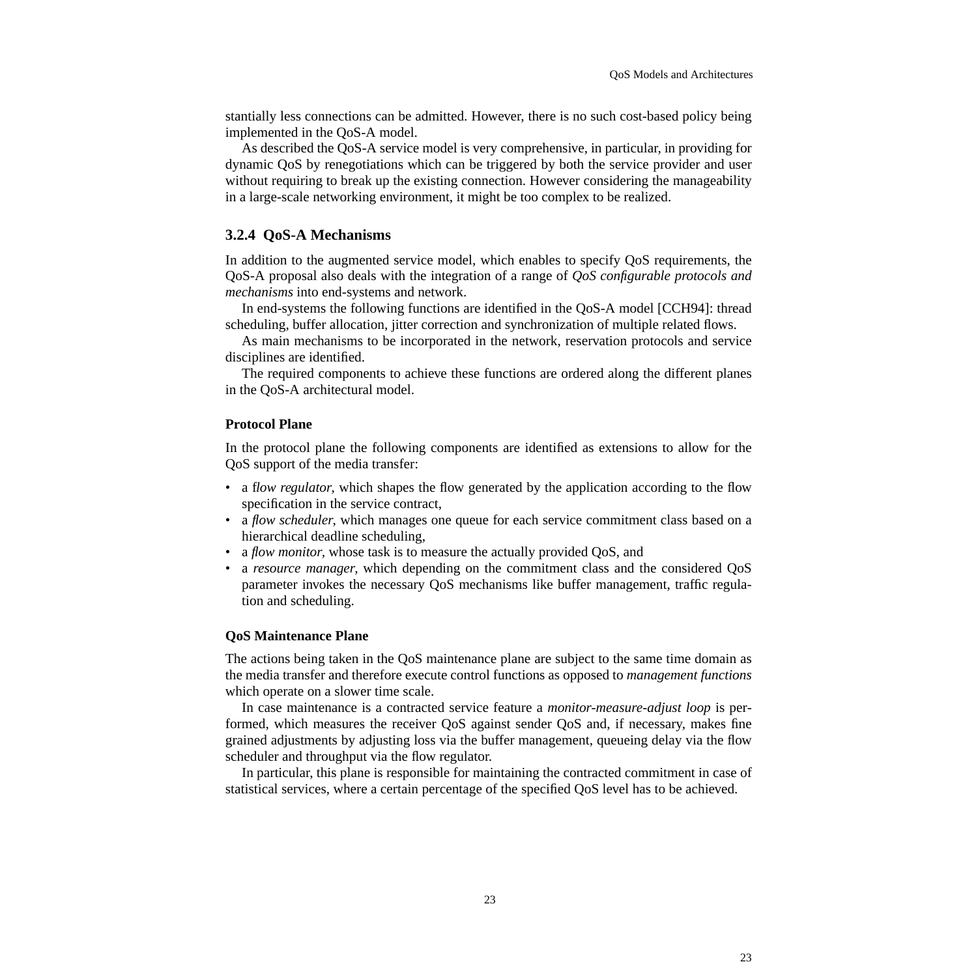<span id="page-24-0"></span>stantially less connections can be admitted. However, there is no such cost-based policy being implemented in the QoS-A model.

As described the QoS-A service model is very comprehensive, in particular, in providing for dynamic QoS by renegotiations which can be triggered by both the service provider and user without requiring to break up the existing connection. However considering the manageability in a large-scale networking environment, it might be too complex to be realized.

### **3.2.4 QoS-A Mechanisms**

In addition to the augmented service model, which enables to specify QoS requirements, the QoS-A proposal also deals with the integration of a range of *QoS configurable protocols and mechanisms* into end-systems and network.

In end-systems the following functions are identified in the QoS-A model [\[CCH94\]](#page-78-0): thread scheduling, buffer allocation, jitter correction and synchronization of multiple related flows.

As main mechanisms to be incorporated in the network, reservation protocols and service disciplines are identified.

The required components to achieve these functions are ordered along the different planes in the QoS-A architectural model.

#### **Protocol Plane**

In the protocol plane the following components are identified as extensions to allow for the QoS support of the media transfer:

- a *flow regulator*, which shapes the flow generated by the application according to the flow specification in the service contract,
- a *flow scheduler*, which manages one queue for each service commitment class based on a hierarchical deadline scheduling,
- a *flow monitor*, whose task is to measure the actually provided QoS, and
- a *resource manager*, which depending on the commitment class and the considered QoS parameter invokes the necessary QoS mechanisms like buffer management, traffic regulation and scheduling.

#### **QoS Maintenance Plane**

The actions being taken in the QoS maintenance plane are subject to the same time domain as the media transfer and therefore execute control functions as opposed to *management functions* which operate on a slower time scale.

In case maintenance is a contracted service feature a *monitor-measure-adjust loop* is performed, which measures the receiver QoS against sender QoS and, if necessary, makes fine grained adjustments by adjusting loss via the buffer management, queueing delay via the flow scheduler and throughput via the flow regulator.

In particular, this plane is responsible for maintaining the contracted commitment in case of statistical services, where a certain percentage of the specified QoS level has to be achieved.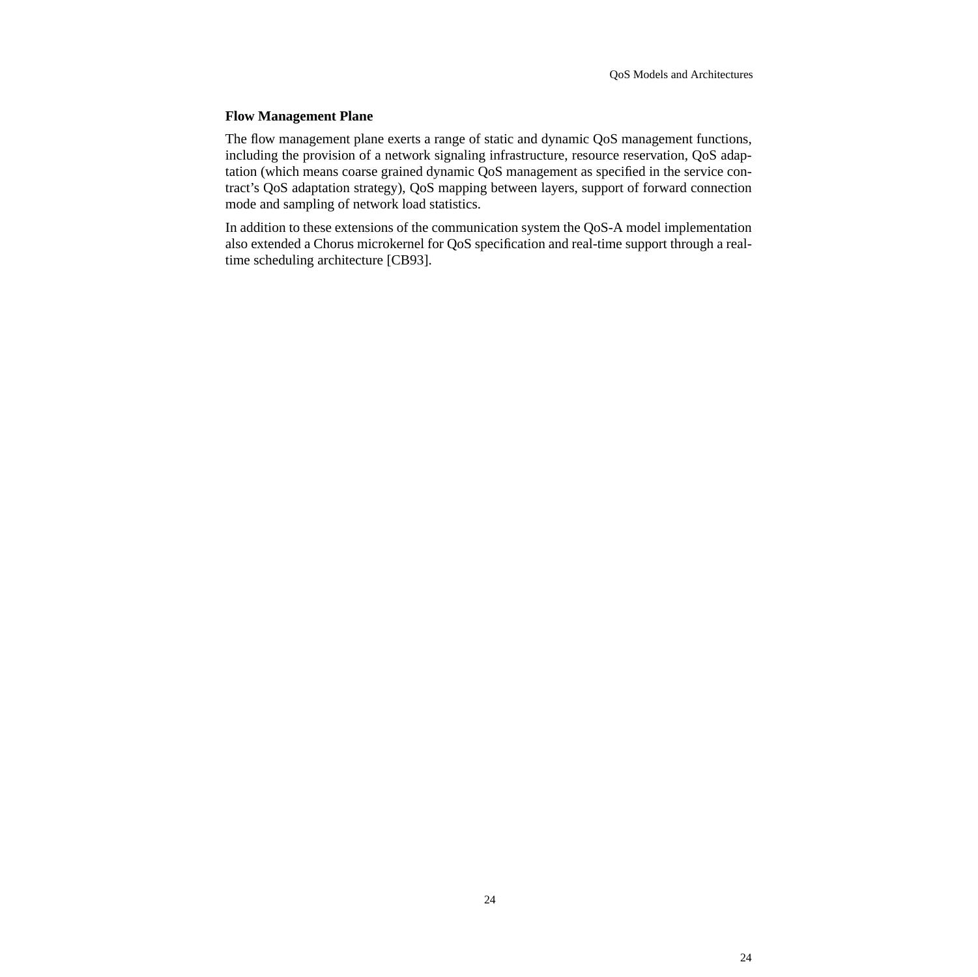#### **Flow Management Plane**

The flow management plane exerts a range of static and dynamic QoS management functions, including the provision of a network signaling infrastructure, resource reservation, QoS adaptation (which means coarse grained dynamic QoS management as specified in the service contract's QoS adaptation strategy), QoS mapping between layers, support of forward connection mode and sampling of network load statistics.

In addition to these extensions of the communication system the QoS-A model implementation also extended a Chorus microkernel for QoS specification and real-time support through a realtime scheduling architecture [\[CB93\].](#page-78-0)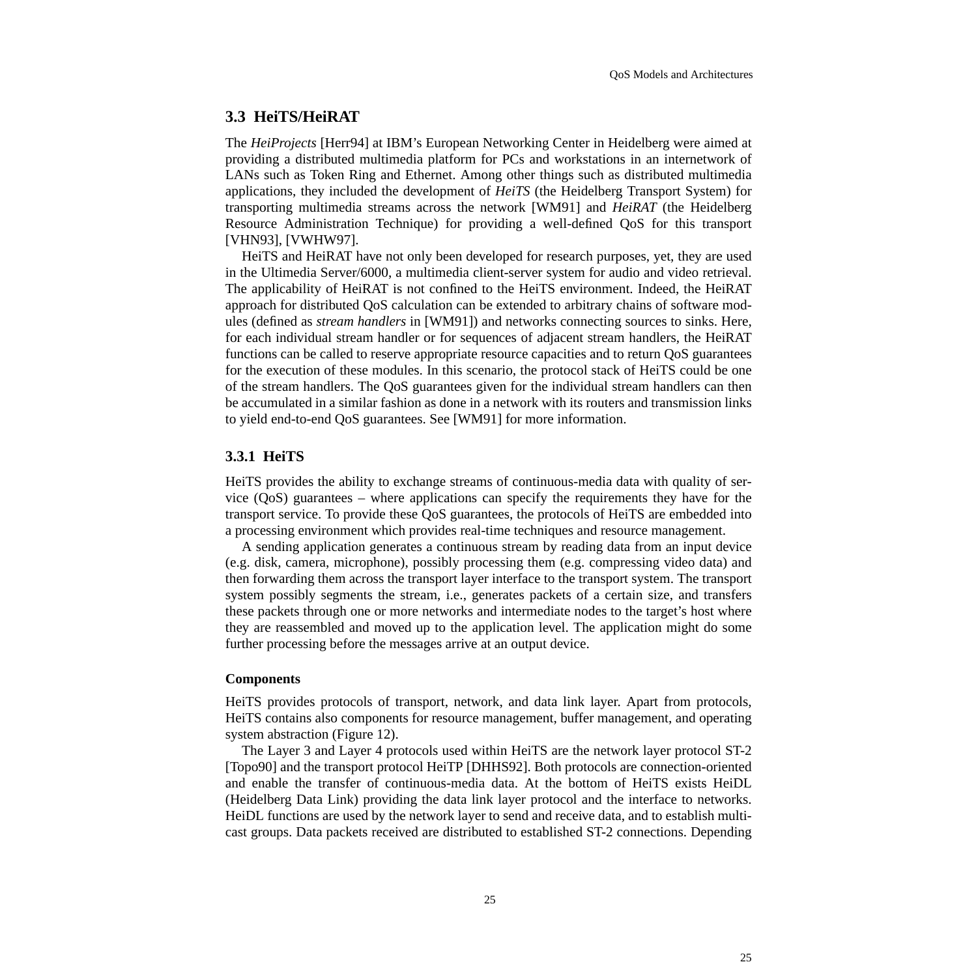# <span id="page-26-0"></span>**3.3 HeiTS/HeiRAT**

The *HeiProjects* [\[Herr94\]](#page-80-0) at IBM's European Networking Center in Heidelberg were aimed at providing a distributed multimedia platform for PCs and workstations in an internetwork of LANs such as Token Ring and Ethernet. Among other things such as distributed multimedia applications, they included the development of *HeiTS* (the Heidelberg Transport System) for transporting multimedia streams across the network [\[WM91\]](#page-84-0) and *HeiRAT* (the Heidelberg Resource Administration Technique) for providing a well-defined QoS for this transport [\[VHN93\],](#page-83-0) [\[VWHW97\].](#page-83-0)

HeiTS and HeiRAT have not only been developed for research purposes, yet, they are used in the Ultimedia Server/6000, a multimedia client-server system for audio and video retrieval. The applicability of HeiRAT is not confined to the HeiTS environment. Indeed, the HeiRAT approach for distributed QoS calculation can be extended to arbitrary chains of software modules (defined as *stream handlers* in [\[WM91\]](#page-84-0)) and networks connecting sources to sinks. Here, for each individual stream handler or for sequences of adjacent stream handlers, the HeiRAT functions can be called to reserve appropriate resource capacities and to return QoS guarantees for the execution of these modules. In this scenario, the protocol stack of HeiTS could be one of the stream handlers. The QoS guarantees given for the individual stream handlers can then be accumulated in a similar fashion as done in a network with its routers and transmission links to yield end-to-end QoS guarantees. See [[WM91\] for](#page-84-0) more information.

# **3.3.1 HeiTS**

HeiTS provides the ability to exchange streams of continuous-media data with quality of service (QoS) guarantees – where applications can specify the requirements they have for the transport service. To provide these QoS guarantees, the protocols of HeiTS are embedded into a processing environment which provides real-time techniques and resource management.

A sending application generates a continuous stream by reading data from an input device (e.g. disk, camera, microphone), possibly processing them (e.g. compressing video data) and then forwarding them across the transport layer interface to the transport system. The transport system possibly segments the stream, i.e., generates packets of a certain size, and transfers these packets through one or more networks and intermediate nodes to the target's host where they are reassembled and moved up to the application level. The application might do some further processing before the messages arrive at an output device.

### **Components**

HeiTS provides protocols of transport, network, and data link layer. Apart from protocols, HeiTS contains also components for resource management, buffer management, and operating system abstraction (F[igure 12\).](#page-27-0)

The Layer 3 and Layer 4 protocols used within HeiTS are the network layer protocol ST-2 [\[Topo90\]](#page-83-0) and the transport protocol HeiTP [\[DHHS92\].](#page-79-0) Both protocols are connection-oriented and enable the transfer of continuous-media data. At the bottom of HeiTS exists HeiDL (Heidelberg Data Link) providing the data link layer protocol and the interface to networks. HeiDL functions are used by the network layer to send and receive data, and to establish multicast groups. Data packets received are distributed to established ST-2 connections. Depending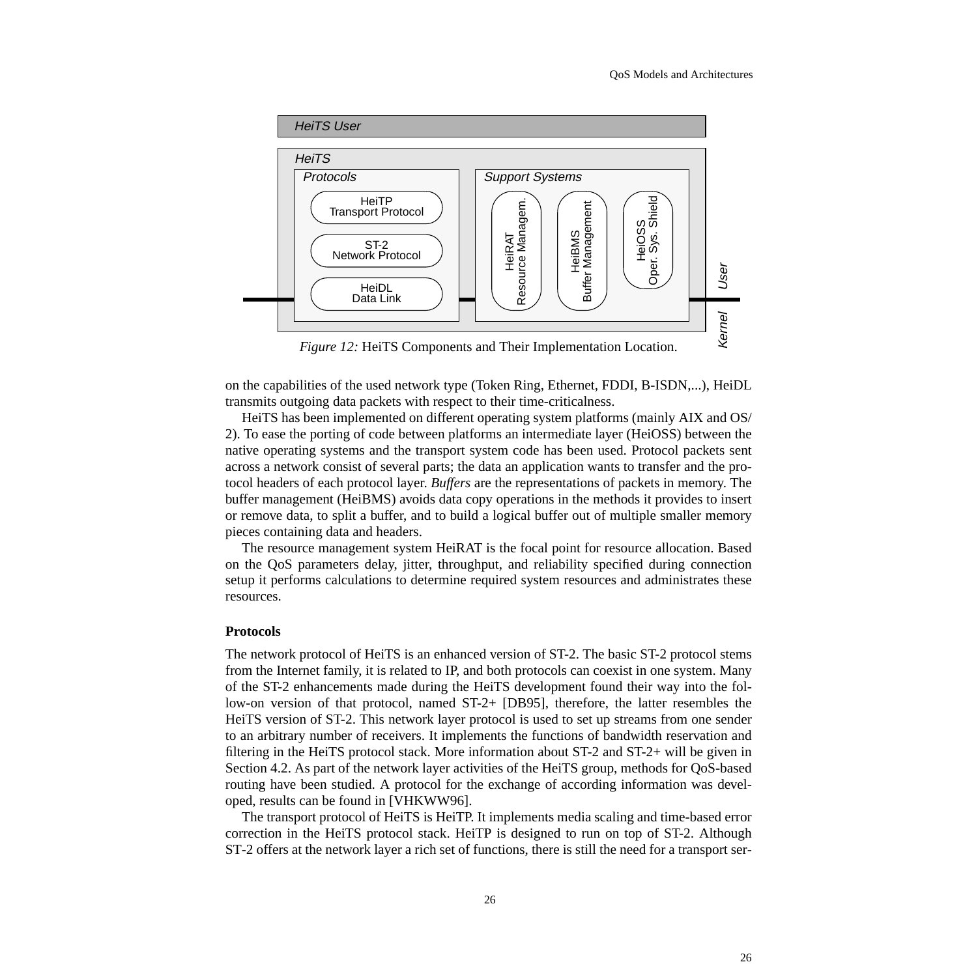<span id="page-27-0"></span>![](_page_27_Figure_1.jpeg)

*Figure 12:* HeiTS Components and Their Implementation Location.

on the capabilities of the used network type (Token Ring, Ethernet, FDDI, B-ISDN,...), HeiDL transmits outgoing data packets with respect to their time-criticalness.

HeiTS has been implemented on different operating system platforms (mainly AIX and OS/ 2). To ease the porting of code between platforms an intermediate layer (HeiOSS) between the native operating systems and the transport system code has been used. Protocol packets sent across a network consist of several parts; the data an application wants to transfer and the protocol headers of each protocol layer. *Buffers* are the representations of packets in memory. The buffer management (HeiBMS) avoids data copy operations in the methods it provides to insert or remove data, to split a buffer, and to build a logical buffer out of multiple smaller memory pieces containing data and headers.

The resource management system HeiRAT is the focal point for resource allocation. Based on the QoS parameters delay, jitter, throughput, and reliability specified during connection setup it performs calculations to determine required system resources and administrates these resources.

#### **Protocols**

The network protocol of HeiTS is an enhanced version of ST-2. The basic ST-2 protocol stems from the Internet family, it is related to IP, and both protocols can coexist in one system. Many of the ST-2 enhancements made during the HeiTS development found their way into the follow-on version of that protocol, named ST-2+ [\[DB95\]](#page-78-0), therefore, the latter resembles the HeiTS version of ST-2. This network layer protocol is used to set up streams from one sender to an arbitrary number of receivers. It implements the functions of bandwidth reservation and filtering in the HeiTS protocol stack. More information about ST-2 and ST-2+ will be given in [Section 4.2](#page-54-0). As part of the network layer activities of the HeiTS group, methods for QoS-based routing have been studied. A protocol for the exchange of according information was developed, results can be found in [\[VHKWW96\].](#page-83-0)

The transport protocol of HeiTS is HeiTP. It implements media scaling and time-based error correction in the HeiTS protocol stack. HeiTP is designed to run on top of ST-2. Although ST-2 offers at the network layer a rich set of functions, there is still the need for a transport ser-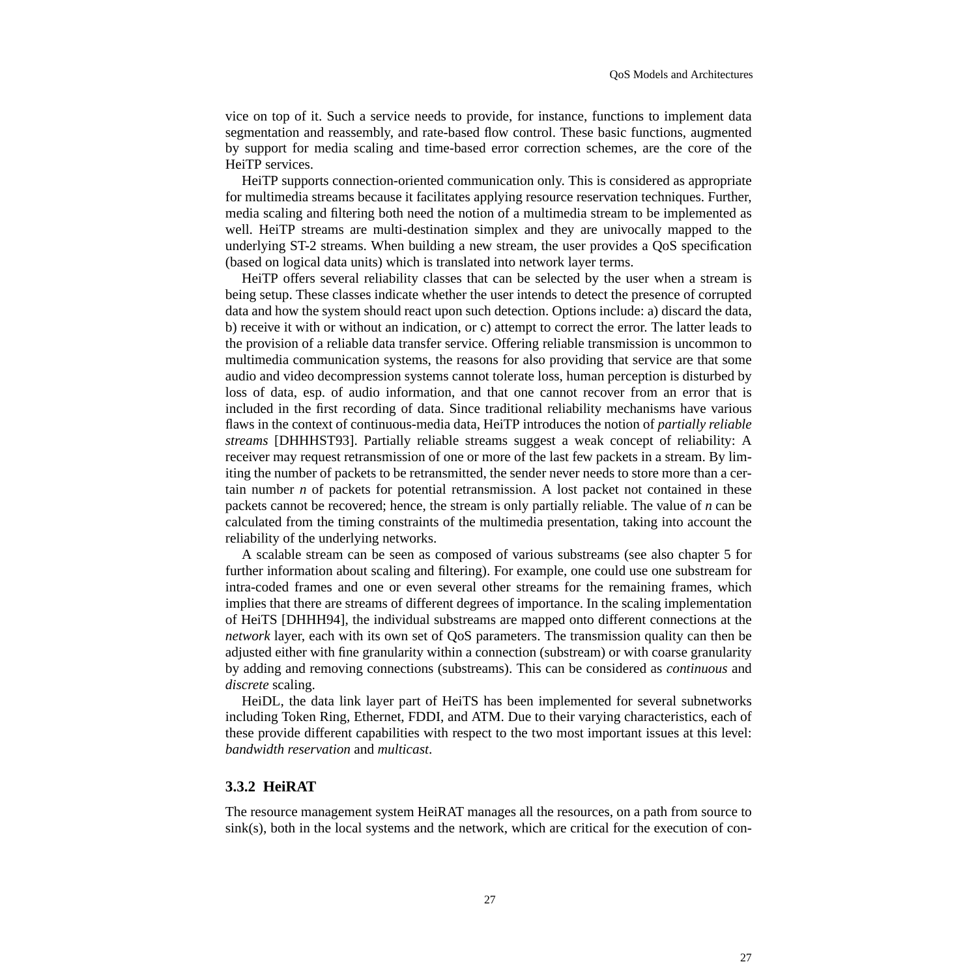<span id="page-28-0"></span>vice on top of it. Such a service needs to provide, for instance, functions to implement data segmentation and reassembly, and rate-based flow control. These basic functions, augmented by support for media scaling and time-based error correction schemes, are the core of the HeiTP services.

HeiTP supports connection-oriented communication only. This is considered as appropriate for multimedia streams because it facilitates applying resource reservation techniques. Further, media scaling and filtering both need the notion of a multimedia stream to be implemented as well. HeiTP streams are multi-destination simplex and they are univocally mapped to the underlying ST-2 streams. When building a new stream, the user provides a QoS specification (based on logical data units) which is translated into network layer terms.

HeiTP offers several reliability classes that can be selected by the user when a stream is being setup. These classes indicate whether the user intends to detect the presence of corrupted data and how the system should react upon such detection. Options include: a) discard the data, b) receive it with or without an indication, or c) attempt to correct the error. The latter leads to the provision of a reliable data transfer service. Offering reliable transmission is uncommon to multimedia communication systems, the reasons for also providing that service are that some audio and video decompression systems cannot tolerate loss, human perception is disturbed by loss of data, esp. of audio information, and that one cannot recover from an error that is included in the first recording of data. Since traditional reliability mechanisms have various flaws in the context of continuous-media data, HeiTP introduces the notion of *partially reliable streams* [\[DHHHST93\].](#page-79-0) Partially reliable streams suggest a weak concept of reliability: A receiver may request retransmission of one or more of the last few packets in a stream. By limiting the number of packets to be retransmitted, the sender never needs to store more than a certain number *n* of packets for potential retransmission. A lost packet not contained in these packets cannot be recovered; hence, the stream is only partially reliable. The value of *n* can be calculated from the timing constraints of the multimedia presentation, taking into account the reliability of the underlying networks.

A scalable stream can be seen as composed of various substreams (see also [chapter 5](#page-67-0) for further information about scaling and filtering). For example, one could use one substream for intra-coded frames and one or even several other streams for the remaining frames, which implies that there are streams of different degrees of importance. In the scaling implementation of HeiTS [\[DHHH94\],](#page-79-0) the individual substreams are mapped onto different connections at the *network* layer, each with its own set of QoS parameters. The transmission quality can then be adjusted either with fine granularity within a connection (substream) or with coarse granularity by adding and removing connections (substreams). This can be considered as *continuous* and *discrete* scaling.

HeiDL, the data link layer part of HeiTS has been implemented for several subnetworks including Token Ring, Ethernet, FDDI, and ATM. Due to their varying characteristics, each of these provide different capabilities with respect to the two most important issues at this level: *bandwidth reservation* and *multicast*.

#### **3.3.2 HeiRAT**

The resource management system HeiRAT manages all the resources, on a path from source to  $sink(s)$ , both in the local systems and the network, which are critical for the execution of con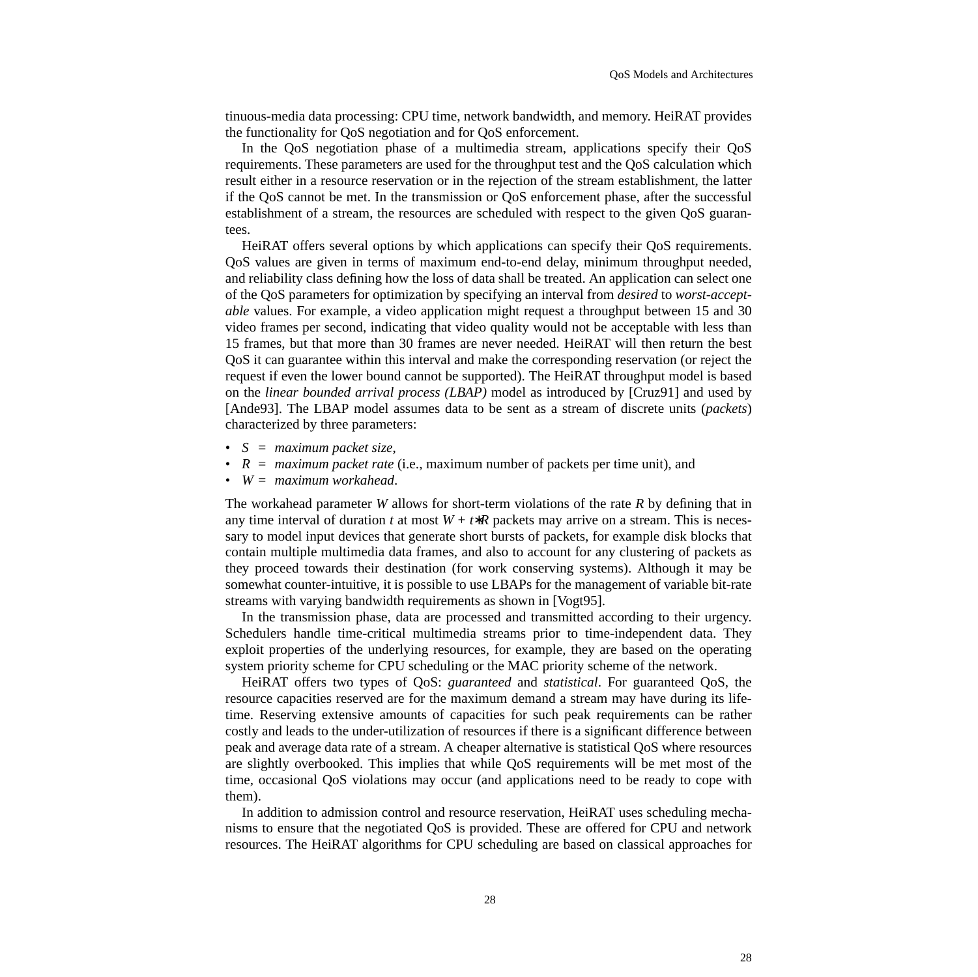tinuous-media data processing: CPU time, network bandwidth, and memory. HeiRAT provides the functionality for QoS negotiation and for QoS enforcement.

In the QoS negotiation phase of a multimedia stream, applications specify their QoS requirements. These parameters are used for the throughput test and the QoS calculation which result either in a resource reservation or in the rejection of the stream establishment, the latter if the QoS cannot be met. In the transmission or QoS enforcement phase, after the successful establishment of a stream, the resources are scheduled with respect to the given QoS guarantees.

HeiRAT offers several options by which applications can specify their QoS requirements. QoS values are given in terms of maximum end-to-end delay, minimum throughput needed, and reliability class defining how the loss of data shall be treated. An application can select one of the QoS parameters for optimization by specifying an interval from *desired* to *worst-acceptable* values. For example, a video application might request a throughput between 15 and 30 video frames per second, indicating that video quality would not be acceptable with less than 15 frames, but that more than 30 frames are never needed. HeiRAT will then return the best QoS it can guarantee within this interval and make the corresponding reservation (or reject the request if even the lower bound cannot be supported). The HeiRAT throughput model is based on the *linear bounded arrival process (LBAP)* model as introduced by [\[Cruz91\]](#page-78-0) and used by [\[Ande93\].](#page-77-0) The LBAP model assumes data to be sent as a stream of discrete units (*packets*) characterized by three parameters:

- *S* = *maximum packet size*,
- *R* = *maximum packet rate* (i.e., maximum number of packets per time unit), and
- *W* = *maximum workahead*.

The workahead parameter *W* allows for short-term violations of the rate *R* by defining that in any time interval of duration *t* at most  $W + t \cdot R$  packets may arrive on a stream. This is necessary to model input devices that generate short bursts of packets, for example disk blocks that contain multiple multimedia data frames, and also to account for any clustering of packets as they proceed towards their destination (for work conserving systems). Although it may be somewhat counter-intuitive, it is possible to use LBAPs for the management of variable bit-rate streams with varying bandwidth requirements as shown in [V[ogt95\].](#page-83-0)

In the transmission phase, data are processed and transmitted according to their urgency. Schedulers handle time-critical multimedia streams prior to time-independent data. They exploit properties of the underlying resources, for example, they are based on the operating system priority scheme for CPU scheduling or the MAC priority scheme of the network.

HeiRAT offers two types of QoS: *guaranteed* and *statistical*. For guaranteed QoS, the resource capacities reserved are for the maximum demand a stream may have during its lifetime. Reserving extensive amounts of capacities for such peak requirements can be rather costly and leads to the under-utilization of resources if there is a significant difference between peak and average data rate of a stream. A cheaper alternative is statistical QoS where resources are slightly overbooked. This implies that while QoS requirements will be met most of the time, occasional QoS violations may occur (and applications need to be ready to cope with them).

In addition to admission control and resource reservation, HeiRAT uses scheduling mechanisms to ensure that the negotiated QoS is provided. These are offered for CPU and network resources. The HeiRAT algorithms for CPU scheduling are based on classical approaches for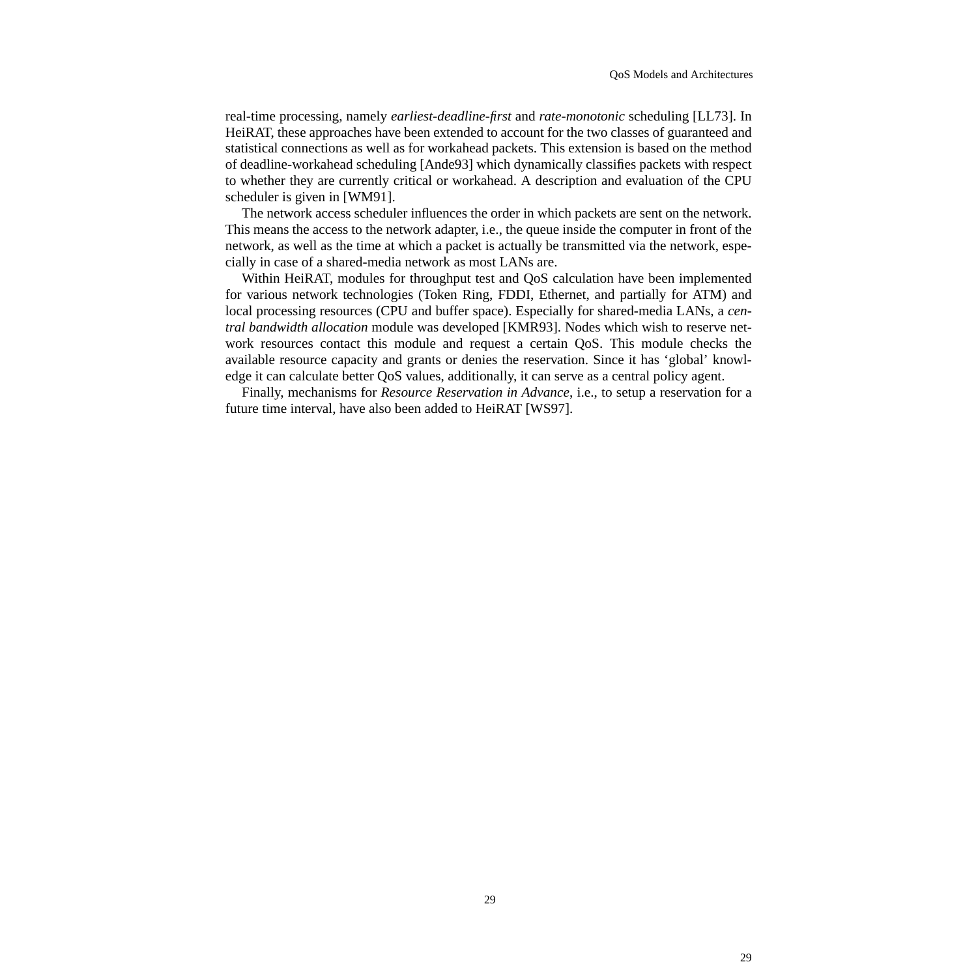real-time processing, namely *earliest-deadline-first* and *rate-monotonic* scheduling [\[LL73\].](#page-81-0) In HeiRAT, these approaches have been extended to account for the two classes of guaranteed and statistical connections as well as for workahead packets. This extension is based on the method of deadline-workahead scheduling [\[Ande93\]](#page-77-0) which dynamically classifies packets with respect to whether they are currently critical or workahead. A description and evaluation of the CPU scheduler is given in [\[WM91\].](#page-84-0)

The network access scheduler influences the order in which packets are sent on the network. This means the access to the network adapter, i.e., the queue inside the computer in front of the network, as well as the time at which a packet is actually be transmitted via the network, especially in case of a shared-media network as most LANs are.

Within HeiRAT, modules for throughput test and QoS calculation have been implemented for various network technologies (Token Ring, FDDI, Ethernet, and partially for ATM) and local processing resources (CPU and buffer space). Especially for shared-media LANs, a *central bandwidth allocation* module was develope[d \[KMR93\]](#page-81-0). Nodes which wish to reserve network resources contact this module and request a certain QoS. This module checks the available resource capacity and grants or denies the reservation. Since it has 'global' knowledge it can calculate better QoS values, additionally, it can serve as a central policy agent.

Finally, mechanisms for *Resource Reservation in Advance*, i.e., to setup a reservation for a future time interval, have also been added to HeiRAT [[WS97\].](#page-84-0)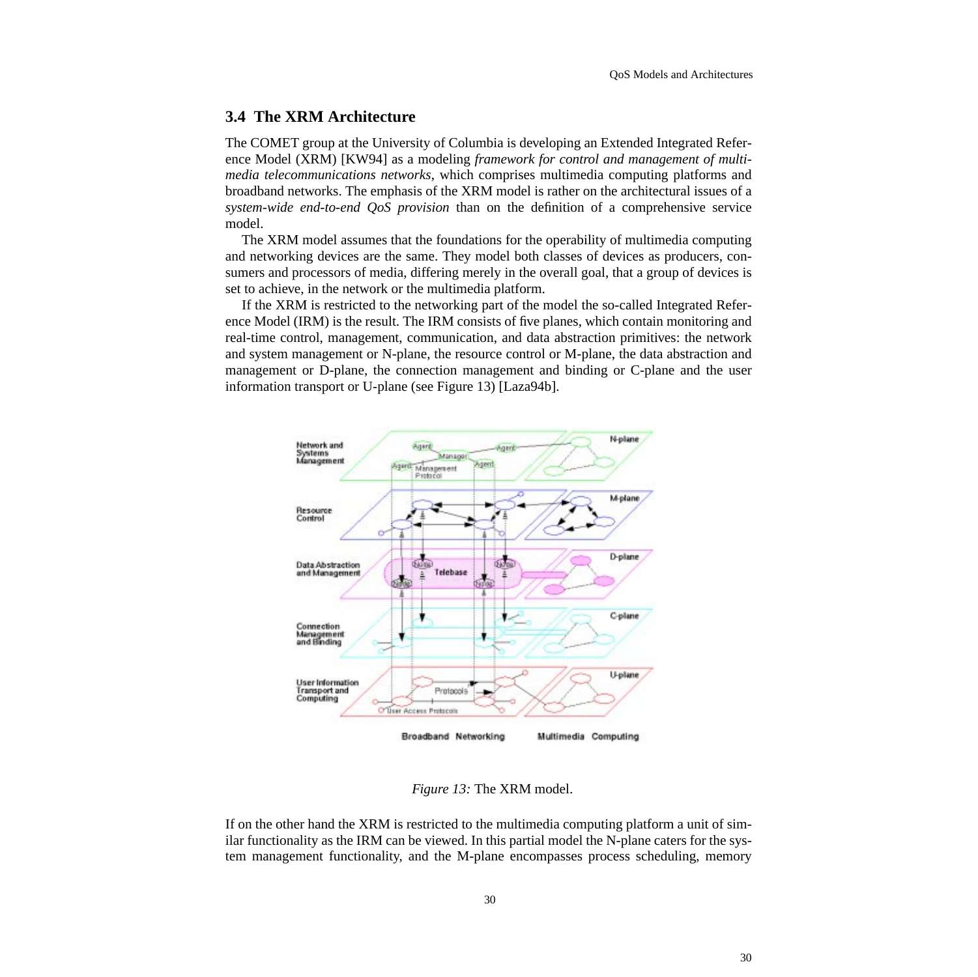# <span id="page-31-0"></span>**3.4 The XRM Architecture**

The COMET group at the University of Columbia is developing an Extended Integrated Reference Model (XRM) [\[KW94\]](#page-81-0) as a modeling *framework for control and management of multimedia telecommunications networks*, which comprises multimedia computing platforms and broadband networks. The emphasis of the XRM model is rather on the architectural issues of a *system-wide end-to-end QoS provision* than on the definition of a comprehensive service model.

The XRM model assumes that the foundations for the operability of multimedia computing and networking devices are the same. They model both classes of devices as producers, consumers and processors of media, differing merely in the overall goal, that a group of devices is set to achieve, in the network or the multimedia platform.

If the XRM is restricted to the networking part of the model the so-called Integrated Reference Model (IRM) is the result. The IRM consists of five planes, which contain monitoring and real-time control, management, communication, and data abstraction primitives: the network and system management or N-plane, the resource control or M-plane, the data abstraction and management or D-plane, the connection management and binding or C-plane and the user information transport or U-plane (see Figure 13) [[Laza94b\].](#page-81-0)

![](_page_31_Figure_5.jpeg)

*Figure 13:* The XRM model.

If on the other hand the XRM is restricted to the multimedia computing platform a unit of similar functionality as the IRM can be viewed. In this partial model the N-plane caters for the system management functionality, and the M-plane encompasses process scheduling, memory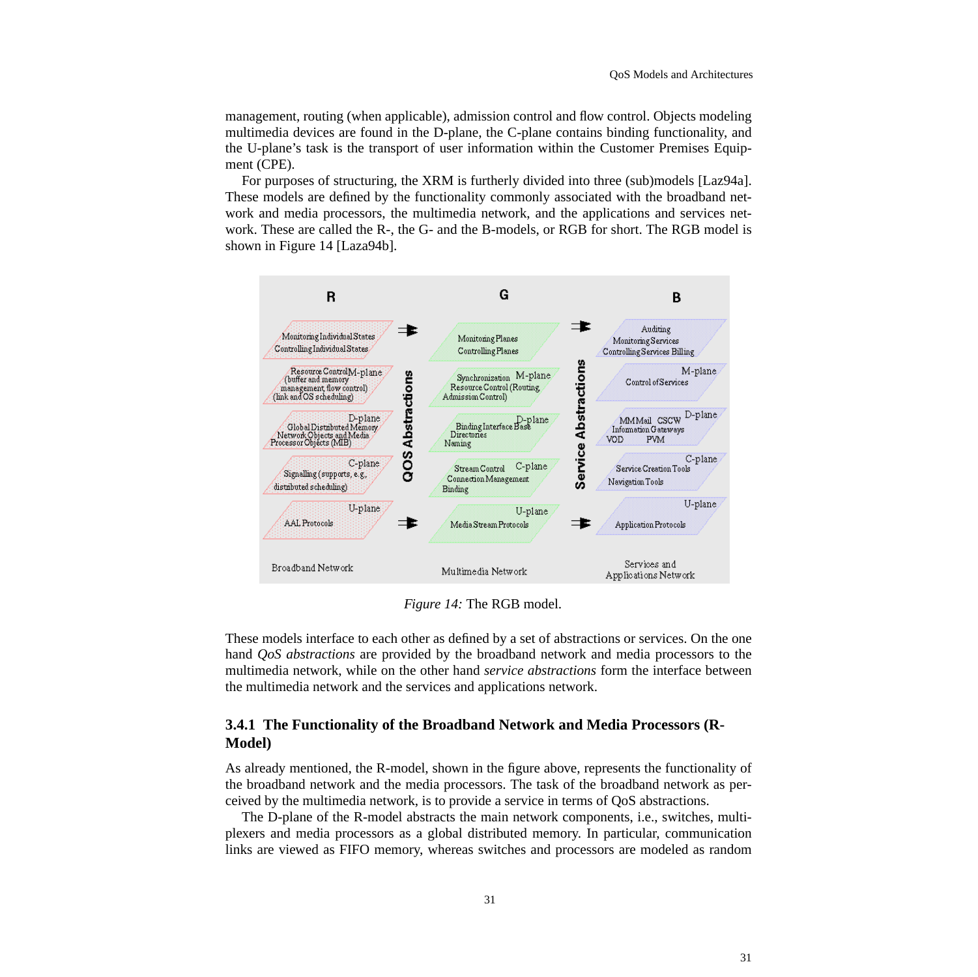<span id="page-32-0"></span>management, routing (when applicable), admission control and flow control. Objects modeling multimedia devices are found in the D-plane, the C-plane contains binding functionality, and the U-plane's task is the transport of user information within the Customer Premises Equipment (CPE).

For purposes of structuring, the XRM is furtherly divided into three (sub)models [Laz94a]. These models are defined by the functionality commonly associated with the broadband network and media processors, the multimedia network, and the applications and services network. These are called the R-, the G- and the B-models, or RGB for short. The RGB model is shown in Figure 14 [\[Laza94b\].](#page-81-0)

![](_page_32_Figure_3.jpeg)

*Figure 14:* The RGB model.

These models interface to each other as defined by a set of abstractions or services. On the one hand *QoS abstractions* are provided by the broadband network and media processors to the multimedia network, while on the other hand *service abstractions* form the interface between the multimedia network and the services and applications network.

#### **3.4.1 The Functionality of the Broadband Network and Media Processors (R-Model)**

As already mentioned, the R-model, shown in the figure above, represents the functionality of the broadband network and the media processors. The task of the broadband network as perceived by the multimedia network, is to provide a service in terms of QoS abstractions.

The D-plane of the R-model abstracts the main network components, i.e., switches, multiplexers and media processors as a global distributed memory. In particular, communication links are viewed as FIFO memory, whereas switches and processors are modeled as random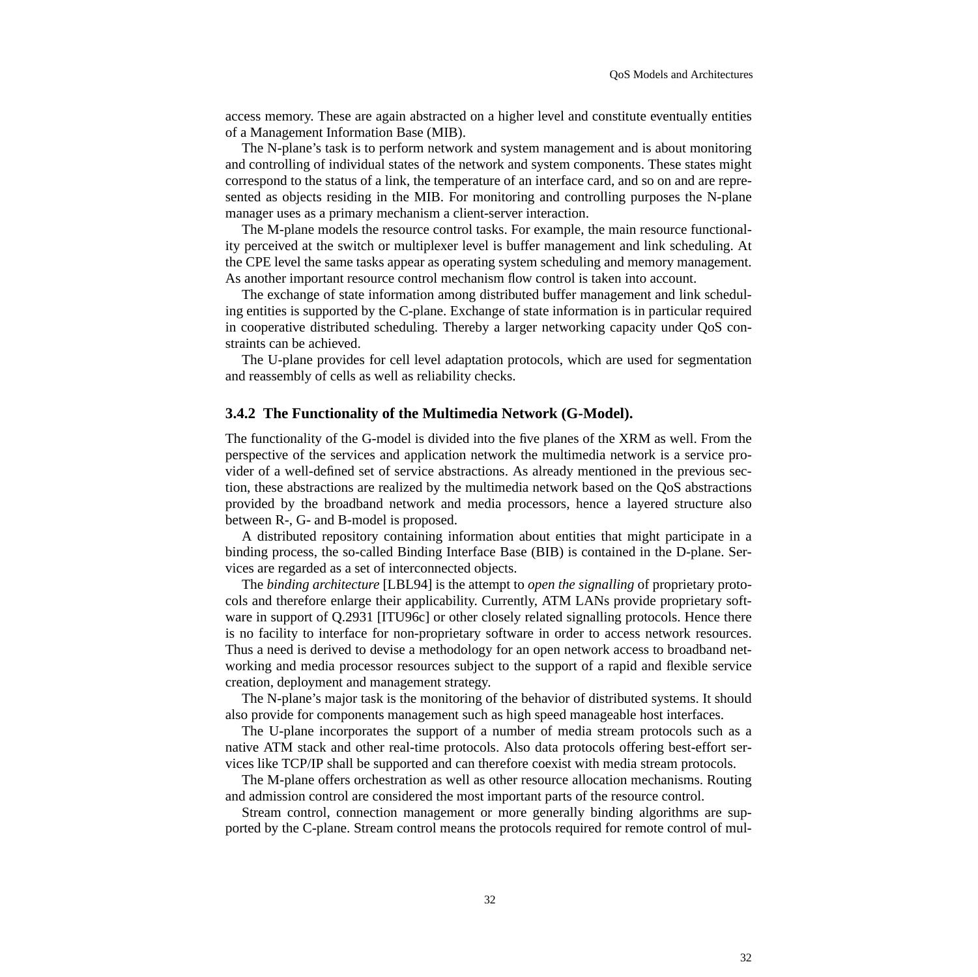<span id="page-33-0"></span>access memory. These are again abstracted on a higher level and constitute eventually entities of a Management Information Base (MIB).

The N-plane's task is to perform network and system management and is about monitoring and controlling of individual states of the network and system components. These states might correspond to the status of a link, the temperature of an interface card, and so on and are represented as objects residing in the MIB. For monitoring and controlling purposes the N-plane manager uses as a primary mechanism a client-server interaction.

The M-plane models the resource control tasks. For example, the main resource functionality perceived at the switch or multiplexer level is buffer management and link scheduling. At the CPE level the same tasks appear as operating system scheduling and memory management. As another important resource control mechanism flow control is taken into account.

The exchange of state information among distributed buffer management and link scheduling entities is supported by the C-plane. Exchange of state information is in particular required in cooperative distributed scheduling. Thereby a larger networking capacity under QoS constraints can be achieved.

The U-plane provides for cell level adaptation protocols, which are used for segmentation and reassembly of cells as well as reliability checks.

#### **3.4.2 The Functionality of the Multimedia Network (G-Model).**

The functionality of the G-model is divided into the five planes of the XRM as well. From the perspective of the services and application network the multimedia network is a service provider of a well-defined set of service abstractions. As already mentioned in the previous section, these abstractions are realized by the multimedia network based on the QoS abstractions provided by the broadband network and media processors, hence a layered structure also between R-, G- and B-model is proposed.

A distributed repository containing information about entities that might participate in a binding process, the so-called Binding Interface Base (BIB) is contained in the D-plane. Services are regarded as a set of interconnected objects.

The *binding architecture* [\[LBL94\]](#page-81-0) is the attempt to *open the signalling* of proprietary protocols and therefore enlarge their applicability. Currently, ATM LANs provide proprietary soft-ware in support of Q.2931 [\[ITU96c\]](#page-80-0) or other closely related signalling protocols. Hence there is no facility to interface for non-proprietary software in order to access network resources. Thus a need is derived to devise a methodology for an open network access to broadband networking and media processor resources subject to the support of a rapid and flexible service creation, deployment and management strategy.

The N-plane's major task is the monitoring of the behavior of distributed systems. It should also provide for components management such as high speed manageable host interfaces.

The U-plane incorporates the support of a number of media stream protocols such as a native ATM stack and other real-time protocols. Also data protocols offering best-effort services like TCP/IP shall be supported and can therefore coexist with media stream protocols.

The M-plane offers orchestration as well as other resource allocation mechanisms. Routing and admission control are considered the most important parts of the resource control.

Stream control, connection management or more generally binding algorithms are supported by the C-plane. Stream control means the protocols required for remote control of mul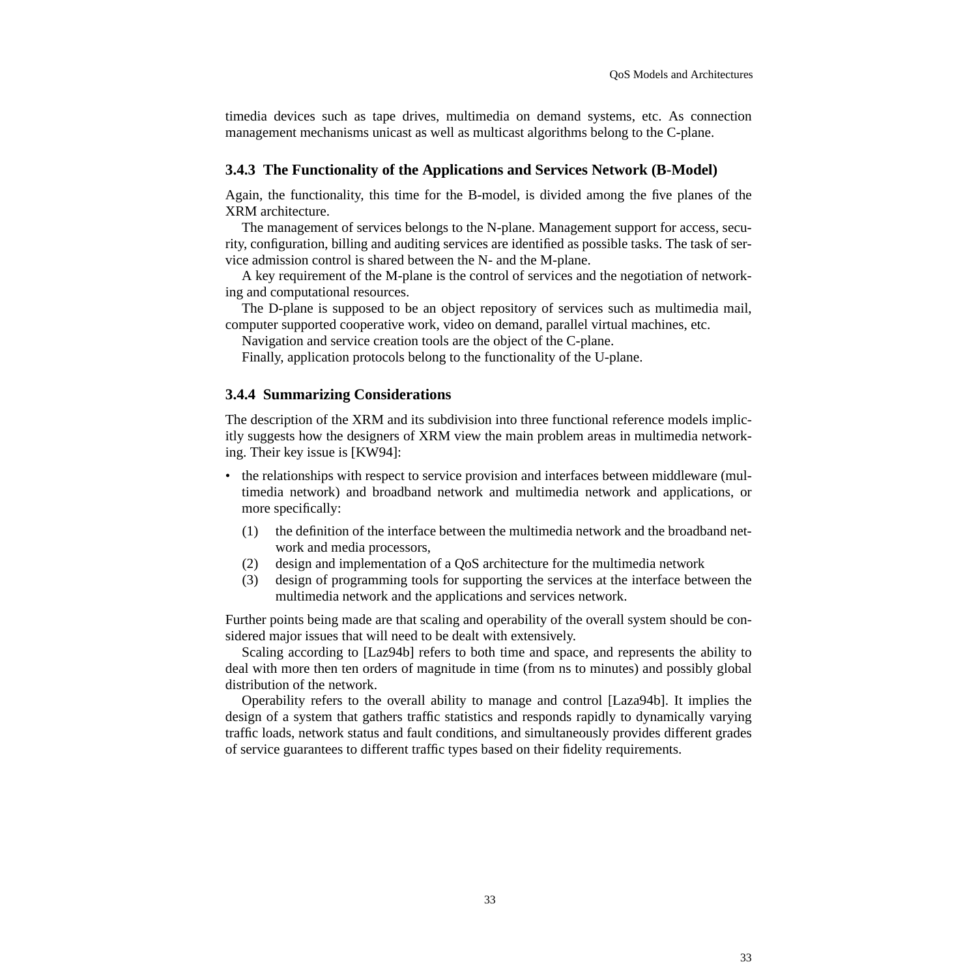<span id="page-34-0"></span>timedia devices such as tape drives, multimedia on demand systems, etc. As connection management mechanisms unicast as well as multicast algorithms belong to the C-plane.

#### **3.4.3 The Functionality of the Applications and Services Network (B-Model)**

Again, the functionality, this time for the B-model, is divided among the five planes of the XRM architecture.

The management of services belongs to the N-plane. Management support for access, security, configuration, billing and auditing services are identified as possible tasks. The task of service admission control is shared between the N- and the M-plane.

A key requirement of the M-plane is the control of services and the negotiation of networking and computational resources.

The D-plane is supposed to be an object repository of services such as multimedia mail, computer supported cooperative work, video on demand, parallel virtual machines, etc.

Navigation and service creation tools are the object of the C-plane.

Finally, application protocols belong to the functionality of the U-plane.

#### **3.4.4 Summarizing Considerations**

The description of the XRM and its subdivision into three functional reference models implicitly suggests how the designers of XRM view the main problem areas in multimedia networking. Their key issue is [[KW94\]:](#page-81-0)

- the relationships with respect to service provision and interfaces between middleware (multimedia network) and broadband network and multimedia network and applications, or more specifically:
	- (1) the definition of the interface between the multimedia network and the broadband network and media processors,
	- (2) design and implementation of a QoS architecture for the multimedia network
	- (3) design of programming tools for supporting the services at the interface between the multimedia network and the applications and services network.

Further points being made are that scaling and operability of the overall system should be considered major issues that will need to be dealt with extensively.

Scaling according to [Laz94b] refers to both time and space, and represents the ability to deal with more then ten orders of magnitude in time (from ns to minutes) and possibly global distribution of the network.

Operability refers to the overall ability to manage and control [\[Laza94b\].](#page-81-0) It implies the design of a system that gathers traffic statistics and responds rapidly to dynamically varying traffic loads, network status and fault conditions, and simultaneously provides different grades of service guarantees to different traffic types based on their fidelity requirements.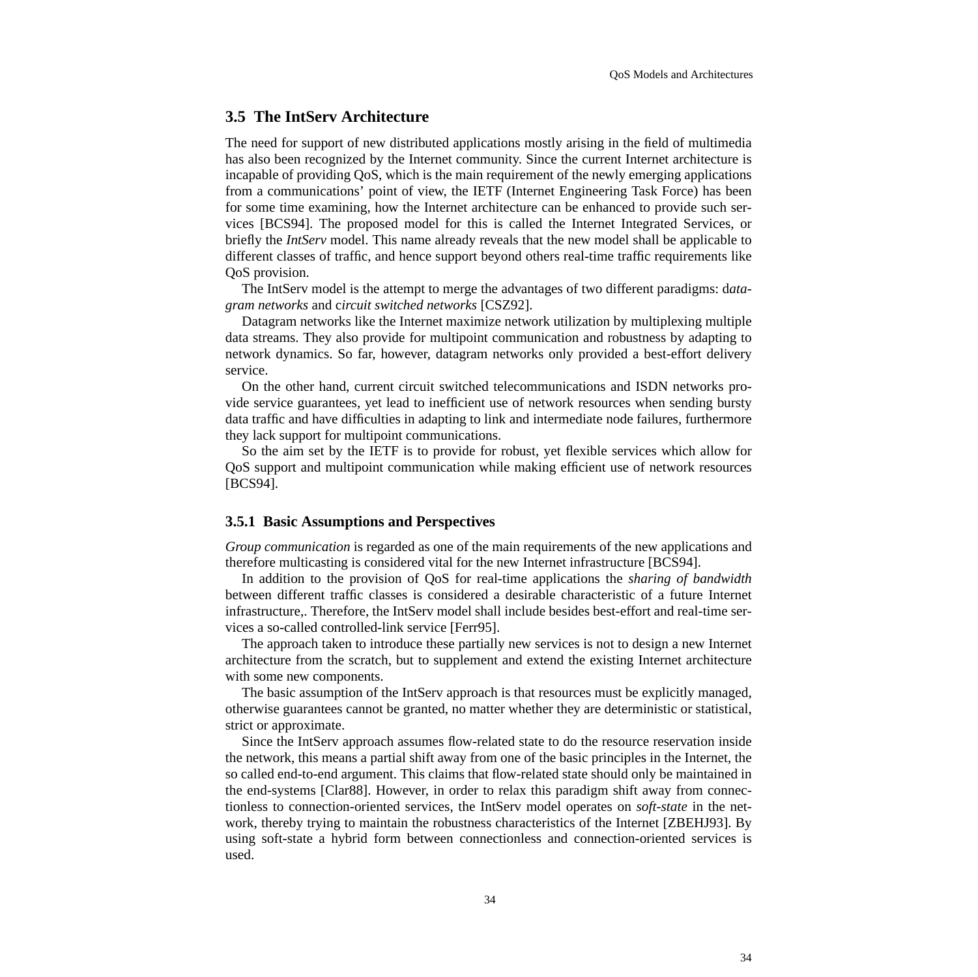## <span id="page-35-0"></span>**3.5 The IntServ Architecture**

The need for support of new distributed applications mostly arising in the field of multimedia has also been recognized by the Internet community. Since the current Internet architecture is incapable of providing QoS, which is the main requirement of the newly emerging applications from a communications' point of view, the IETF (Internet Engineering Task Force) has been for some time examining, how the Internet architecture can be enhanced to provide such services [\[BCS94\].](#page-77-0) The proposed model for this is called the Internet Integrated Services, or briefly the *IntServ* model. This name already reveals that the new model shall be applicable to different classes of traffic, and hence support beyond others real-time traffic requirements like QoS provision.

The IntServ model is the attempt to merge the advantages of two different paradigms: d*atagram networks* and c*ircuit switched networks* [[CSZ92\].](#page-78-0)

Datagram networks like the Internet maximize network utilization by multiplexing multiple data streams. They also provide for multipoint communication and robustness by adapting to network dynamics. So far, however, datagram networks only provided a best-effort delivery service.

On the other hand, current circuit switched telecommunications and ISDN networks provide service guarantees, yet lead to inefficient use of network resources when sending bursty data traffic and have difficulties in adapting to link and intermediate node failures, furthermore they lack support for multipoint communications.

So the aim set by the IETF is to provide for robust, yet flexible services which allow for QoS support and multipoint communication while making efficient use of network resources [\[BCS94\].](#page-77-0)

### **3.5.1 Basic Assumptions and Perspectives**

*Group communication* is regarded as one of the main requirements of the new applications and therefore multicasting is considered vital for the new Internet infrastructure [B[CS94\].](#page-77-0)

In addition to the provision of QoS for real-time applications the *sharing of bandwidth* between different traffic classes is considered a desirable characteristic of a future Internet infrastructure,. Therefore, the IntServ model shall include besides best-effort and real-time services a so-called controlled-link service [[Ferr95\].](#page-79-0)

The approach taken to introduce these partially new services is not to design a new Internet architecture from the scratch, but to supplement and extend the existing Internet architecture with some new components.

The basic assumption of the IntServ approach is that resources must be explicitly managed, otherwise guarantees cannot be granted, no matter whether they are deterministic or statistical, strict or approximate.

Since the IntServ approach assumes flow-related state to do the resource reservation inside the network, this means a partial shift away from one of the basic principles in the Internet, the so called end-to-end argument. This claims that flow-related state should only be maintained in the end-systems [[Clar88\]. H](#page-78-0)owever, in order to relax this paradigm shift away from connectionless to connection-oriented services, the IntServ model operates on *soft-state* in the network, thereby trying to maintain the robustness characteristics of the Internet [\[ZBEHJ93\].](#page-84-0) By using soft-state a hybrid form between connectionless and connection-oriented services is used.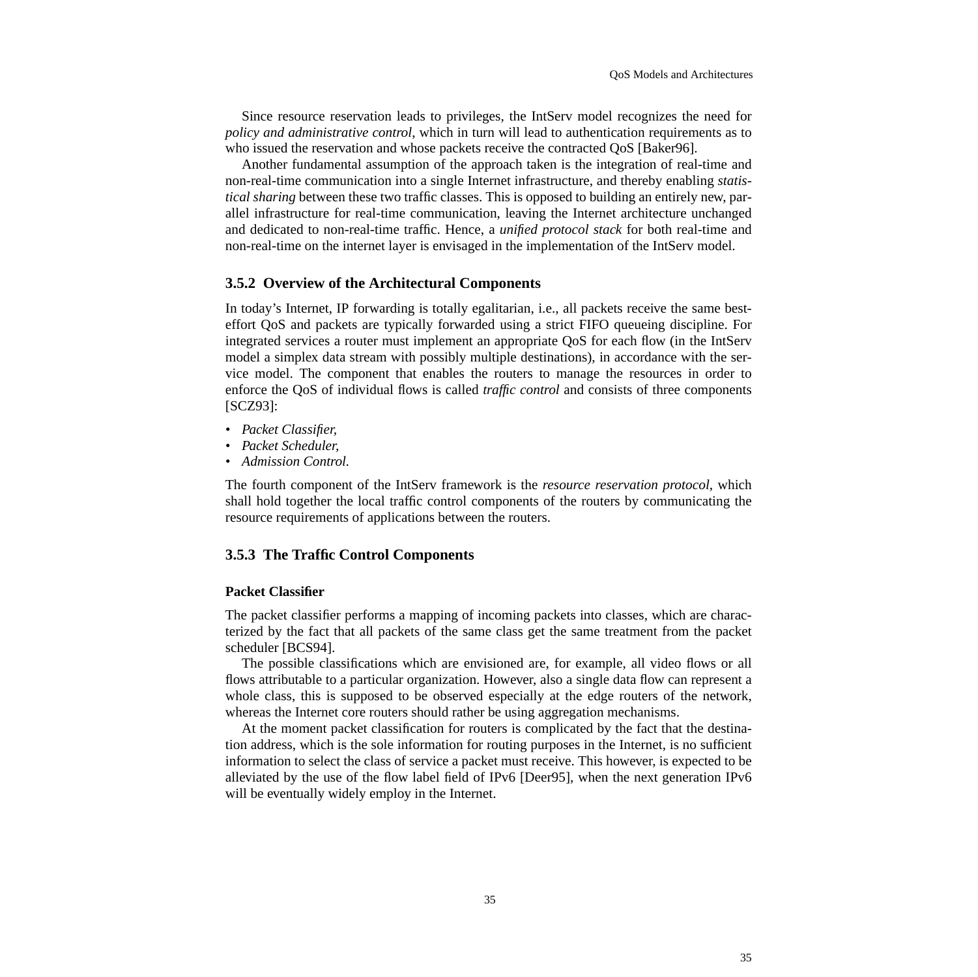Since resource reservation leads to privileges, the IntServ model recognizes the need for *policy and administrative control*, which in turn will lead to authentication requirements as to who issued the reservation and whose packets receive the contracted QoS [Ba[ker96\].](#page-77-0)

Another fundamental assumption of the approach taken is the integration of real-time and non-real-time communication into a single Internet infrastructure, and thereby enabling *statistical sharing* between these two traffic classes. This is opposed to building an entirely new, parallel infrastructure for real-time communication, leaving the Internet architecture unchanged and dedicated to non-real-time traffic. Hence, a *unified protocol stack* for both real-time and non-real-time on the internet layer is envisaged in the implementation of the IntServ model.

### **3.5.2 Overview of the Architectural Components**

In today's Internet, IP forwarding is totally egalitarian, i.e., all packets receive the same besteffort QoS and packets are typically forwarded using a strict FIFO queueing discipline. For integrated services a router must implement an appropriate QoS for each flow (in the IntServ model a simplex data stream with possibly multiple destinations), in accordance with the service model. The component that enables the routers to manage the resources in order to enforce the QoS of individual flows is called *traffic control* and consists of three components [\[SCZ93\]:](#page-82-0)

- *Packet Classifier,*
- *Packet Scheduler,*
- *Admission Control.*

The fourth component of the IntServ framework is the *resource reservation protocol*, which shall hold together the local traffic control components of the routers by communicating the resource requirements of applications between the routers.

## **3.5.3 The Traffic Control Components**

#### **Packet Classifier**

The packet classifier performs a mapping of incoming packets into classes, which are characterized by the fact that all packets of the same class get the same treatment from the packet scheduler [\[BCS94\].](#page-77-0)

The possible classifications which are envisioned are, for example, all video flows or all flows attributable to a particular organization. However, also a single data flow can represent a whole class, this is supposed to be observed especially at the edge routers of the network, whereas the Internet core routers should rather be using aggregation mechanisms.

At the moment packet classification for routers is complicated by the fact that the destination address, which is the sole information for routing purposes in the Internet, is no sufficient information to select the class of service a packet must receive. This however, is expected to be alleviated by the use of the flow label field of IPv[6 \[Deer95\]](#page-78-0), when the next generation IPv6 will be eventually widely employ in the Internet.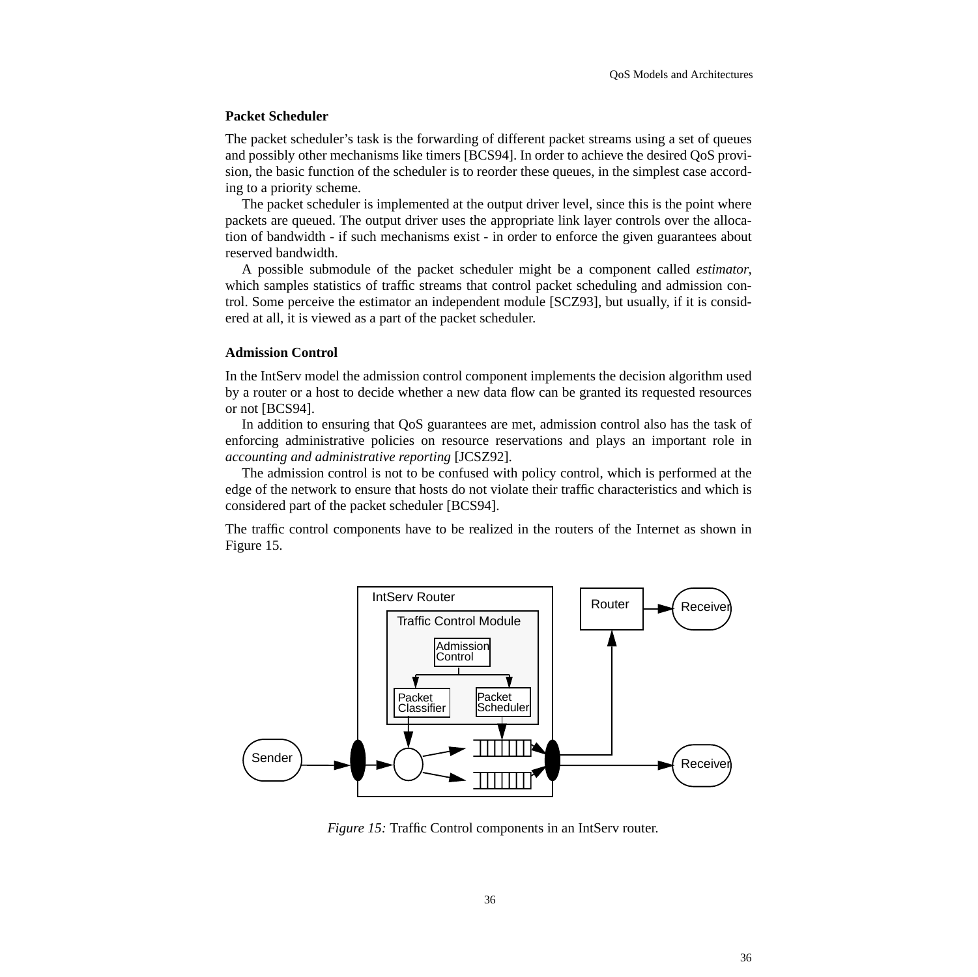#### **Packet Scheduler**

The packet scheduler's task is the forwarding of different packet streams using a set of queues and possibly other mechanisms like timers [\[BCS94\]](#page-77-0). In order to achieve the desired QoS provision, the basic function of the scheduler is to reorder these queues, in the simplest case according to a priority scheme.

The packet scheduler is implemented at the output driver level, since this is the point where packets are queued. The output driver uses the appropriate link layer controls over the allocation of bandwidth - if such mechanisms exist - in order to enforce the given guarantees about reserved bandwidth.

A possible submodule of the packet scheduler might be a component called *estimator*, which samples statistics of traffic streams that control packet scheduling and admission control. Some perceive the estimator an independent module [\[SCZ93\],](#page-82-0) but usually, if it is considered at all, it is viewed as a part of the packet scheduler.

#### **Admission Control**

In the IntServ model the admission control component implements the decision algorithm used by a router or a host to decide whether a new data flow can be granted its requested resources or not [\[BCS94\].](#page-77-0)

In addition to ensuring that QoS guarantees are met, admission control also has the task of enforcing administrative policies on resource reservations and plays an important role in *accounting and administrative reporting* [[JCSZ92\].](#page-81-0)

The admission control is not to be confused with policy control, which is performed at the edge of the network to ensure that hosts do not violate their traffic characteristics and which is considered part of the packet scheduler [[BCS94\].](#page-77-0)

The traffic control components have to be realized in the routers of the Internet as shown in Figure 15.



*Figure 15:* Traffic Control components in an IntServ router.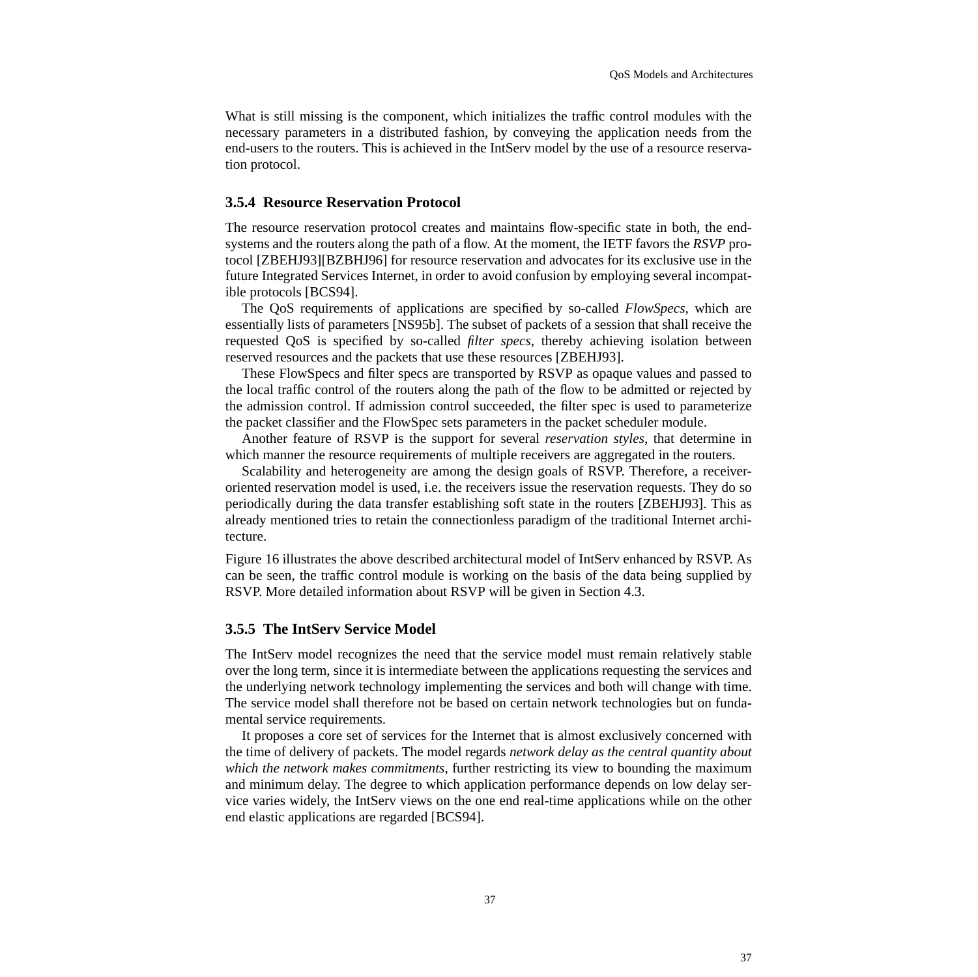What is still missing is the component, which initializes the traffic control modules with the necessary parameters in a distributed fashion, by conveying the application needs from the end-users to the routers. This is achieved in the IntServ model by the use of a resource reservation protocol.

### **3.5.4 Resource Reservation Protocol**

The resource reservation protocol creates and maintains flow-specific state in both, the endsystems and the routers along the path of a flow. At the moment, the IETF favors the *RSVP* protocol [\[ZBEHJ93\]](#page-84-0)[\[BZBHJ96\]](#page-77-0) for resource reservation and advocates for its exclusive use in the future Integrated Services Internet, in order to avoid confusion by employing several incompatible protocols [\[BCS94\].](#page-77-0)

The QoS requirements of applications are specified by so-called *FlowSpecs*, which are essentially lists of parameters [\[NS95b\].](#page-82-0) The subset of packets of a session that shall receive the requested QoS is specified by so-called *filter specs*, thereby achieving isolation between reserved resources and the packets that use these resources [ZB[EHJ93\].](#page-84-0)

These FlowSpecs and filter specs are transported by RSVP as opaque values and passed to the local traffic control of the routers along the path of the flow to be admitted or rejected by the admission control. If admission control succeeded, the filter spec is used to parameterize the packet classifier and the FlowSpec sets parameters in the packet scheduler module.

Another feature of RSVP is the support for several *reservation styles*, that determine in which manner the resource requirements of multiple receivers are aggregated in the routers.

Scalability and heterogeneity are among the design goals of RSVP. Therefore, a receiveroriented reservation model is used, i.e. the receivers issue the reservation requests. They do so periodically during the data transfer establishing soft state in the routers [\[ZBEHJ93\].](#page-84-0) This as already mentioned tries to retain the connectionless paradigm of the traditional Internet architecture.

[Figure 16](#page-39-0) illustrates the above described architectural model of IntServ enhanced by RSVP. As can be seen, the traffic control module is working on the basis of the data being supplied by RSVP. More detailed information about RSVP will be given in S[ection 4.3.](#page-57-0)

### **3.5.5 The IntServ Service Model**

The IntServ model recognizes the need that the service model must remain relatively stable over the long term, since it is intermediate between the applications requesting the services and the underlying network technology implementing the services and both will change with time. The service model shall therefore not be based on certain network technologies but on fundamental service requirements.

It proposes a core set of services for the Internet that is almost exclusively concerned with the time of delivery of packets. The model regards *network delay as the central quantity about which the network makes commitments*, further restricting its view to bounding the maximum and minimum delay. The degree to which application performance depends on low delay service varies widely, the IntServ views on the one end real-time applications while on the other end elastic applications are regarded [[BCS94\].](#page-77-0)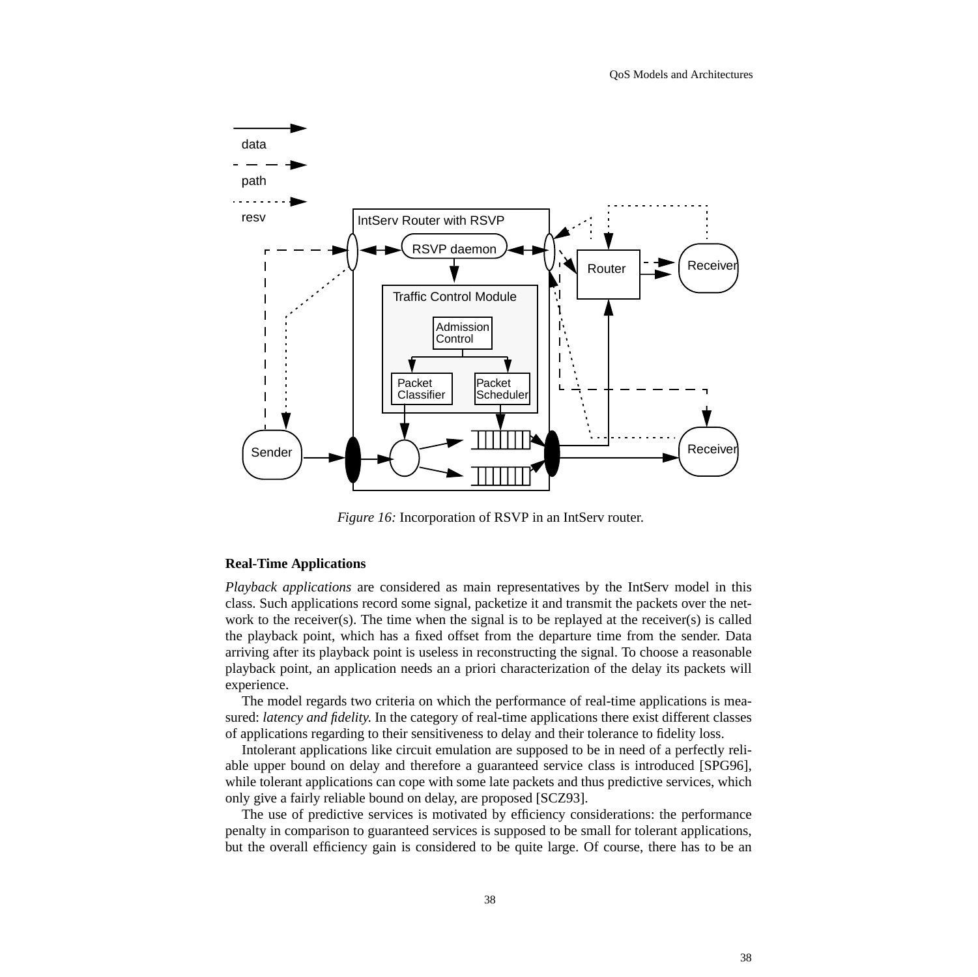<span id="page-39-0"></span>

*Figure 16:* Incorporation of RSVP in an IntServ router.

#### **Real-Time Applications**

*Playback applications* are considered as main representatives by the IntServ model in this class. Such applications record some signal, packetize it and transmit the packets over the network to the receiver(s). The time when the signal is to be replayed at the receiver(s) is called the playback point, which has a fixed offset from the departure time from the sender. Data arriving after its playback point is useless in reconstructing the signal. To choose a reasonable playback point, an application needs an a priori characterization of the delay its packets will experience.

The model regards two criteria on which the performance of real-time applications is measured: *latency and fidelity*. In the category of real-time applications there exist different classes of applications regarding to their sensitiveness to delay and their tolerance to fidelity loss.

Intolerant applications like circuit emulation are supposed to be in need of a perfectly reliable upper bound on delay and therefore a guaranteed service class is introduced [\[SPG96\],](#page-82-0) while tolerant applications can cope with some late packets and thus predictive services, which only give a fairly reliable bound on delay, are proposed [[SCZ93\].](#page-82-0)

The use of predictive services is motivated by efficiency considerations: the performance penalty in comparison to guaranteed services is supposed to be small for tolerant applications, but the overall efficiency gain is considered to be quite large. Of course, there has to be an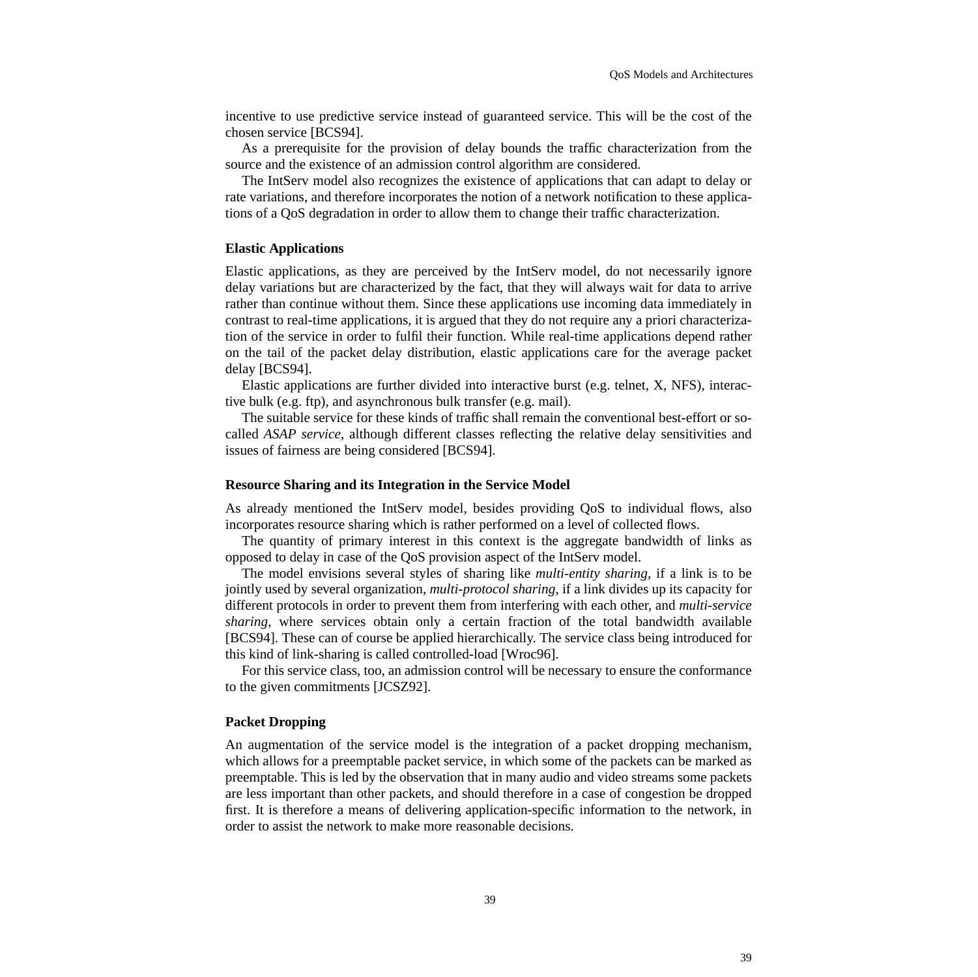incentive to use predictive service instead of guaranteed service. This will be the cost of the chosen service [\[BCS94\].](#page-77-0)

As a prerequisite for the provision of delay bounds the traffic characterization from the source and the existence of an admission control algorithm are considered.

The IntServ model also recognizes the existence of applications that can adapt to delay or rate variations, and therefore incorporates the notion of a network notification to these applications of a QoS degradation in order to allow them to change their traffic characterization.

#### **Elastic Applications**

Elastic applications, as they are perceived by the IntServ model, do not necessarily ignore delay variations but are characterized by the fact, that they will always wait for data to arrive rather than continue without them. Since these applications use incoming data immediately in contrast to real-time applications, it is argued that they do not require any a priori characterization of the service in order to fulfil their function. While real-time applications depend rather on the tail of the packet delay distribution, elastic applications care for the average packet delay [\[BCS94\].](#page-77-0)

Elastic applications are further divided into interactive burst (e.g. telnet, X, NFS), interactive bulk (e.g. ftp), and asynchronous bulk transfer (e.g. mail).

The suitable service for these kinds of traffic shall remain the conventional best-effort or socalled *ASAP service*, although different classes reflecting the relative delay sensitivities and issues of fairness are being considered [[BCS94\].](#page-77-0)

#### **Resource Sharing and its Integration in the Service Model**

As already mentioned the IntServ model, besides providing QoS to individual flows, also incorporates resource sharing which is rather performed on a level of collected flows.

The quantity of primary interest in this context is the aggregate bandwidth of links as opposed to delay in case of the QoS provision aspect of the IntServ model.

The model envisions several styles of sharing like *multi-entity sharing*, if a link is to be jointly used by several organization, *multi-protocol sharing*, if a link divides up its capacity for different protocols in order to prevent them from interfering with each other, and *multi-service sharing*, where services obtain only a certain fraction of the total bandwidth available [\[BCS94\].](#page-77-0) These can of course be applied hierarchically. The service class being introduced for this kind of link-sharing is called controlled-load [[Wroc96\].](#page-84-0)

For this service class, too, an admission control will be necessary to ensure the conformance to the given commitments [[JCSZ92\].](#page-81-0)

#### **Packet Dropping**

An augmentation of the service model is the integration of a packet dropping mechanism, which allows for a preemptable packet service, in which some of the packets can be marked as preemptable. This is led by the observation that in many audio and video streams some packets are less important than other packets, and should therefore in a case of congestion be dropped first. It is therefore a means of delivering application-specific information to the network, in order to assist the network to make more reasonable decisions.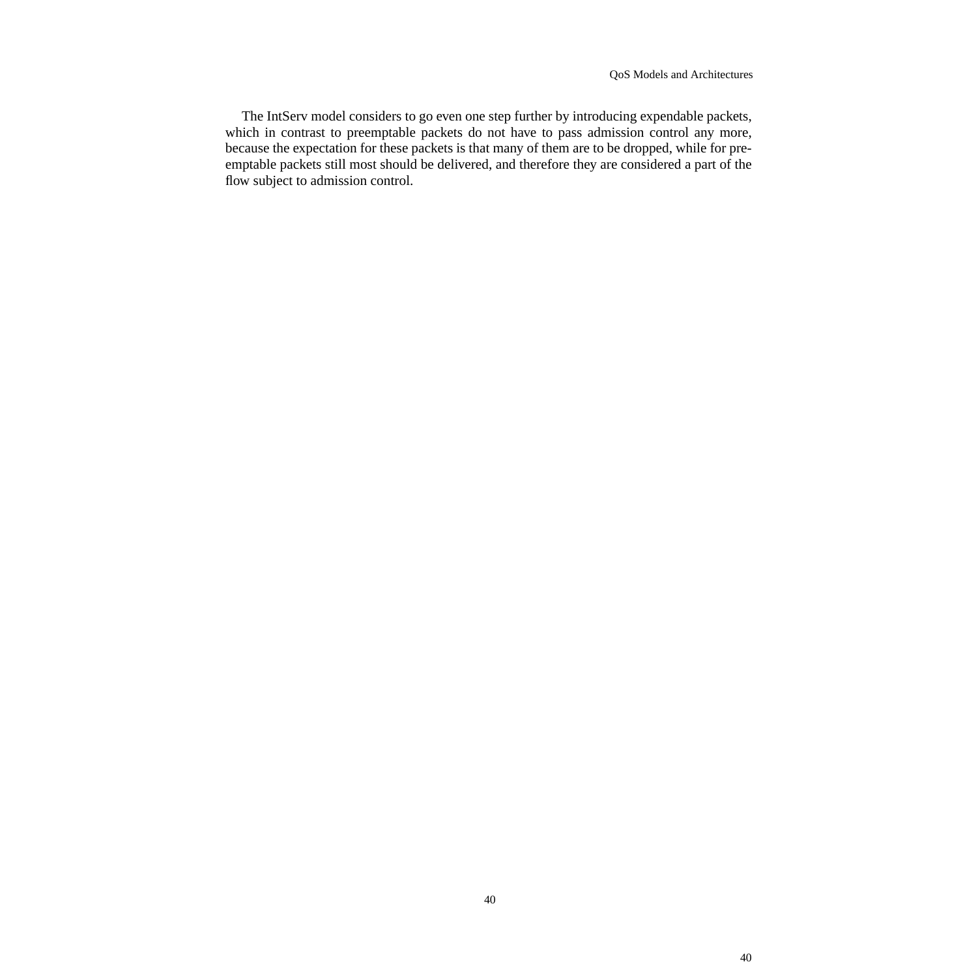The IntServ model considers to go even one step further by introducing expendable packets, which in contrast to preemptable packets do not have to pass admission control any more, because the expectation for these packets is that many of them are to be dropped, while for preemptable packets still most should be delivered, and therefore they are considered a part of the flow subject to admission control.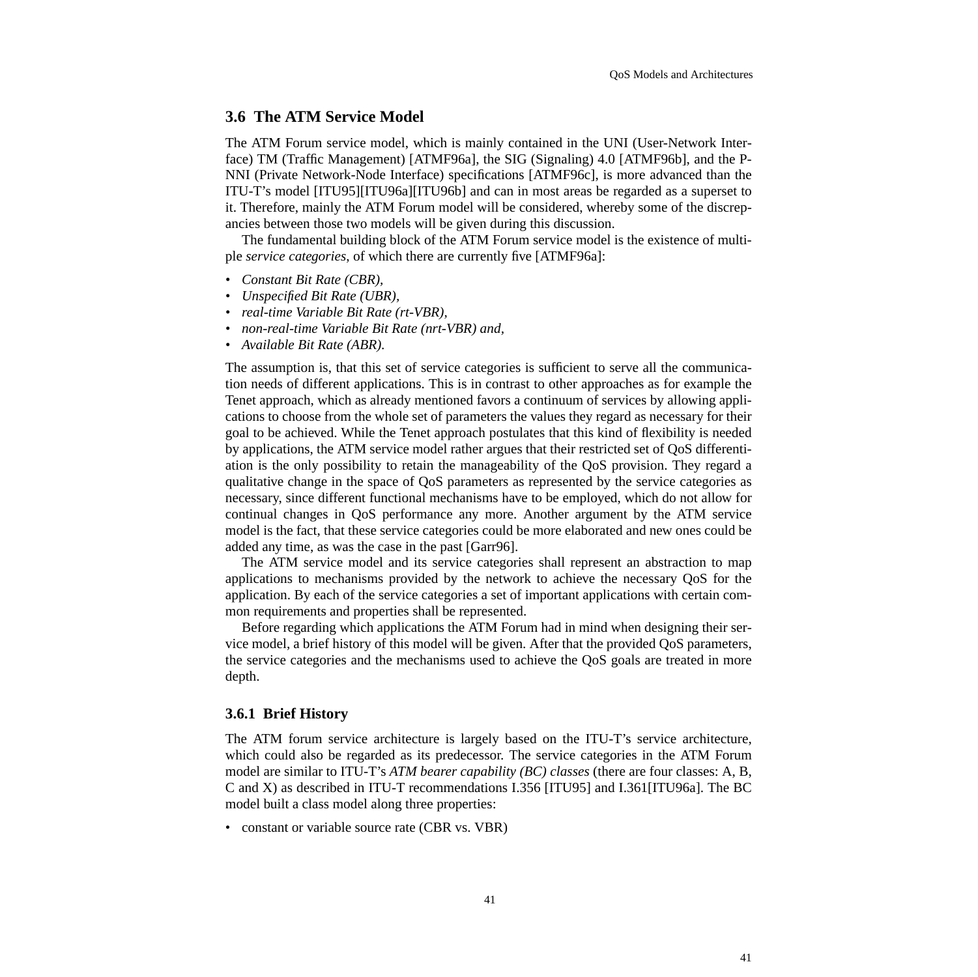## **3.6 The ATM Service Model**

The ATM Forum service model, which is mainly contained in the UNI (User-Network Interface) TM (Traffic Management) [\[ATMF96a\],](#page-77-0) the SIG (Signaling) 4.0 [\[ATMF96b\]](#page-77-0), and the P-NNI (Private Network-Node Interface) specifications [\[ATMF96c\],](#page-77-0) is more advanced than the ITU-T's model [\[ITU95\]\[ITU96a\]\[ITU96b\]](#page-80-0) and can in most areas be regarded as a superset to it. Therefore, mainly the ATM Forum model will be considered, whereby some of the discrepancies between those two models will be given during this discussion.

The fundamental building block of the ATM Forum service model is the existence of multiple *service categories*, of which there are currently five [[ATMF96a\]:](#page-77-0)

- *Constant Bit Rate (CBR),*
- *Unspecified Bit Rate (UBR),*
- *real-time Variable Bit Rate (rt-VBR),*
- *non-real-time Variable Bit Rate (nrt-VBR) and,*
- *Available Bit Rate (ABR).*

The assumption is, that this set of service categories is sufficient to serve all the communication needs of different applications. This is in contrast to other approaches as for example the Tenet approach, which as already mentioned favors a continuum of services by allowing applications to choose from the whole set of parameters the values they regard as necessary for their goal to be achieved. While the Tenet approach postulates that this kind of flexibility is needed by applications, the ATM service model rather argues that their restricted set of QoS differentiation is the only possibility to retain the manageability of the QoS provision. They regard a qualitative change in the space of QoS parameters as represented by the service categories as necessary, since different functional mechanisms have to be employed, which do not allow for continual changes in QoS performance any more. Another argument by the ATM service model is the fact, that these service categories could be more elaborated and new ones could be added any time, as was the case in the past [G[arr96\].](#page-80-0)

The ATM service model and its service categories shall represent an abstraction to map applications to mechanisms provided by the network to achieve the necessary QoS for the application. By each of the service categories a set of important applications with certain common requirements and properties shall be represented.

Before regarding which applications the ATM Forum had in mind when designing their service model, a brief history of this model will be given. After that the provided QoS parameters, the service categories and the mechanisms used to achieve the QoS goals are treated in more depth.

### **3.6.1 Brief History**

The ATM forum service architecture is largely based on the ITU-T's service architecture, which could also be regarded as its predecessor. The service categories in the ATM Forum model are similar to ITU-T's *ATM bearer capability (BC) classes* (there are four classes: A, B, C and X) as described in ITU-T recommendations I.356 [\[ITU95\]](#page-80-0) and I.36[1\[ITU96a\].](#page-80-0) The BC model built a class model along three properties:

• constant or variable source rate (CBR vs. VBR)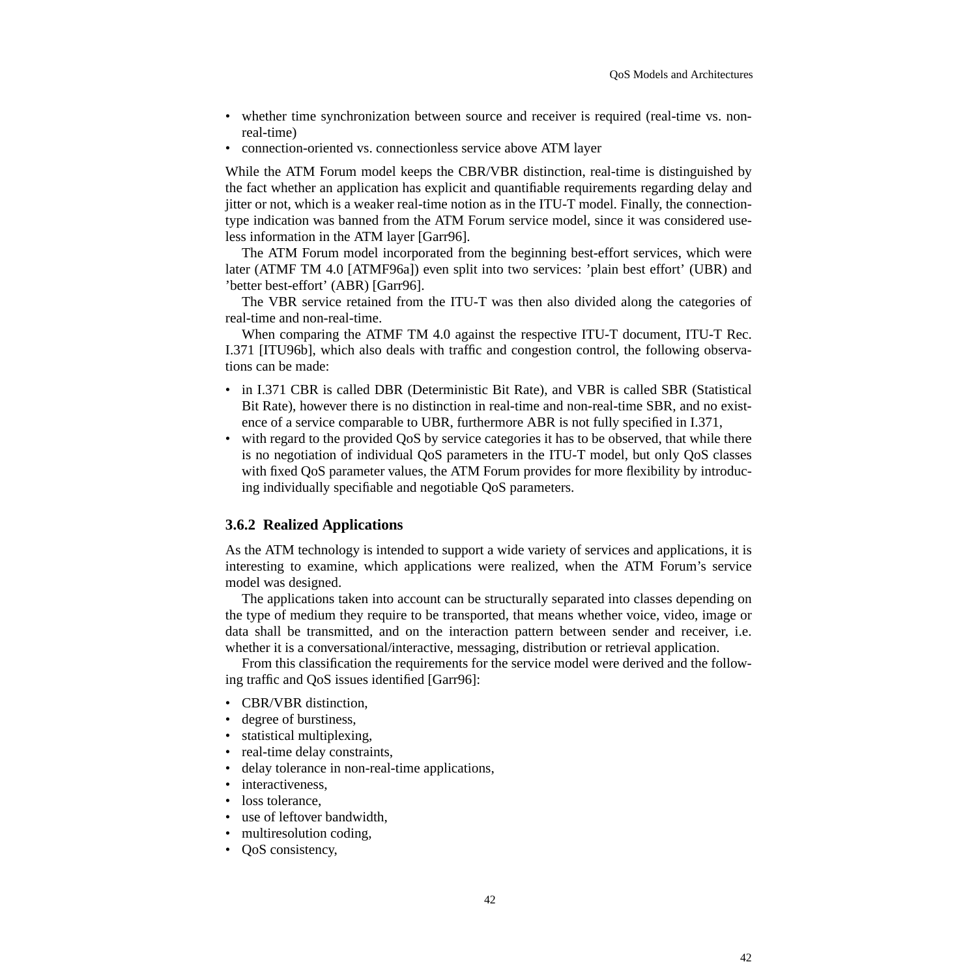- whether time synchronization between source and receiver is required (real-time vs. nonreal-time)
- connection-oriented vs. connectionless service above ATM layer

While the ATM Forum model keeps the CBR/VBR distinction, real-time is distinguished by the fact whether an application has explicit and quantifiable requirements regarding delay and jitter or not, which is a weaker real-time notion as in the ITU-T model. Finally, the connectiontype indication was banned from the ATM Forum service model, since it was considered useless information in the ATM layer [[Garr96\].](#page-80-0)

The ATM Forum model incorporated from the beginning best-effort services, which were later (ATMF TM 4.0 [\[ATMF96a\]\)](#page-77-0) even split into two services: 'plain best effort' (UBR) and 'better best-effort' (ABR) [[Garr96\].](#page-80-0)

The VBR service retained from the ITU-T was then also divided along the categories of real-time and non-real-time.

When comparing the ATMF TM 4.0 against the respective ITU-T document, ITU-T Rec. I.371 [\[ITU96b\]](#page-80-0), which also deals with traffic and congestion control, the following observations can be made:

- in I.371 CBR is called DBR (Deterministic Bit Rate), and VBR is called SBR (Statistical Bit Rate), however there is no distinction in real-time and non-real-time SBR, and no existence of a service comparable to UBR, furthermore ABR is not fully specified in I.371,
- with regard to the provided QoS by service categories it has to be observed, that while there is no negotiation of individual QoS parameters in the ITU-T model, but only QoS classes with fixed QoS parameter values, the ATM Forum provides for more flexibility by introducing individually specifiable and negotiable QoS parameters.

### **3.6.2 Realized Applications**

As the ATM technology is intended to support a wide variety of services and applications, it is interesting to examine, which applications were realized, when the ATM Forum's service model was designed.

The applications taken into account can be structurally separated into classes depending on the type of medium they require to be transported, that means whether voice, video, image or data shall be transmitted, and on the interaction pattern between sender and receiver, i.e. whether it is a conversational/interactive, messaging, distribution or retrieval application.

From this classification the requirements for the service model were derived and the following traffic and QoS issues identified [[Garr96\]:](#page-80-0)

- CBR/VBR distinction,
- degree of burstiness,
- statistical multiplexing,
- real-time delay constraints,
- delay tolerance in non-real-time applications,
- interactiveness.
- loss tolerance.
- use of leftover bandwidth,
- multiresolution coding,
- OoS consistency,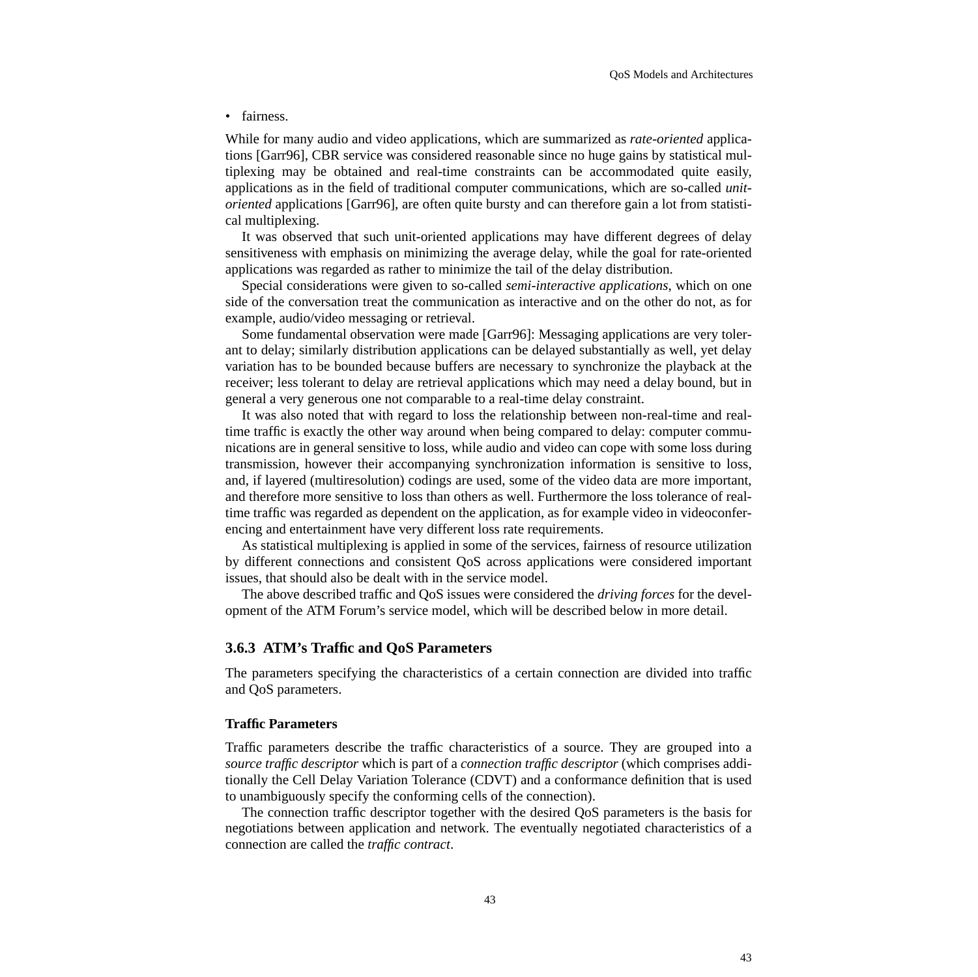#### • fairness.

While for many audio and video applications, which are summarized as *rate-oriented* applications [\[Garr96\],](#page-80-0) CBR service was considered reasonable since no huge gains by statistical multiplexing may be obtained and real-time constraints can be accommodated quite easily, applications as in the field of traditional computer communications, which are so-called *unitoriented* applications [\[Garr96\],](#page-80-0) are often quite bursty and can therefore gain a lot from statistical multiplexing.

It was observed that such unit-oriented applications may have different degrees of delay sensitiveness with emphasis on minimizing the average delay, while the goal for rate-oriented applications was regarded as rather to minimize the tail of the delay distribution.

Special considerations were given to so-called *semi-interactive applications*, which on one side of the conversation treat the communication as interactive and on the other do not, as for example, audio/video messaging or retrieval.

Some fundamental observation were made [\[Garr96\]](#page-80-0): Messaging applications are very tolerant to delay; similarly distribution applications can be delayed substantially as well, yet delay variation has to be bounded because buffers are necessary to synchronize the playback at the receiver; less tolerant to delay are retrieval applications which may need a delay bound, but in general a very generous one not comparable to a real-time delay constraint.

It was also noted that with regard to loss the relationship between non-real-time and realtime traffic is exactly the other way around when being compared to delay: computer communications are in general sensitive to loss, while audio and video can cope with some loss during transmission, however their accompanying synchronization information is sensitive to loss, and, if layered (multiresolution) codings are used, some of the video data are more important, and therefore more sensitive to loss than others as well. Furthermore the loss tolerance of realtime traffic was regarded as dependent on the application, as for example video in videoconferencing and entertainment have very different loss rate requirements.

As statistical multiplexing is applied in some of the services, fairness of resource utilization by different connections and consistent QoS across applications were considered important issues, that should also be dealt with in the service model.

The above described traffic and QoS issues were considered the *driving forces* for the development of the ATM Forum's service model, which will be described below in more detail.

#### **3.6.3 ATM's Traffic and QoS Parameters**

The parameters specifying the characteristics of a certain connection are divided into traffic and QoS parameters.

#### **Traffic Parameters**

Traffic parameters describe the traffic characteristics of a source. They are grouped into a *source traffic descriptor* which is part of a *connection traffic descriptor* (which comprises additionally the Cell Delay Variation Tolerance (CDVT) and a conformance definition that is used to unambiguously specify the conforming cells of the connection).

The connection traffic descriptor together with the desired QoS parameters is the basis for negotiations between application and network. The eventually negotiated characteristics of a connection are called the *traffic contract*.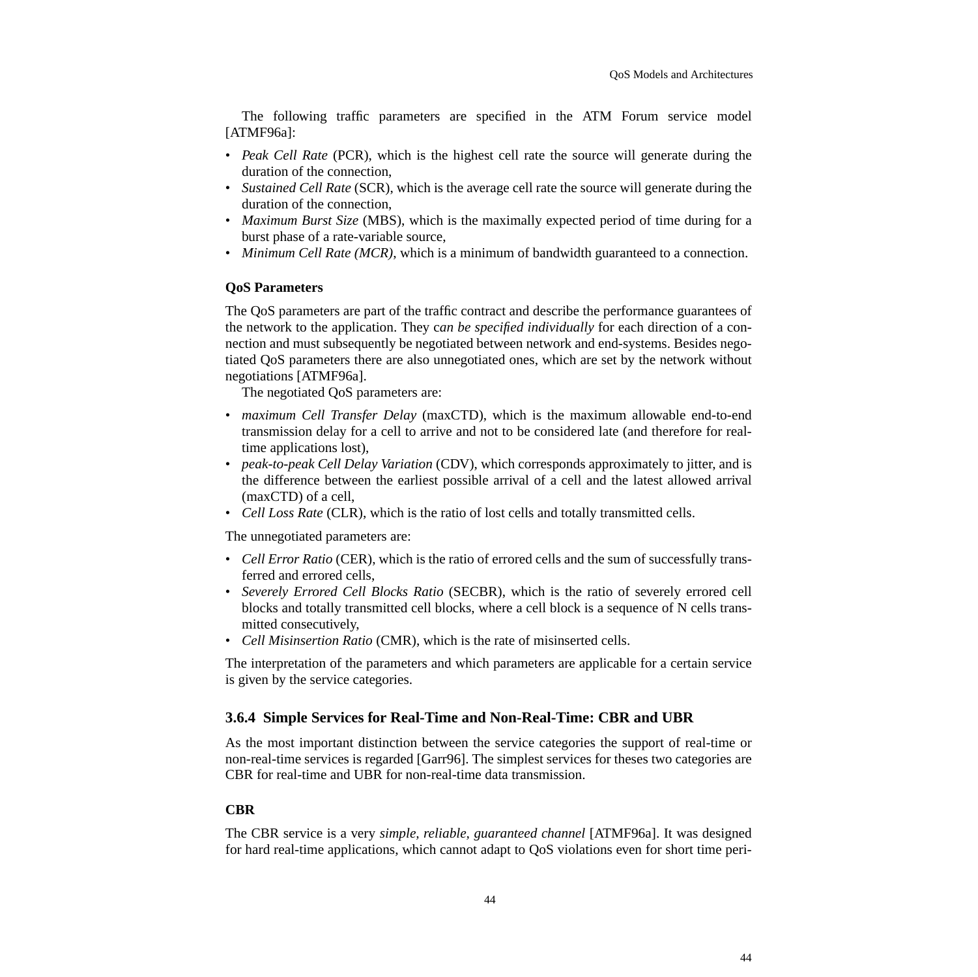The following traffic parameters are specified in the ATM Forum service model [\[ATMF96a\]:](#page-77-0)

- *Peak Cell Rate* (PCR), which is the highest cell rate the source will generate during the duration of the connection,
- *Sustained Cell Rate* (SCR), which is the average cell rate the source will generate during the duration of the connection,
- *Maximum Burst Size* (MBS), which is the maximally expected period of time during for a burst phase of a rate-variable source,
- *Minimum Cell Rate (MCR)*, which is a minimum of bandwidth guaranteed to a connection.

## **QoS Parameters**

The QoS parameters are part of the traffic contract and describe the performance guarantees of the network to the application. They c*an be specified individually* for each direction of a connection and must subsequently be negotiated between network and end-systems. Besides negotiated QoS parameters there are also unnegotiated ones, which are set by the network without negotiations [\[ATMF96a\].](#page-77-0)

The negotiated QoS parameters are:

- *maximum Cell Transfer Delay* (maxCTD), which is the maximum allowable end-to-end transmission delay for a cell to arrive and not to be considered late (and therefore for realtime applications lost),
- *peak-to-peak Cell Delay Variation* (CDV), which corresponds approximately to jitter, and is the difference between the earliest possible arrival of a cell and the latest allowed arrival (maxCTD) of a cell,
- *Cell Loss Rate* (CLR), which is the ratio of lost cells and totally transmitted cells.

The unnegotiated parameters are:

- *Cell Error Ratio* (CER), which is the ratio of errored cells and the sum of successfully transferred and errored cells,
- *Severely Errored Cell Blocks Ratio* (SECBR), which is the ratio of severely errored cell blocks and totally transmitted cell blocks, where a cell block is a sequence of N cells transmitted consecutively,
- *Cell Misinsertion Ratio* (CMR), which is the rate of misinserted cells.

The interpretation of the parameters and which parameters are applicable for a certain service is given by the service categories.

## **3.6.4 Simple Services for Real-Time and Non-Real-Time: CBR and UBR**

As the most important distinction between the service categories the support of real-time or non-real-time services is regarded [\[Garr96\].](#page-80-0) The simplest services for theses two categories are CBR for real-time and UBR for non-real-time data transmission.

### **CBR**

The CBR service is a very *simple, reliable, guaranteed channel* [\[ATMF96a\]](#page-77-0). It was designed for hard real-time applications, which cannot adapt to QoS violations even for short time peri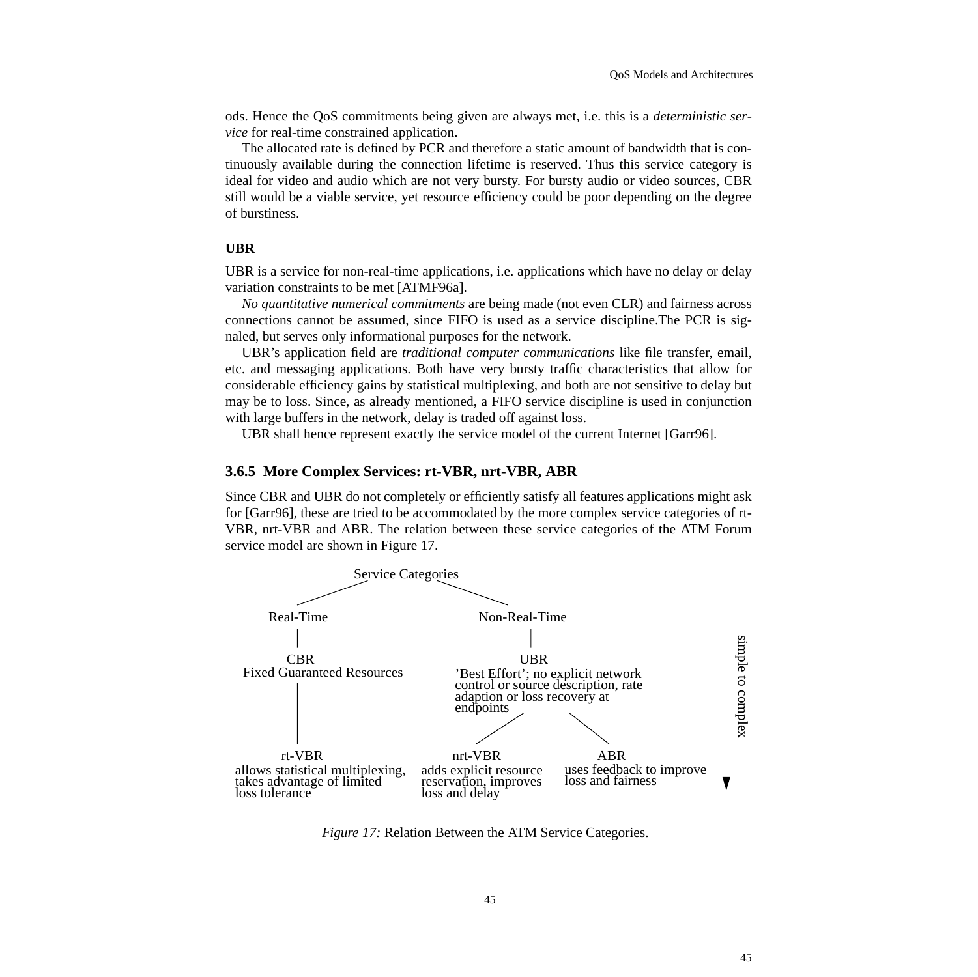ods. Hence the QoS commitments being given are always met, i.e. this is a *deterministic service* for real-time constrained application.

The allocated rate is defined by PCR and therefore a static amount of bandwidth that is continuously available during the connection lifetime is reserved. Thus this service category is ideal for video and audio which are not very bursty. For bursty audio or video sources, CBR still would be a viable service, yet resource efficiency could be poor depending on the degree of burstiness.

#### **UBR**

UBR is a service for non-real-time applications, i.e. applications which have no delay or delay variation constraints to be met [[ATMF96a\].](#page-77-0)

*No quantitative numerical commitments* are being made (not even CLR) and fairness across connections cannot be assumed, since FIFO is used as a service discipline.The PCR is signaled, but serves only informational purposes for the network.

UBR's application field are *traditional computer communications* like file transfer, email, etc. and messaging applications. Both have very bursty traffic characteristics that allow for considerable efficiency gains by statistical multiplexing, and both are not sensitive to delay but may be to loss. Since, as already mentioned, a FIFO service discipline is used in conjunction with large buffers in the network, delay is traded off against loss.

UBR shall hence represent exactly the service model of the current Internet [G[arr96\].](#page-80-0)

### **3.6.5 More Complex Services: rt-VBR, nrt-VBR, ABR**

Since CBR and UBR do not completely or efficiently satisfy all features applications might ask for [\[Garr96\]](#page-80-0), these are tried to be accommodated by the more complex service categories of rt-VBR, nrt-VBR and ABR. The relation between these service categories of the ATM Forum service model are shown in Figure 17.



*Figure 17:* Relation Between the ATM Service Categories.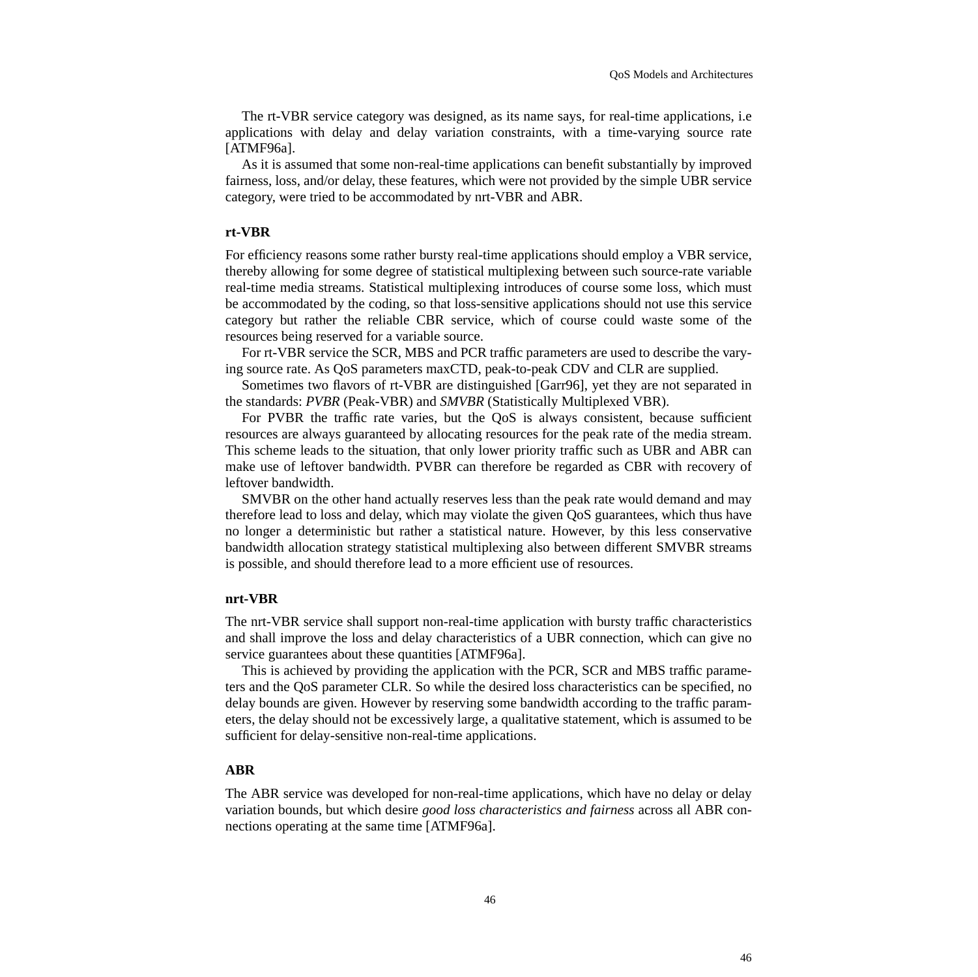The rt-VBR service category was designed, as its name says, for real-time applications, i.e applications with delay and delay variation constraints, with a time-varying source rate [\[ATMF96a\].](#page-77-0)

As it is assumed that some non-real-time applications can benefit substantially by improved fairness, loss, and/or delay, these features, which were not provided by the simple UBR service category, were tried to be accommodated by nrt-VBR and ABR.

#### **rt-VBR**

For efficiency reasons some rather bursty real-time applications should employ a VBR service, thereby allowing for some degree of statistical multiplexing between such source-rate variable real-time media streams. Statistical multiplexing introduces of course some loss, which must be accommodated by the coding, so that loss-sensitive applications should not use this service category but rather the reliable CBR service, which of course could waste some of the resources being reserved for a variable source.

For rt-VBR service the SCR, MBS and PCR traffic parameters are used to describe the varying source rate. As QoS parameters maxCTD, peak-to-peak CDV and CLR are supplied.

Sometimes two flavors of rt-VBR are distinguished [\[Garr96\]](#page-80-0), yet they are not separated in the standards: *PVBR* (Peak-VBR) and *SMVBR* (Statistically Multiplexed VBR).

For PVBR the traffic rate varies, but the QoS is always consistent, because sufficient resources are always guaranteed by allocating resources for the peak rate of the media stream. This scheme leads to the situation, that only lower priority traffic such as UBR and ABR can make use of leftover bandwidth. PVBR can therefore be regarded as CBR with recovery of leftover bandwidth.

SMVBR on the other hand actually reserves less than the peak rate would demand and may therefore lead to loss and delay, which may violate the given QoS guarantees, which thus have no longer a deterministic but rather a statistical nature. However, by this less conservative bandwidth allocation strategy statistical multiplexing also between different SMVBR streams is possible, and should therefore lead to a more efficient use of resources.

#### **nrt-VBR**

The nrt-VBR service shall support non-real-time application with bursty traffic characteristics and shall improve the loss and delay characteristics of a UBR connection, which can give no service guarantees about these quantities [A[TMF96a\].](#page-77-0)

This is achieved by providing the application with the PCR, SCR and MBS traffic parameters and the QoS parameter CLR. So while the desired loss characteristics can be specified, no delay bounds are given. However by reserving some bandwidth according to the traffic parameters, the delay should not be excessively large, a qualitative statement, which is assumed to be sufficient for delay-sensitive non-real-time applications.

#### **ABR**

The ABR service was developed for non-real-time applications, which have no delay or delay variation bounds, but which desire *good loss characteristics and fairness* across all ABR connections operating at the same time [[ATMF96a\].](#page-77-0)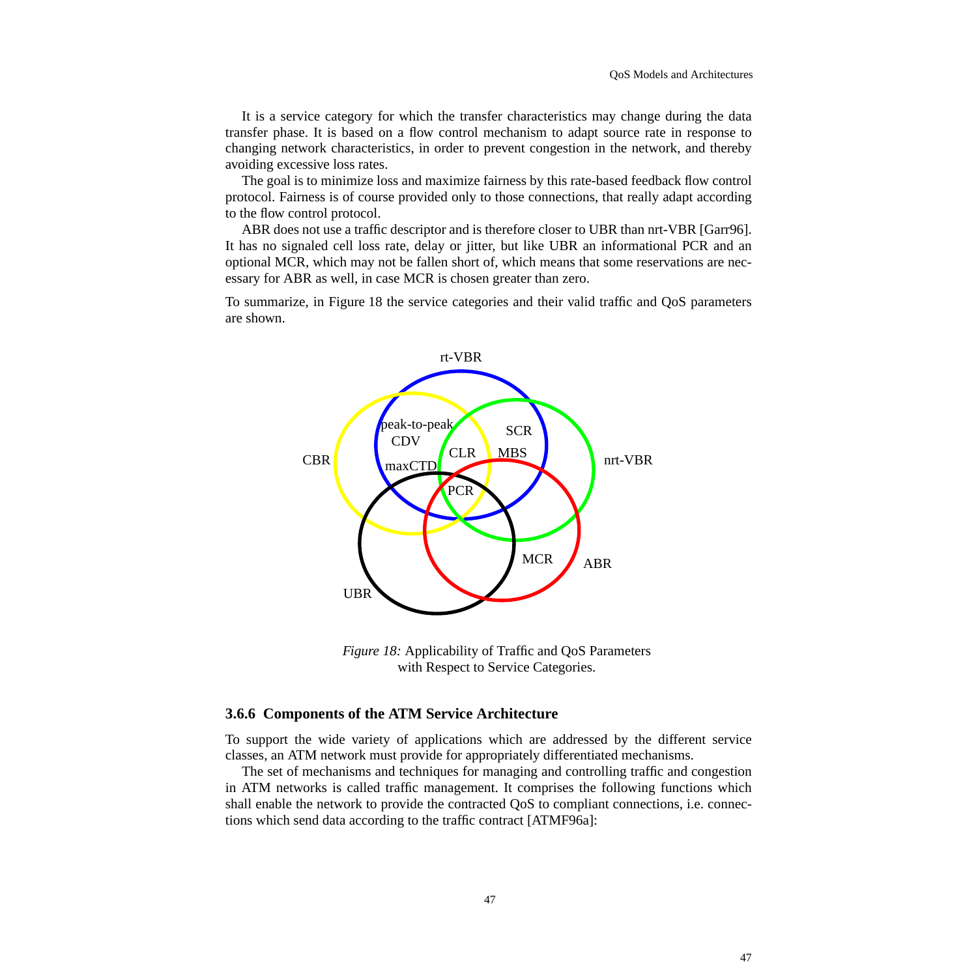It is a service category for which the transfer characteristics may change during the data transfer phase. It is based on a flow control mechanism to adapt source rate in response to changing network characteristics, in order to prevent congestion in the network, and thereby avoiding excessive loss rates.

The goal is to minimize loss and maximize fairness by this rate-based feedback flow control protocol. Fairness is of course provided only to those connections, that really adapt according to the flow control protocol.

ABR does not use a traffic descriptor and is therefore closer to UBR than nrt-VBR [\[Garr96\].](#page-80-0) It has no signaled cell loss rate, delay or jitter, but like UBR an informational PCR and an optional MCR, which may not be fallen short of, which means that some reservations are necessary for ABR as well, in case MCR is chosen greater than zero.

To summarize, in Figure 18 the service categories and their valid traffic and QoS parameters are shown.



*Figure 18:* Applicability of Traffic and QoS Parameters with Respect to Service Categories.

#### **3.6.6 Components of the ATM Service Architecture**

To support the wide variety of applications which are addressed by the different service classes, an ATM network must provide for appropriately differentiated mechanisms.

The set of mechanisms and techniques for managing and controlling traffic and congestion in ATM networks is called traffic management. It comprises the following functions which shall enable the network to provide the contracted QoS to compliant connections, i.e. connections which send data according to the traffic contract [[ATMF96a\]:](#page-77-0)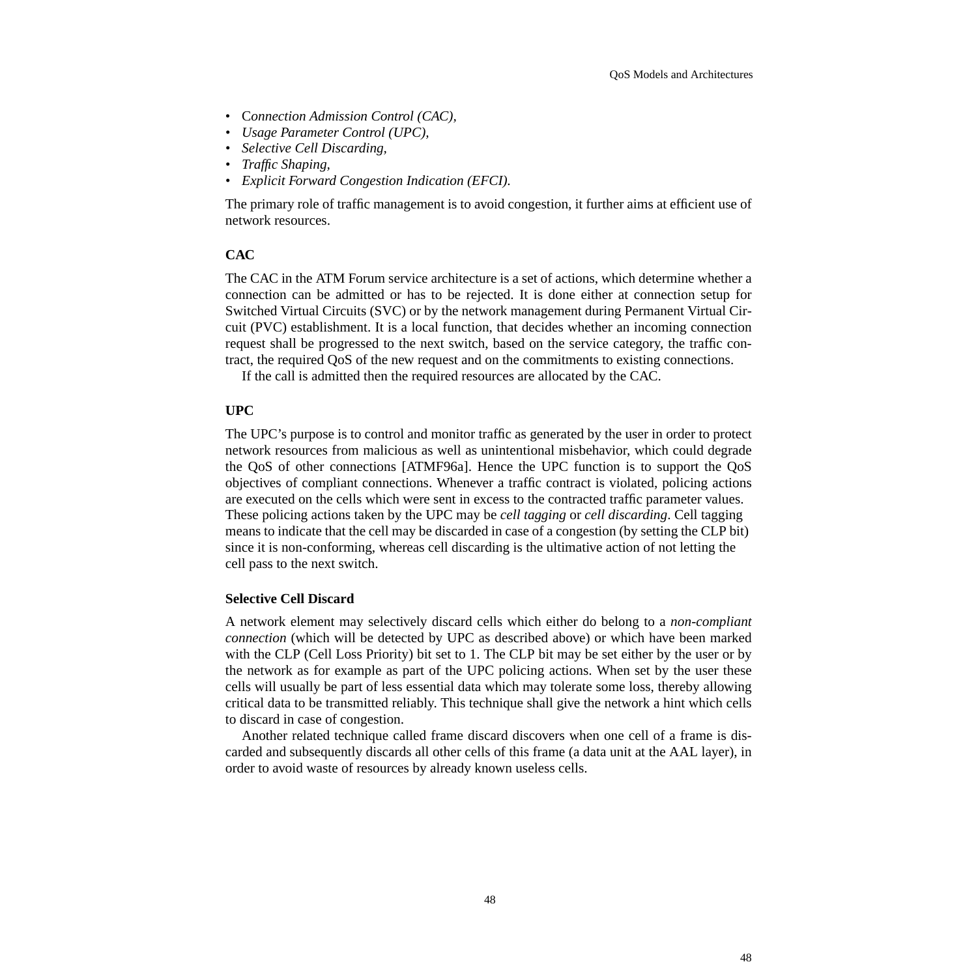- C*onnection Admission Control (CAC),*
- *Usage Parameter Control (UPC),*
- *Selective Cell Discarding,*
- *Traffic Shaping,*
- *Explicit Forward Congestion Indication (EFCI).*

The primary role of traffic management is to avoid congestion, it further aims at efficient use of network resources.

## **CAC**

The CAC in the ATM Forum service architecture is a set of actions, which determine whether a connection can be admitted or has to be rejected. It is done either at connection setup for Switched Virtual Circuits (SVC) or by the network management during Permanent Virtual Circuit (PVC) establishment. It is a local function, that decides whether an incoming connection request shall be progressed to the next switch, based on the service category, the traffic contract, the required QoS of the new request and on the commitments to existing connections.

If the call is admitted then the required resources are allocated by the CAC.

### **UPC**

The UPC's purpose is to control and monitor traffic as generated by the user in order to protect network resources from malicious as well as unintentional misbehavior, which could degrade the QoS of other connections [\[ATMF96a\].](#page-77-0) Hence the UPC function is to support the QoS objectives of compliant connections. Whenever a traffic contract is violated, policing actions are executed on the cells which were sent in excess to the contracted traffic parameter values. These policing actions taken by the UPC may be *cell tagging* or *cell discarding*. Cell tagging means to indicate that the cell may be discarded in case of a congestion (by setting the CLP bit) since it is non-conforming, whereas cell discarding is the ultimative action of not letting the cell pass to the next switch.

#### **Selective Cell Discard**

A network element may selectively discard cells which either do belong to a *non-compliant connection* (which will be detected by UPC as described above) or which have been marked with the CLP (Cell Loss Priority) bit set to 1. The CLP bit may be set either by the user or by the network as for example as part of the UPC policing actions. When set by the user these cells will usually be part of less essential data which may tolerate some loss, thereby allowing critical data to be transmitted reliably. This technique shall give the network a hint which cells to discard in case of congestion.

Another related technique called frame discard discovers when one cell of a frame is discarded and subsequently discards all other cells of this frame (a data unit at the AAL layer), in order to avoid waste of resources by already known useless cells.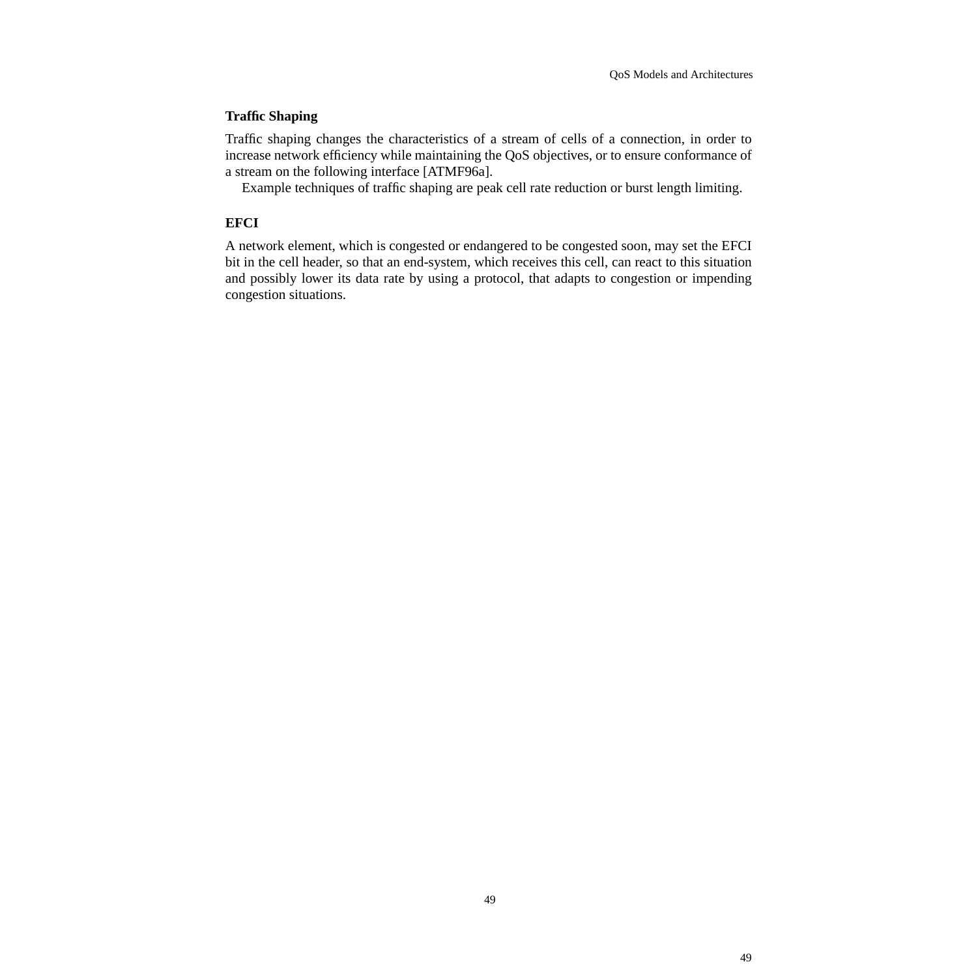### **Traffic Shaping**

Traffic shaping changes the characteristics of a stream of cells of a connection, in order to increase network efficiency while maintaining the QoS objectives, or to ensure conformance of a stream on the following interface [[ATMF96a\].](#page-77-0)

Example techniques of traffic shaping are peak cell rate reduction or burst length limiting.

### **EFCI**

A network element, which is congested or endangered to be congested soon, may set the EFCI bit in the cell header, so that an end-system, which receives this cell, can react to this situation and possibly lower its data rate by using a protocol, that adapts to congestion or impending congestion situations.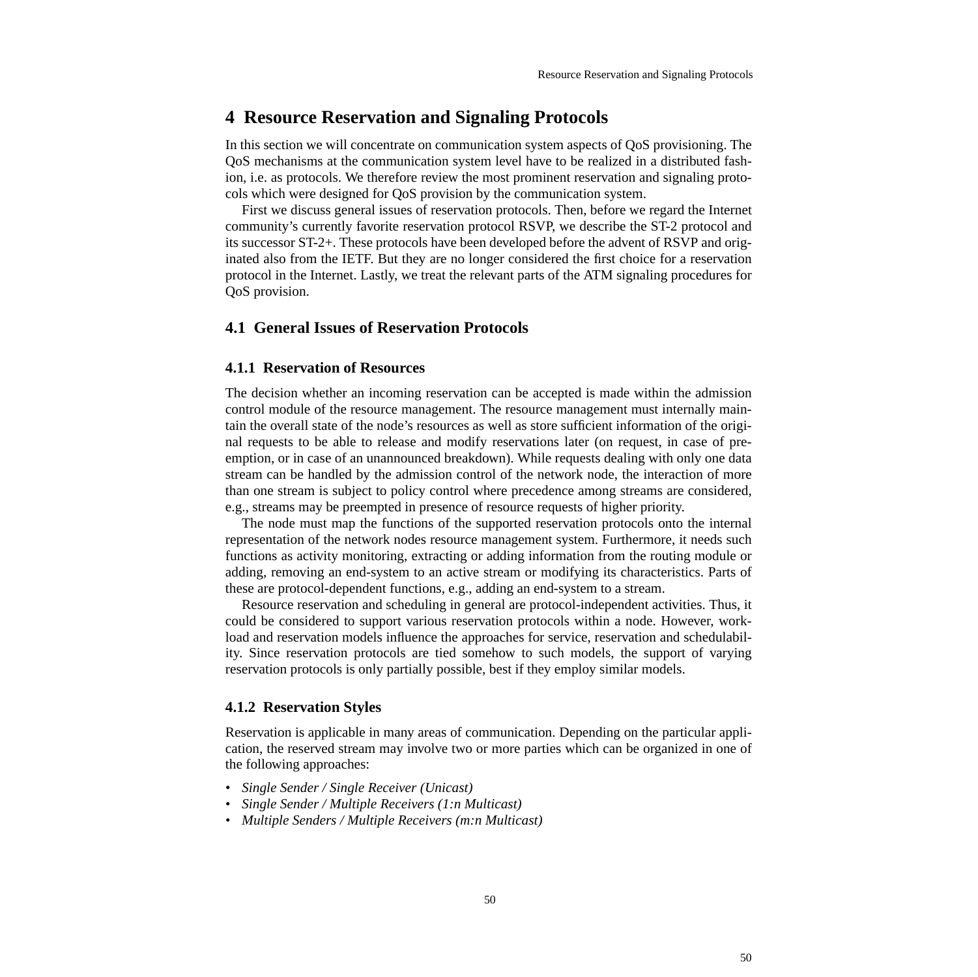# **4 Resource Reservation and Signaling Protocols**

In this section we will concentrate on communication system aspects of QoS provisioning. The QoS mechanisms at the communication system level have to be realized in a distributed fashion, i.e. as protocols. We therefore review the most prominent reservation and signaling protocols which were designed for QoS provision by the communication system.

First we discuss general issues of reservation protocols. Then, before we regard the Internet community's currently favorite reservation protocol RSVP, we describe the ST-2 protocol and its successor ST-2+. These protocols have been developed before the advent of RSVP and originated also from the IETF. But they are no longer considered the first choice for a reservation protocol in the Internet. Lastly, we treat the relevant parts of the ATM signaling procedures for QoS provision.

## **4.1 General Issues of Reservation Protocols**

### **4.1.1 Reservation of Resources**

The decision whether an incoming reservation can be accepted is made within the admission control module of the resource management. The resource management must internally maintain the overall state of the node's resources as well as store sufficient information of the original requests to be able to release and modify reservations later (on request, in case of preemption, or in case of an unannounced breakdown). While requests dealing with only one data stream can be handled by the admission control of the network node, the interaction of more than one stream is subject to policy control where precedence among streams are considered, e.g., streams may be preempted in presence of resource requests of higher priority.

The node must map the functions of the supported reservation protocols onto the internal representation of the network nodes resource management system. Furthermore, it needs such functions as activity monitoring, extracting or adding information from the routing module or adding, removing an end-system to an active stream or modifying its characteristics. Parts of these are protocol-dependent functions, e.g., adding an end-system to a stream.

Resource reservation and scheduling in general are protocol-independent activities. Thus, it could be considered to support various reservation protocols within a node. However, workload and reservation models influence the approaches for service, reservation and schedulability. Since reservation protocols are tied somehow to such models, the support of varying reservation protocols is only partially possible, best if they employ similar models.

### **4.1.2 Reservation Styles**

Reservation is applicable in many areas of communication. Depending on the particular application, the reserved stream may involve two or more parties which can be organized in one of the following approaches:

- *Single Sender / Single Receiver (Unicast)*
- *Single Sender / Multiple Receivers (1:n Multicast)*
- *Multiple Senders / Multiple Receivers (m:n Multicast)*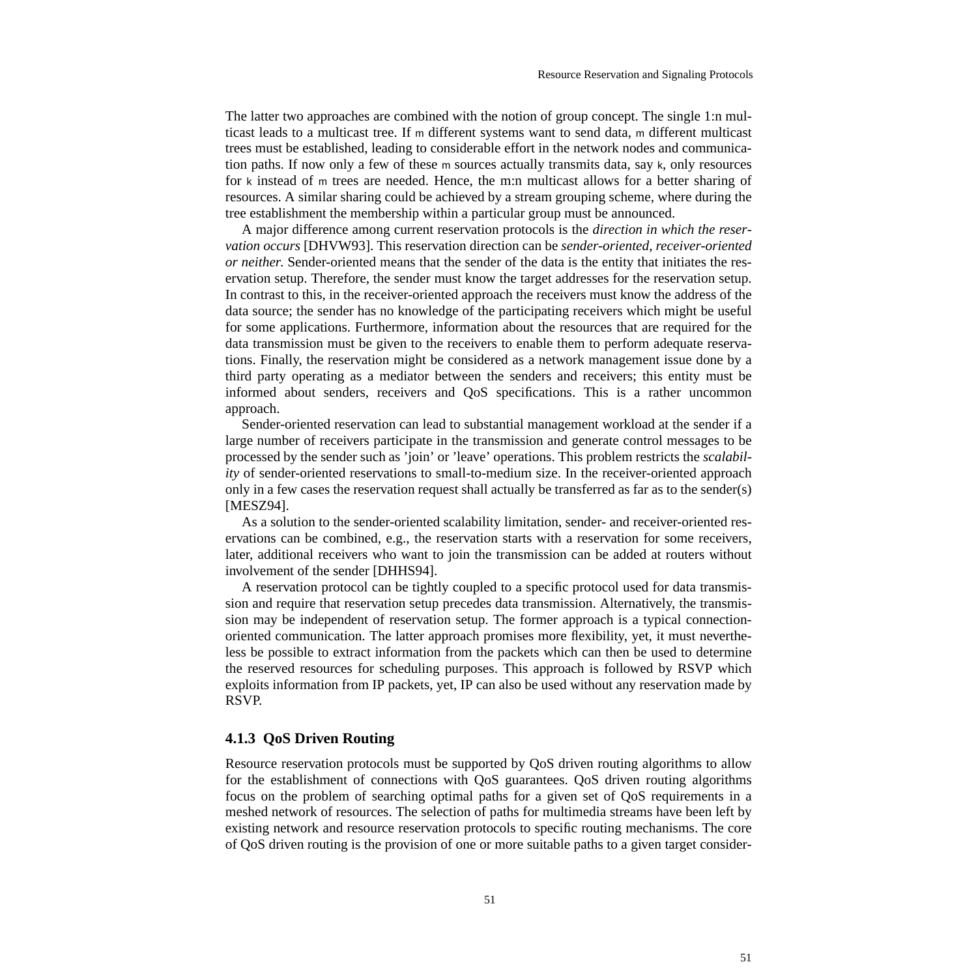The latter two approaches are combined with the notion of group concept. The single 1:n multicast leads to a multicast tree. If m different systems want to send data, m different multicast trees must be established, leading to considerable effort in the network nodes and communication paths. If now only a few of these m sources actually transmits data, say k, only resources for k instead of m trees are needed. Hence, the m:n multicast allows for a better sharing of resources. A similar sharing could be achieved by a stream grouping scheme, where during the tree establishment the membership within a particular group must be announced.

A major difference among current reservation protocols is the *direction in which the reservation occurs* [\[DHVW93\].](#page-79-0) This reservation direction can be *sender-oriented*, *receiver-oriented or neither*. Sender-oriented means that the sender of the data is the entity that initiates the reservation setup. Therefore, the sender must know the target addresses for the reservation setup. In contrast to this, in the receiver-oriented approach the receivers must know the address of the data source; the sender has no knowledge of the participating receivers which might be useful for some applications. Furthermore, information about the resources that are required for the data transmission must be given to the receivers to enable them to perform adequate reservations. Finally, the reservation might be considered as a network management issue done by a third party operating as a mediator between the senders and receivers; this entity must be informed about senders, receivers and QoS specifications. This is a rather uncommon approach.

Sender-oriented reservation can lead to substantial management workload at the sender if a large number of receivers participate in the transmission and generate control messages to be processed by the sender such as 'join' or 'leave' operations. This problem restricts the *scalability* of sender-oriented reservations to small-to-medium size. In the receiver-oriented approach only in a few cases the reservation request shall actually be transferred as far as to the sender(s) [\[MESZ94\].](#page-81-0)

As a solution to the sender-oriented scalability limitation, sender- and receiver-oriented reservations can be combined, e.g., the reservation starts with a reservation for some receivers, later, additional receivers who want to join the transmission can be added at routers without involvement of the sender [[DHHS94\].](#page-79-0)

A reservation protocol can be tightly coupled to a specific protocol used for data transmission and require that reservation setup precedes data transmission. Alternatively, the transmission may be independent of reservation setup. The former approach is a typical connectionoriented communication. The latter approach promises more flexibility, yet, it must nevertheless be possible to extract information from the packets which can then be used to determine the reserved resources for scheduling purposes. This approach is followed by RSVP which exploits information from IP packets, yet, IP can also be used without any reservation made by RSVP.

### **4.1.3 QoS Driven Routing**

Resource reservation protocols must be supported by QoS driven routing algorithms to allow for the establishment of connections with QoS guarantees. QoS driven routing algorithms focus on the problem of searching optimal paths for a given set of QoS requirements in a meshed network of resources. The selection of paths for multimedia streams have been left by existing network and resource reservation protocols to specific routing mechanisms. The core of QoS driven routing is the provision of one or more suitable paths to a given target consider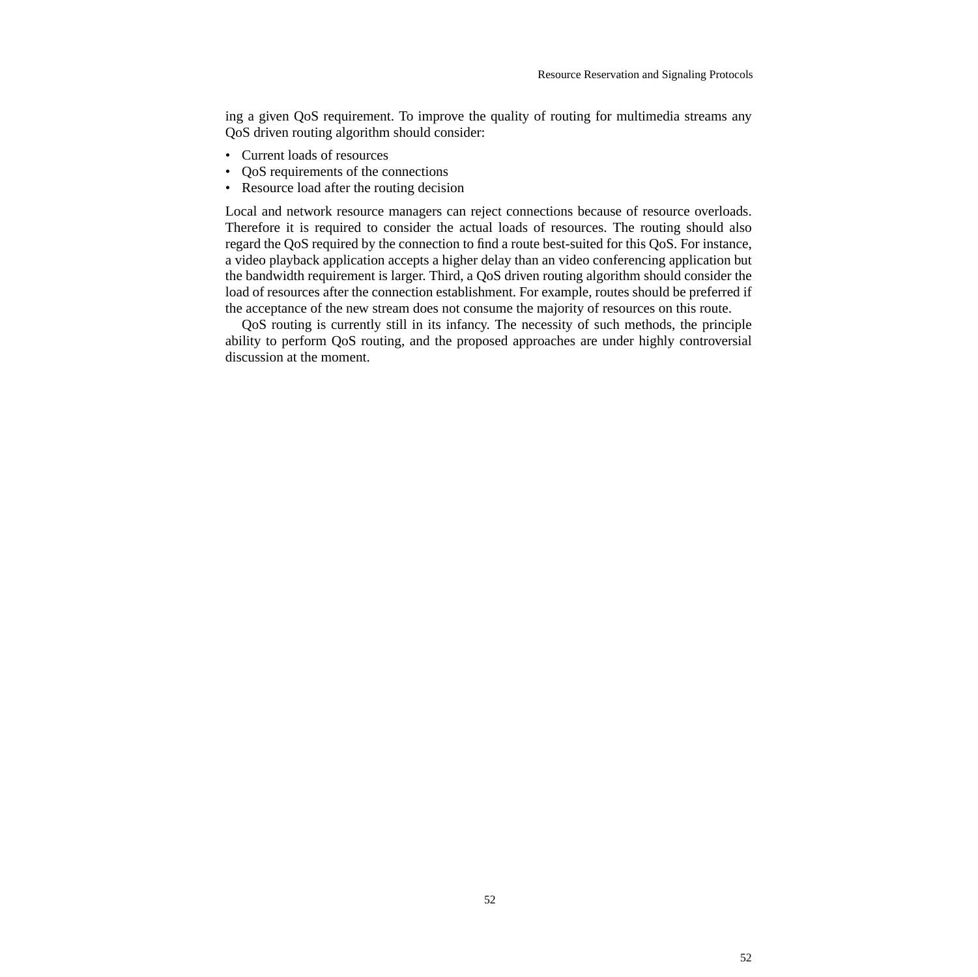ing a given QoS requirement. To improve the quality of routing for multimedia streams any QoS driven routing algorithm should consider:

- Current loads of resources
- QoS requirements of the connections
- Resource load after the routing decision

Local and network resource managers can reject connections because of resource overloads. Therefore it is required to consider the actual loads of resources. The routing should also regard the QoS required by the connection to find a route best-suited for this QoS. For instance, a video playback application accepts a higher delay than an video conferencing application but the bandwidth requirement is larger. Third, a QoS driven routing algorithm should consider the load of resources after the connection establishment. For example, routes should be preferred if the acceptance of the new stream does not consume the majority of resources on this route.

QoS routing is currently still in its infancy. The necessity of such methods, the principle ability to perform QoS routing, and the proposed approaches are under highly controversial discussion at the moment.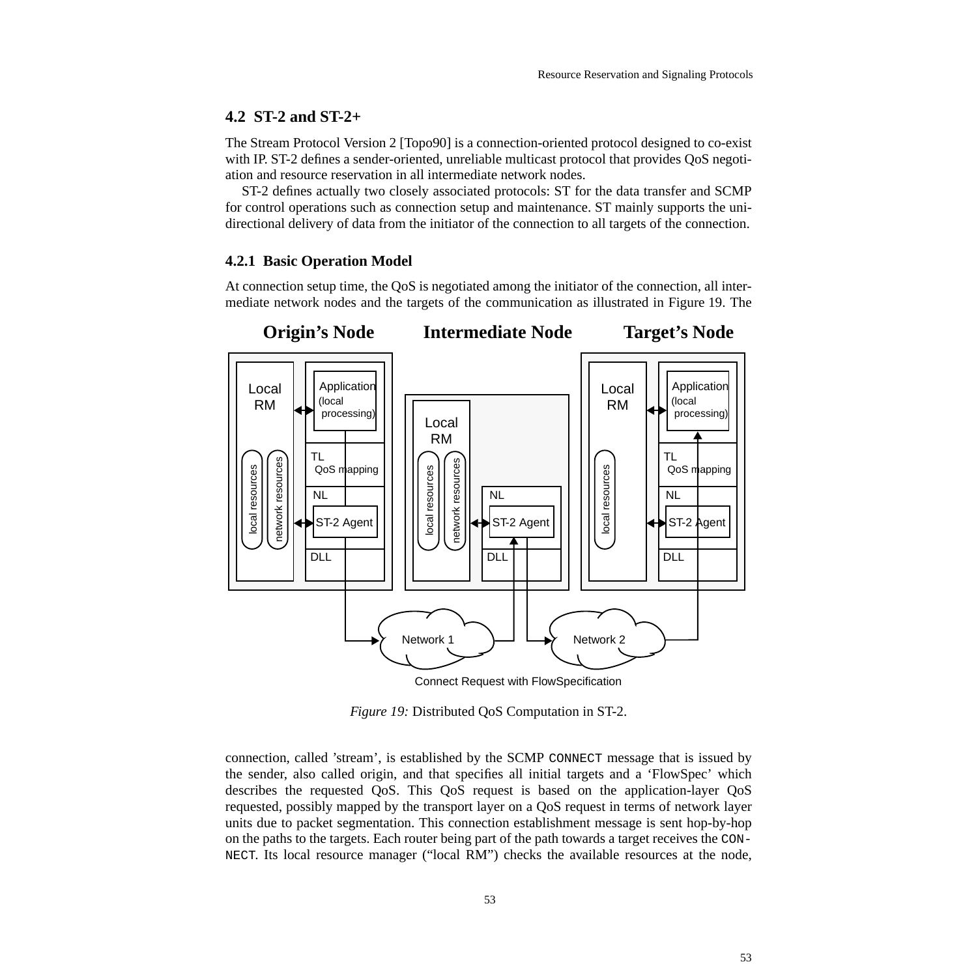## **4.2 ST-2 and ST-2+**

The Stream Protocol Version 2 [\[Topo90\]](#page-83-0) is a connection-oriented protocol designed to co-exist with IP. ST-2 defines a sender-oriented, unreliable multicast protocol that provides QoS negotiation and resource reservation in all intermediate network nodes.

ST-2 defines actually two closely associated protocols: ST for the data transfer and SCMP for control operations such as connection setup and maintenance. ST mainly supports the unidirectional delivery of data from the initiator of the connection to all targets of the connection.

## **4.2.1 Basic Operation Model**

At connection setup time, the QoS is negotiated among the initiator of the connection, all intermediate network nodes and the targets of the communication as illustrated in Figure 19. The



*Figure 19:* Distributed QoS Computation in ST-2.

connection, called 'stream', is established by the SCMP CONNECT message that is issued by the sender, also called origin, and that specifies all initial targets and a 'FlowSpec' which describes the requested QoS. This QoS request is based on the application-layer QoS requested, possibly mapped by the transport layer on a QoS request in terms of network layer units due to packet segmentation. This connection establishment message is sent hop-by-hop on the paths to the targets. Each router being part of the path towards a target receives the CON-NECT. Its local resource manager ("local RM") checks the available resources at the node,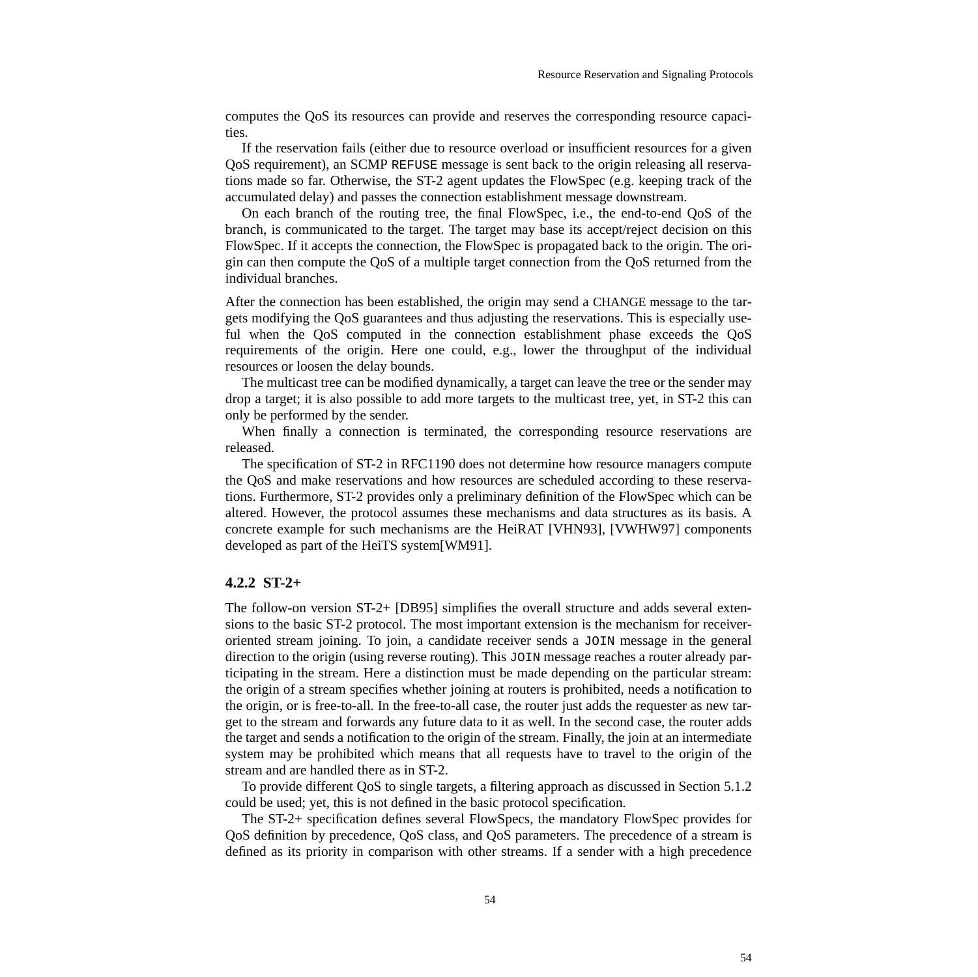computes the QoS its resources can provide and reserves the corresponding resource capacities.

If the reservation fails (either due to resource overload or insufficient resources for a given QoS requirement), an SCMP REFUSE message is sent back to the origin releasing all reservations made so far. Otherwise, the ST-2 agent updates the FlowSpec (e.g. keeping track of the accumulated delay) and passes the connection establishment message downstream.

On each branch of the routing tree, the final FlowSpec, i.e., the end-to-end QoS of the branch, is communicated to the target. The target may base its accept/reject decision on this FlowSpec. If it accepts the connection, the FlowSpec is propagated back to the origin. The origin can then compute the QoS of a multiple target connection from the QoS returned from the individual branches.

After the connection has been established, the origin may send a CHANGE message to the targets modifying the QoS guarantees and thus adjusting the reservations. This is especially useful when the QoS computed in the connection establishment phase exceeds the QoS requirements of the origin. Here one could, e.g., lower the throughput of the individual resources or loosen the delay bounds.

The multicast tree can be modified dynamically, a target can leave the tree or the sender may drop a target; it is also possible to add more targets to the multicast tree, yet, in ST-2 this can only be performed by the sender.

When finally a connection is terminated, the corresponding resource reservations are released.

The specification of ST-2 in RFC1190 does not determine how resource managers compute the QoS and make reservations and how resources are scheduled according to these reservations. Furthermore, ST-2 provides only a preliminary definition of the FlowSpec which can be altered. However, the protocol assumes these mechanisms and data structures as its basis. A concrete example for such mechanisms are the HeiRAT [\[VHN93\]](#page-83-0), [\[VWHW97\]](#page-83-0) components developed as part of the HeiTS system[[WM91\].](#page-84-0)

#### **4.2.2 ST-2+**

The follow-on version ST-2+ [\[DB95\]](#page-78-0) simplifies the overall structure and adds several extensions to the basic ST-2 protocol. The most important extension is the mechanism for receiveroriented stream joining. To join, a candidate receiver sends a JOIN message in the general direction to the origin (using reverse routing). This JOIN message reaches a router already participating in the stream. Here a distinction must be made depending on the particular stream: the origin of a stream specifies whether joining at routers is prohibited, needs a notification to the origin, or is free-to-all. In the free-to-all case, the router just adds the requester as new target to the stream and forwards any future data to it as well. In the second case, the router adds the target and sends a notification to the origin of the stream. Finally, the join at an intermediate system may be prohibited which means that all requests have to travel to the origin of the stream and are handled there as in ST-2.

To provide different QoS to single targets, a filtering approach as discussed in [Section 5.1.2](#page-68-0) could be used; yet, this is not defined in the basic protocol specification.

The ST-2+ specification defines several FlowSpecs, the mandatory FlowSpec provides for QoS definition by precedence, QoS class, and QoS parameters. The precedence of a stream is defined as its priority in comparison with other streams. If a sender with a high precedence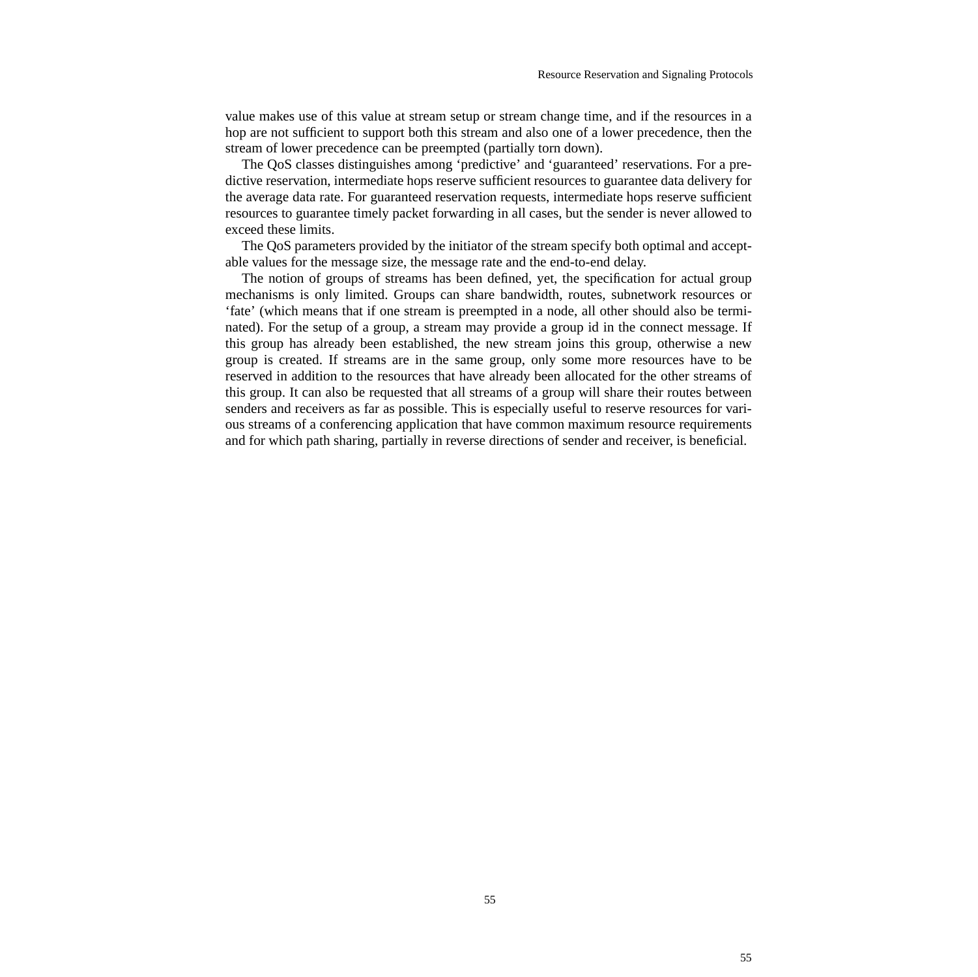value makes use of this value at stream setup or stream change time, and if the resources in a hop are not sufficient to support both this stream and also one of a lower precedence, then the stream of lower precedence can be preempted (partially torn down).

The QoS classes distinguishes among 'predictive' and 'guaranteed' reservations. For a predictive reservation, intermediate hops reserve sufficient resources to guarantee data delivery for the average data rate. For guaranteed reservation requests, intermediate hops reserve sufficient resources to guarantee timely packet forwarding in all cases, but the sender is never allowed to exceed these limits.

The QoS parameters provided by the initiator of the stream specify both optimal and acceptable values for the message size, the message rate and the end-to-end delay.

The notion of groups of streams has been defined, yet, the specification for actual group mechanisms is only limited. Groups can share bandwidth, routes, subnetwork resources or 'fate' (which means that if one stream is preempted in a node, all other should also be terminated). For the setup of a group, a stream may provide a group id in the connect message. If this group has already been established, the new stream joins this group, otherwise a new group is created. If streams are in the same group, only some more resources have to be reserved in addition to the resources that have already been allocated for the other streams of this group. It can also be requested that all streams of a group will share their routes between senders and receivers as far as possible. This is especially useful to reserve resources for various streams of a conferencing application that have common maximum resource requirements and for which path sharing, partially in reverse directions of sender and receiver, is beneficial.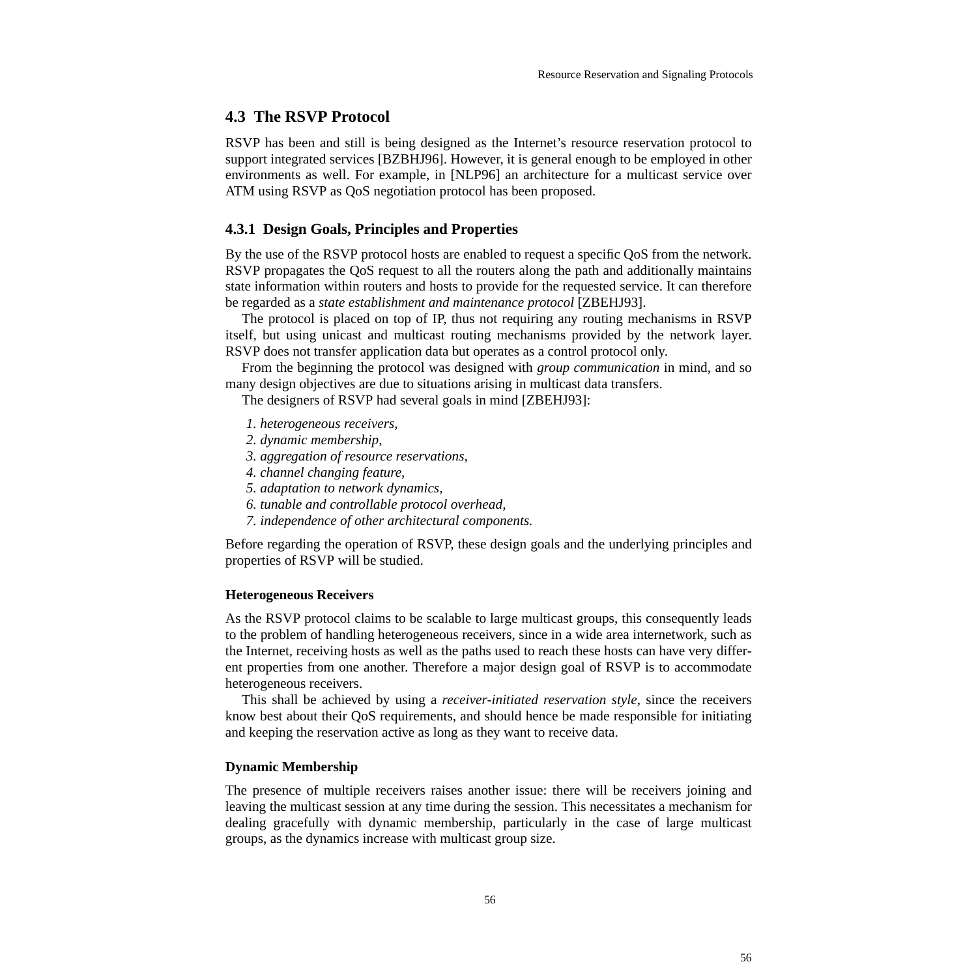## <span id="page-57-0"></span>**4.3 The RSVP Protocol**

RSVP has been and still is being designed as the Internet's resource reservation protocol to support integrated services [\[BZBHJ96\].](#page-77-0) However, it is general enough to be employed in other environments as well. For example, in [\[NLP96\]](#page-82-0) an architecture for a multicast service over ATM using RSVP as QoS negotiation protocol has been proposed.

## **4.3.1 Design Goals, Principles and Properties**

By the use of the RSVP protocol hosts are enabled to request a specific QoS from the network. RSVP propagates the QoS request to all the routers along the path and additionally maintains state information within routers and hosts to provide for the requested service. It can therefore be regarded as a *state establishment and maintenance protocol* [Z[BEHJ93\].](#page-84-0)

The protocol is placed on top of IP, thus not requiring any routing mechanisms in RSVP itself, but using unicast and multicast routing mechanisms provided by the network layer. RSVP does not transfer application data but operates as a control protocol only.

From the beginning the protocol was designed with *group communication* in mind, and so many design objectives are due to situations arising in multicast data transfers.

The designers of RSVP had several goals in mind [[ZBEHJ93\]:](#page-84-0)

- *1. heterogeneous receivers,*
- *2. dynamic membership,*
- *3. aggregation of resource reservations,*
- *4. channel changing feature,*
- *5. adaptation to network dynamics,*
- *6. tunable and controllable protocol overhead,*
- *7. independence of other architectural components.*

Before regarding the operation of RSVP, these design goals and the underlying principles and properties of RSVP will be studied.

#### **Heterogeneous Receivers**

As the RSVP protocol claims to be scalable to large multicast groups, this consequently leads to the problem of handling heterogeneous receivers, since in a wide area internetwork, such as the Internet, receiving hosts as well as the paths used to reach these hosts can have very different properties from one another. Therefore a major design goal of RSVP is to accommodate heterogeneous receivers.

This shall be achieved by using a *receiver-initiated reservation style*, since the receivers know best about their QoS requirements, and should hence be made responsible for initiating and keeping the reservation active as long as they want to receive data.

#### **Dynamic Membership**

The presence of multiple receivers raises another issue: there will be receivers joining and leaving the multicast session at any time during the session. This necessitates a mechanism for dealing gracefully with dynamic membership, particularly in the case of large multicast groups, as the dynamics increase with multicast group size.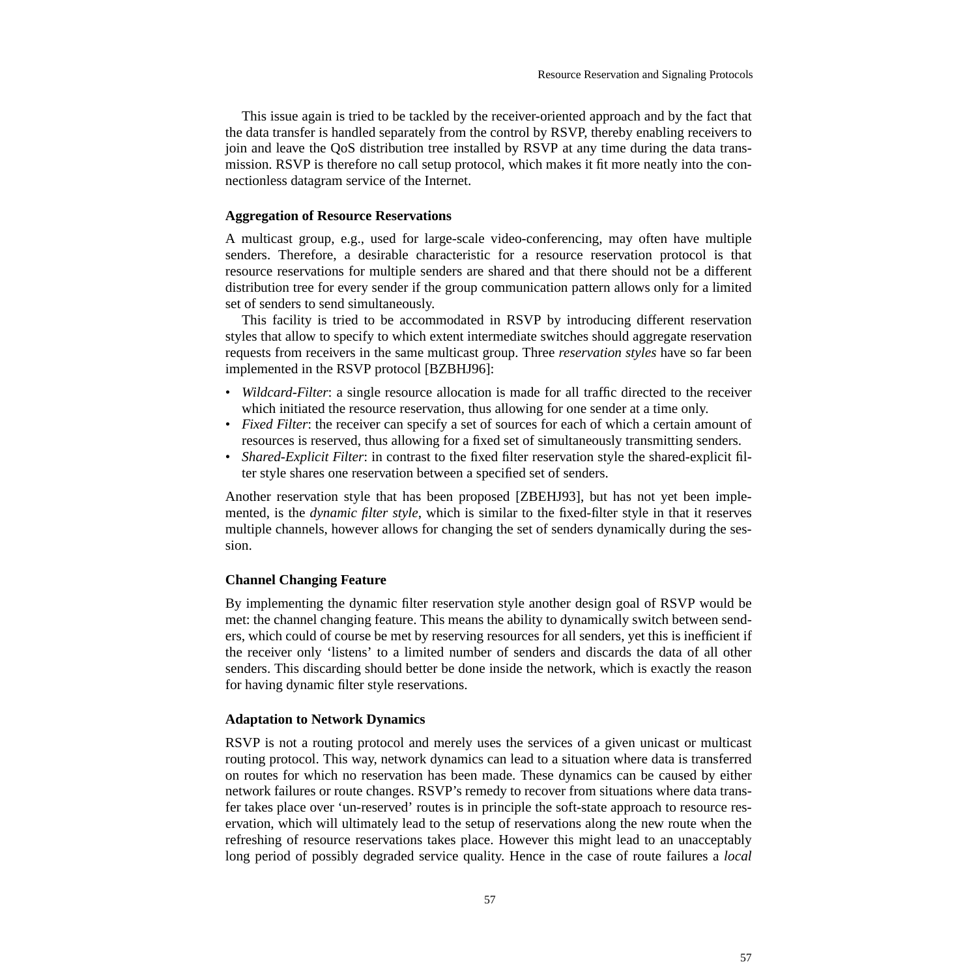This issue again is tried to be tackled by the receiver-oriented approach and by the fact that the data transfer is handled separately from the control by RSVP, thereby enabling receivers to join and leave the QoS distribution tree installed by RSVP at any time during the data transmission. RSVP is therefore no call setup protocol, which makes it fit more neatly into the connectionless datagram service of the Internet.

#### **Aggregation of Resource Reservations**

A multicast group, e.g., used for large-scale video-conferencing, may often have multiple senders. Therefore, a desirable characteristic for a resource reservation protocol is that resource reservations for multiple senders are shared and that there should not be a different distribution tree for every sender if the group communication pattern allows only for a limited set of senders to send simultaneously.

This facility is tried to be accommodated in RSVP by introducing different reservation styles that allow to specify to which extent intermediate switches should aggregate reservation requests from receivers in the same multicast group. Three *reservation styles* have so far been implemented in the RSVP protocol [\[BZBHJ96\]:](#page-77-0)

- *Wildcard-Filter*: a single resource allocation is made for all traffic directed to the receiver which initiated the resource reservation, thus allowing for one sender at a time only.
- *Fixed Filter*: the receiver can specify a set of sources for each of which a certain amount of resources is reserved, thus allowing for a fixed set of simultaneously transmitting senders.
- *Shared-Explicit Filter*: in contrast to the fixed filter reservation style the shared-explicit filter style shares one reservation between a specified set of senders.

Another reservation style that has been proposed [\[ZBEHJ93\],](#page-84-0) but has not yet been implemented, is the *dynamic filter style*, which is similar to the fixed-filter style in that it reserves multiple channels, however allows for changing the set of senders dynamically during the session.

### **Channel Changing Feature**

By implementing the dynamic filter reservation style another design goal of RSVP would be met: the channel changing feature. This means the ability to dynamically switch between senders, which could of course be met by reserving resources for all senders, yet this is inefficient if the receiver only 'listens' to a limited number of senders and discards the data of all other senders. This discarding should better be done inside the network, which is exactly the reason for having dynamic filter style reservations.

### **Adaptation to Network Dynamics**

RSVP is not a routing protocol and merely uses the services of a given unicast or multicast routing protocol. This way, network dynamics can lead to a situation where data is transferred on routes for which no reservation has been made. These dynamics can be caused by either network failures or route changes. RSVP's remedy to recover from situations where data transfer takes place over 'un-reserved' routes is in principle the soft-state approach to resource reservation, which will ultimately lead to the setup of reservations along the new route when the refreshing of resource reservations takes place. However this might lead to an unacceptably long period of possibly degraded service quality. Hence in the case of route failures a *local*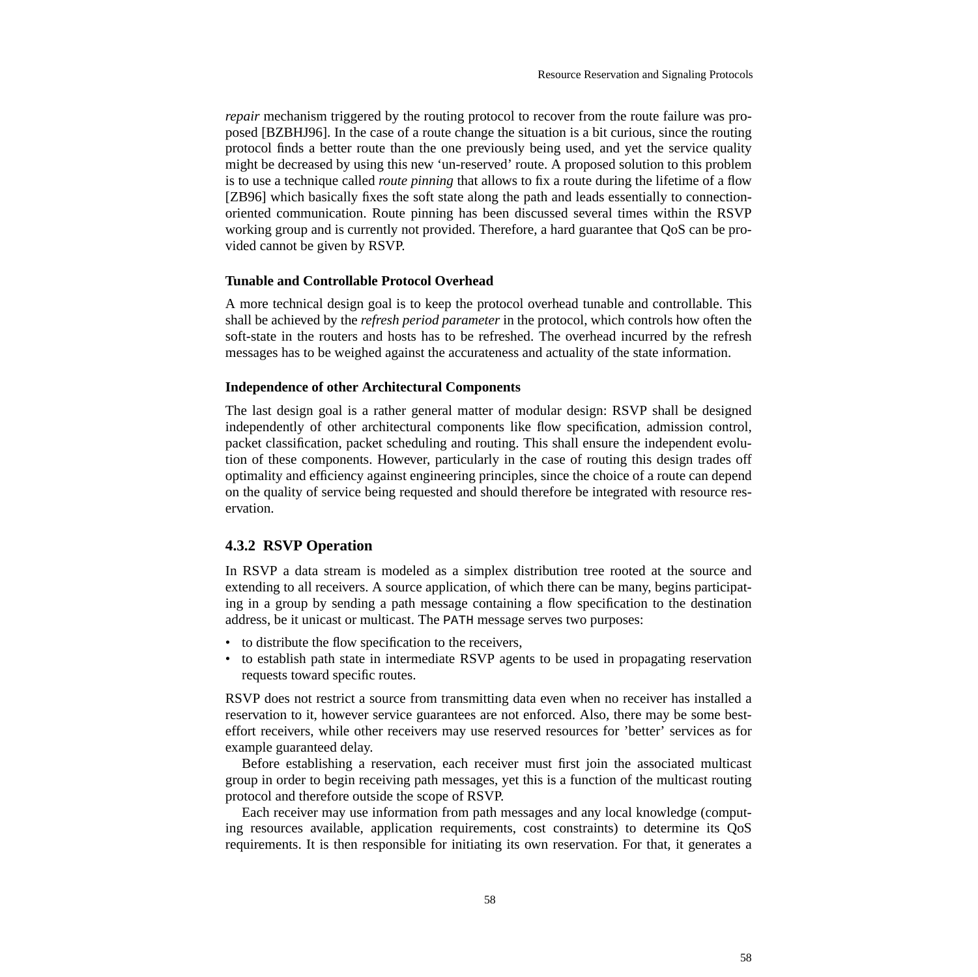*repair* mechanism triggered by the routing protocol to recover from the route failure was proposed [\[BZBHJ96\].](#page-77-0) In the case of a route change the situation is a bit curious, since the routing protocol finds a better route than the one previously being used, and yet the service quality might be decreased by using this new 'un-reserved' route. A proposed solution to this problem is to use a technique called *route pinning* that allows to fix a route during the lifetime of a flow [\[ZB96\]](#page-84-0) which basically fixes the soft state along the path and leads essentially to connectionoriented communication. Route pinning has been discussed several times within the RSVP working group and is currently not provided. Therefore, a hard guarantee that QoS can be provided cannot be given by RSVP.

### **Tunable and Controllable Protocol Overhead**

A more technical design goal is to keep the protocol overhead tunable and controllable. This shall be achieved by the *refresh period parameter* in the protocol, which controls how often the soft-state in the routers and hosts has to be refreshed. The overhead incurred by the refresh messages has to be weighed against the accurateness and actuality of the state information.

### **Independence of other Architectural Components**

The last design goal is a rather general matter of modular design: RSVP shall be designed independently of other architectural components like flow specification, admission control, packet classification, packet scheduling and routing. This shall ensure the independent evolution of these components. However, particularly in the case of routing this design trades off optimality and efficiency against engineering principles, since the choice of a route can depend on the quality of service being requested and should therefore be integrated with resource reservation.

## **4.3.2 RSVP Operation**

In RSVP a data stream is modeled as a simplex distribution tree rooted at the source and extending to all receivers. A source application, of which there can be many, begins participating in a group by sending a path message containing a flow specification to the destination address, be it unicast or multicast. The PATH message serves two purposes:

- to distribute the flow specification to the receivers,
- to establish path state in intermediate RSVP agents to be used in propagating reservation requests toward specific routes.

RSVP does not restrict a source from transmitting data even when no receiver has installed a reservation to it, however service guarantees are not enforced. Also, there may be some besteffort receivers, while other receivers may use reserved resources for 'better' services as for example guaranteed delay.

Before establishing a reservation, each receiver must first join the associated multicast group in order to begin receiving path messages, yet this is a function of the multicast routing protocol and therefore outside the scope of RSVP.

Each receiver may use information from path messages and any local knowledge (computing resources available, application requirements, cost constraints) to determine its QoS requirements. It is then responsible for initiating its own reservation. For that, it generates a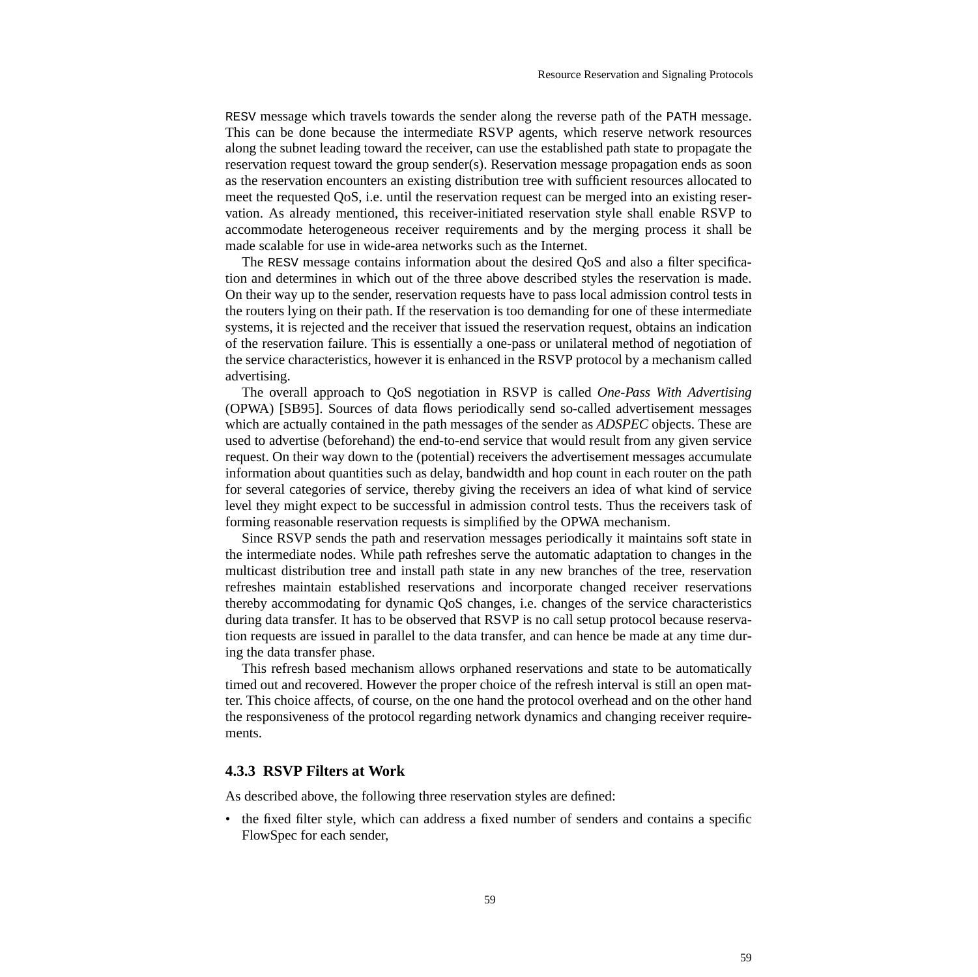RESV message which travels towards the sender along the reverse path of the PATH message. This can be done because the intermediate RSVP agents, which reserve network resources along the subnet leading toward the receiver, can use the established path state to propagate the reservation request toward the group sender(s). Reservation message propagation ends as soon as the reservation encounters an existing distribution tree with sufficient resources allocated to meet the requested QoS, i.e. until the reservation request can be merged into an existing reservation. As already mentioned, this receiver-initiated reservation style shall enable RSVP to accommodate heterogeneous receiver requirements and by the merging process it shall be made scalable for use in wide-area networks such as the Internet.

The RESV message contains information about the desired QoS and also a filter specification and determines in which out of the three above described styles the reservation is made. On their way up to the sender, reservation requests have to pass local admission control tests in the routers lying on their path. If the reservation is too demanding for one of these intermediate systems, it is rejected and the receiver that issued the reservation request, obtains an indication of the reservation failure. This is essentially a one-pass or unilateral method of negotiation of the service characteristics, however it is enhanced in the RSVP protocol by a mechanism called advertising.

The overall approach to QoS negotiation in RSVP is called *One-Pass With Advertising* (OPWA) [\[SB95\].](#page-82-0) Sources of data flows periodically send so-called advertisement messages which are actually contained in the path messages of the sender as *ADSPEC* objects. These are used to advertise (beforehand) the end-to-end service that would result from any given service request. On their way down to the (potential) receivers the advertisement messages accumulate information about quantities such as delay, bandwidth and hop count in each router on the path for several categories of service, thereby giving the receivers an idea of what kind of service level they might expect to be successful in admission control tests. Thus the receivers task of forming reasonable reservation requests is simplified by the OPWA mechanism.

Since RSVP sends the path and reservation messages periodically it maintains soft state in the intermediate nodes. While path refreshes serve the automatic adaptation to changes in the multicast distribution tree and install path state in any new branches of the tree, reservation refreshes maintain established reservations and incorporate changed receiver reservations thereby accommodating for dynamic QoS changes, i.e. changes of the service characteristics during data transfer. It has to be observed that RSVP is no call setup protocol because reservation requests are issued in parallel to the data transfer, and can hence be made at any time during the data transfer phase.

This refresh based mechanism allows orphaned reservations and state to be automatically timed out and recovered. However the proper choice of the refresh interval is still an open matter. This choice affects, of course, on the one hand the protocol overhead and on the other hand the responsiveness of the protocol regarding network dynamics and changing receiver requirements.

#### **4.3.3 RSVP Filters at Work**

As described above, the following three reservation styles are defined:

• the fixed filter style, which can address a fixed number of senders and contains a specific FlowSpec for each sender,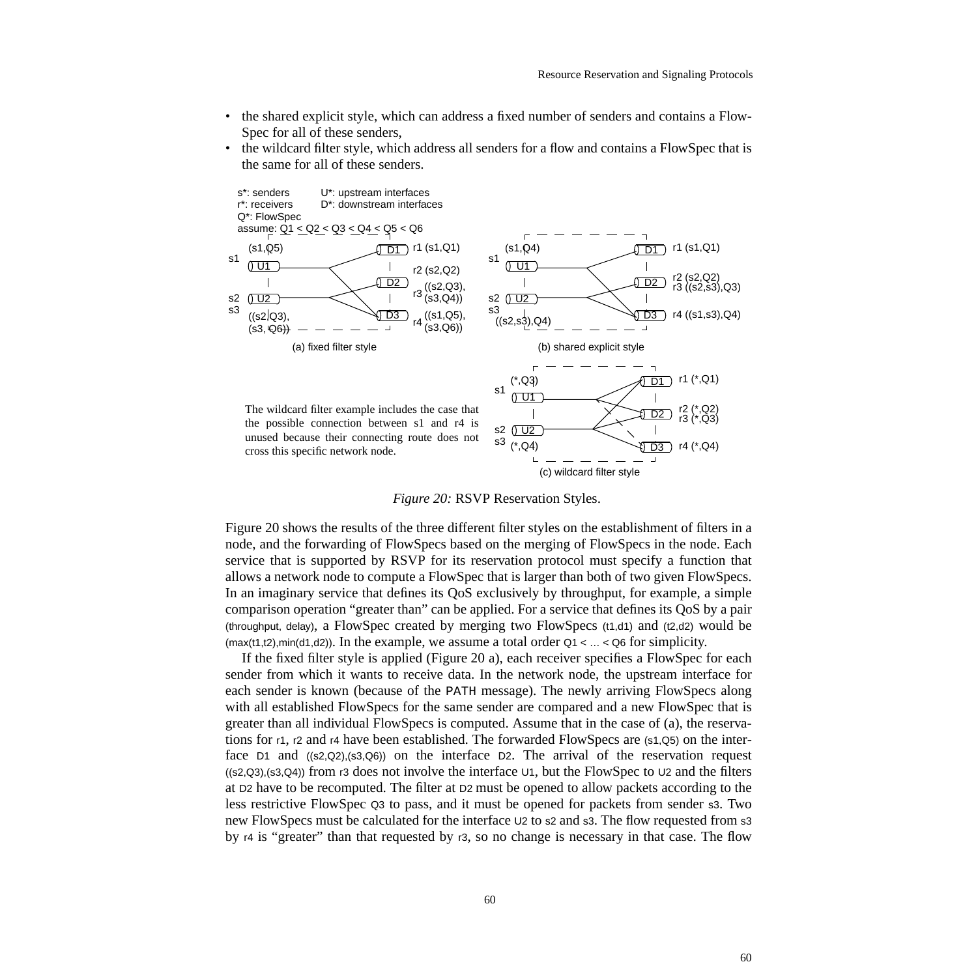- <span id="page-61-0"></span>• the shared explicit style, which can address a fixed number of senders and contains a Flow-Spec for all of these senders,
- the wildcard filter style, which address all senders for a flow and contains a FlowSpec that is the same for all of these senders.



*Figure 20:* RSVP Reservation Styles.

Figure 20 shows the results of the three different filter styles on the establishment of filters in a node, and the forwarding of FlowSpecs based on the merging of FlowSpecs in the node. Each service that is supported by RSVP for its reservation protocol must specify a function that allows a network node to compute a FlowSpec that is larger than both of two given FlowSpecs. In an imaginary service that defines its QoS exclusively by throughput, for example, a simple comparison operation "greater than" can be applied. For a service that defines its QoS by a pair (throughput, delay), a FlowSpec created by merging two FlowSpecs (t1,d1) and (t2,d2) would be  $(max(t1,t2),min(d1,d2))$ . In the example, we assume a total order  $Q1 < ... < Q6$  for simplicity.

If the fixed filter style is applied (Figure 20 a), each receiver specifies a FlowSpec for each sender from which it wants to receive data. In the network node, the upstream interface for each sender is known (because of the PATH message). The newly arriving FlowSpecs along with all established FlowSpecs for the same sender are compared and a new FlowSpec that is greater than all individual FlowSpecs is computed. Assume that in the case of (a), the reservations for r1, r2 and r4 have been established. The forwarded FlowSpecs are (s1,Q5) on the interface D1 and ((s2,Q2),(s3,Q6)) on the interface D2. The arrival of the reservation request  $((s2,Q3),(s3,Q4))$  from r3 does not involve the interface U1, but the FlowSpec to U2 and the filters at D2 have to be recomputed. The filter at D2 must be opened to allow packets according to the less restrictive FlowSpec Q3 to pass, and it must be opened for packets from sender s3. Two new FlowSpecs must be calculated for the interface U2 to s2 and s3. The flow requested from s3 by r4 is "greater" than that requested by r3, so no change is necessary in that case. The flow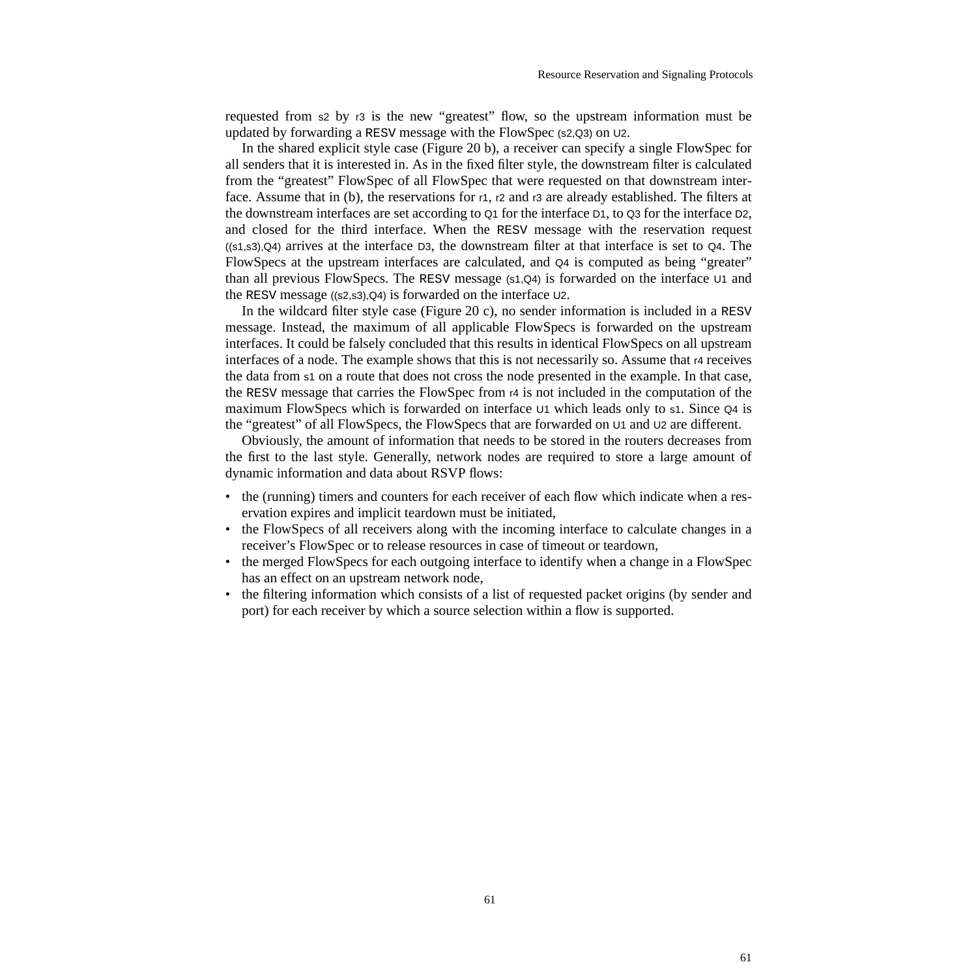requested from s2 by r3 is the new "greatest" flow, so the upstream information must be updated by forwarding a RESV message with the FlowSpec (s2,Q3) on U2.

In the shared explicit style case ([Figure 20 b](#page-61-0)), a receiver can specify a single FlowSpec for all senders that it is interested in. As in the fixed filter style, the downstream filter is calculated from the "greatest" FlowSpec of all FlowSpec that were requested on that downstream interface. Assume that in (b), the reservations for r1, r2 and r3 are already established. The filters at the downstream interfaces are set according to Q1 for the interface D1, to Q3 for the interface D2, and closed for the third interface. When the RESV message with the reservation request ((s1,s3),Q4) arrives at the interface D3, the downstream filter at that interface is set to Q4. The FlowSpecs at the upstream interfaces are calculated, and Q4 is computed as being "greater" than all previous FlowSpecs. The RESV message (s1,Q4) is forwarded on the interface U1 and the RESV message ((s2,s3),Q4) is forwarded on the interface U2.

In the wildcard filter style case ([Figure 20 c](#page-61-0)), no sender information is included in a RESV message. Instead, the maximum of all applicable FlowSpecs is forwarded on the upstream interfaces. It could be falsely concluded that this results in identical FlowSpecs on all upstream interfaces of a node. The example shows that this is not necessarily so. Assume that r4 receives the data from s1 on a route that does not cross the node presented in the example. In that case, the RESV message that carries the FlowSpec from r4 is not included in the computation of the maximum FlowSpecs which is forwarded on interface U1 which leads only to s1. Since Q4 is the "greatest" of all FlowSpecs, the FlowSpecs that are forwarded on U1 and U2 are different.

Obviously, the amount of information that needs to be stored in the routers decreases from the first to the last style. Generally, network nodes are required to store a large amount of dynamic information and data about RSVP flows:

- the (running) timers and counters for each receiver of each flow which indicate when a reservation expires and implicit teardown must be initiated,
- the FlowSpecs of all receivers along with the incoming interface to calculate changes in a receiver's FlowSpec or to release resources in case of timeout or teardown,
- the merged FlowSpecs for each outgoing interface to identify when a change in a FlowSpec has an effect on an upstream network node,
- the filtering information which consists of a list of requested packet origins (by sender and port) for each receiver by which a source selection within a flow is supported.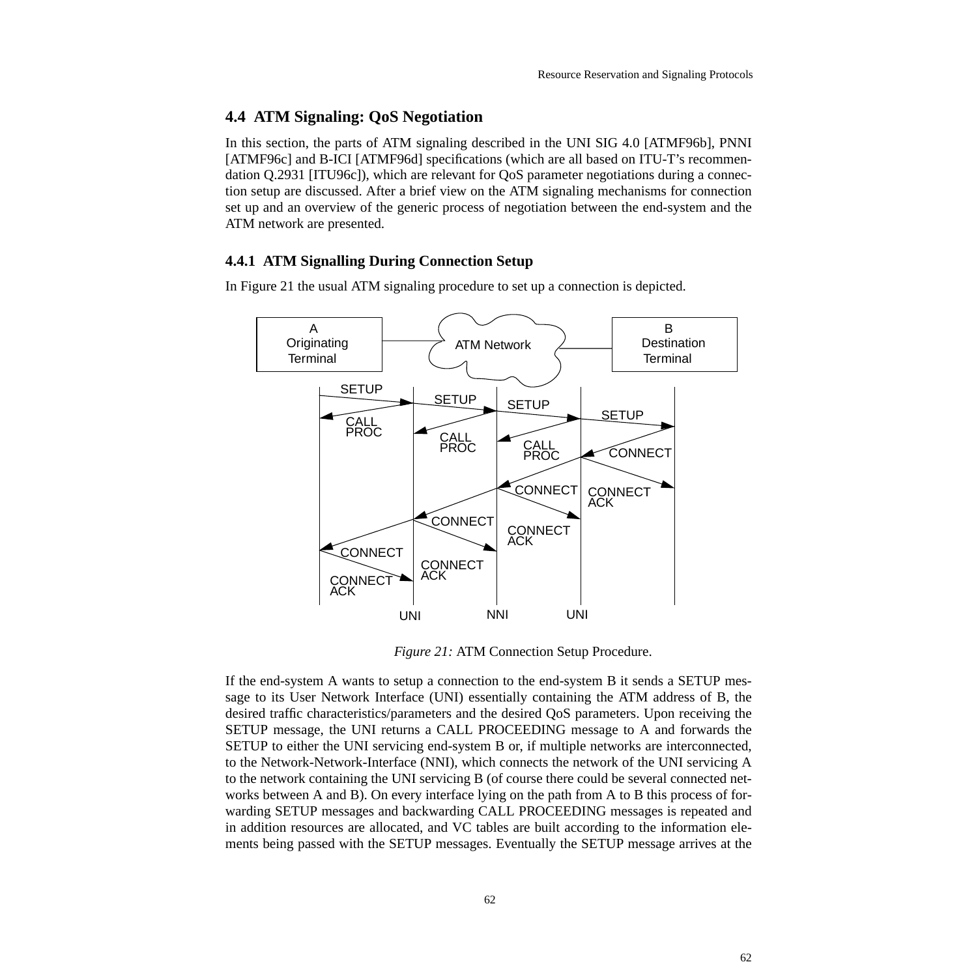# **4.4 ATM Signaling: QoS Negotiation**

In this section, the parts of ATM signaling described in the UNI SIG 4.[0 \[ATMF96b\],](#page-77-0) PNNI [\[ATMF96c\]](#page-77-0) and B-ICI [\[ATMF96d\] s](#page-77-0)pecifications (which are all based on ITU-T's recommendation Q.2931 [\[ITU96c\]](#page-80-0)), which are relevant for QoS parameter negotiations during a connection setup are discussed. After a brief view on the ATM signaling mechanisms for connection set up and an overview of the generic process of negotiation between the end-system and the ATM network are presented.

## **4.4.1 ATM Signalling During Connection Setup**

In Figure 21 the usual ATM signaling procedure to set up a connection is depicted.



*Figure 21:* ATM Connection Setup Procedure.

If the end-system A wants to setup a connection to the end-system B it sends a SETUP message to its User Network Interface (UNI) essentially containing the ATM address of B, the desired traffic characteristics/parameters and the desired QoS parameters. Upon receiving the SETUP message, the UNI returns a CALL PROCEEDING message to A and forwards the SETUP to either the UNI servicing end-system B or, if multiple networks are interconnected, to the Network-Network-Interface (NNI), which connects the network of the UNI servicing A to the network containing the UNI servicing B (of course there could be several connected networks between A and B). On every interface lying on the path from A to B this process of forwarding SETUP messages and backwarding CALL PROCEEDING messages is repeated and in addition resources are allocated, and VC tables are built according to the information elements being passed with the SETUP messages. Eventually the SETUP message arrives at the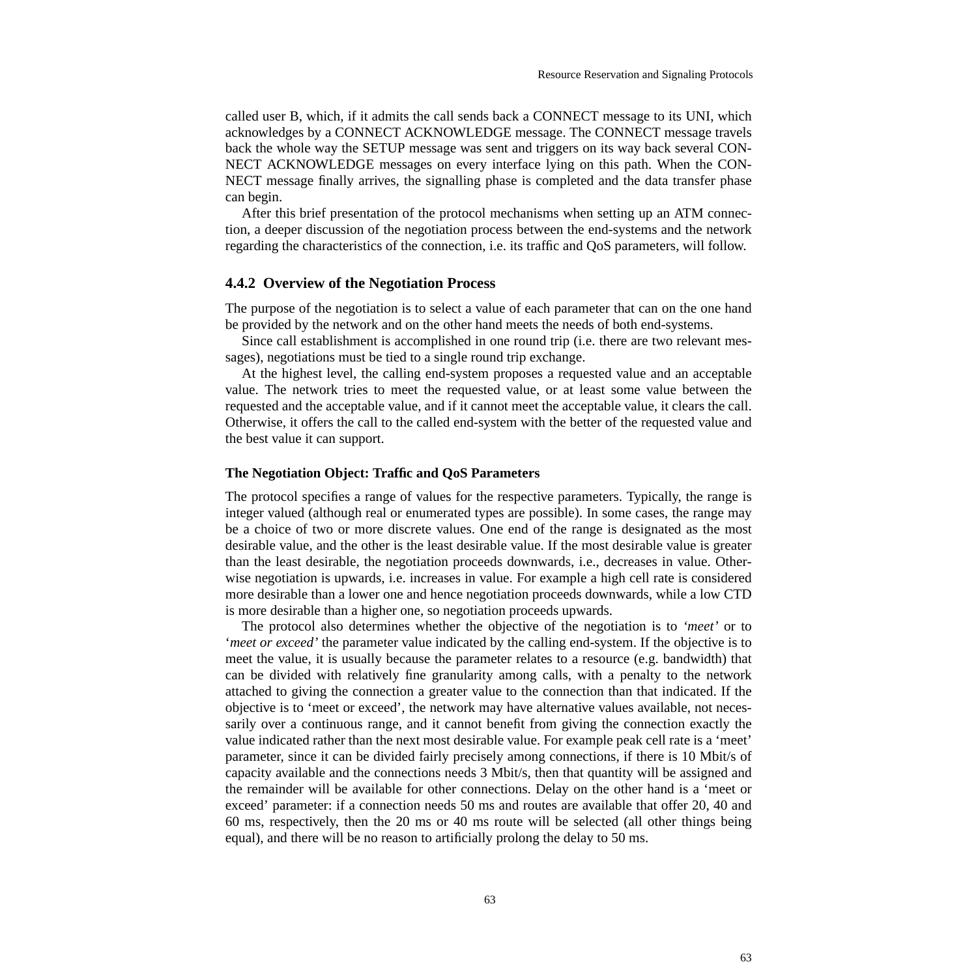called user B, which, if it admits the call sends back a CONNECT message to its UNI, which acknowledges by a CONNECT ACKNOWLEDGE message. The CONNECT message travels back the whole way the SETUP message was sent and triggers on its way back several CON-NECT ACKNOWLEDGE messages on every interface lying on this path. When the CON-NECT message finally arrives, the signalling phase is completed and the data transfer phase can begin.

After this brief presentation of the protocol mechanisms when setting up an ATM connection, a deeper discussion of the negotiation process between the end-systems and the network regarding the characteristics of the connection, i.e. its traffic and QoS parameters, will follow.

#### **4.4.2 Overview of the Negotiation Process**

The purpose of the negotiation is to select a value of each parameter that can on the one hand be provided by the network and on the other hand meets the needs of both end-systems.

Since call establishment is accomplished in one round trip (i.e. there are two relevant messages), negotiations must be tied to a single round trip exchange.

At the highest level, the calling end-system proposes a requested value and an acceptable value. The network tries to meet the requested value, or at least some value between the requested and the acceptable value, and if it cannot meet the acceptable value, it clears the call. Otherwise, it offers the call to the called end-system with the better of the requested value and the best value it can support.

#### **The Negotiation Object: Traffic and QoS Parameters**

The protocol specifies a range of values for the respective parameters. Typically, the range is integer valued (although real or enumerated types are possible). In some cases, the range may be a choice of two or more discrete values. One end of the range is designated as the most desirable value, and the other is the least desirable value. If the most desirable value is greater than the least desirable, the negotiation proceeds downwards, i.e., decreases in value. Otherwise negotiation is upwards, i.e. increases in value. For example a high cell rate is considered more desirable than a lower one and hence negotiation proceeds downwards, while a low CTD is more desirable than a higher one, so negotiation proceeds upwards.

The protocol also determines whether the objective of the negotiation is to *'meet'* or to '*meet or exceed'* the parameter value indicated by the calling end-system. If the objective is to meet the value, it is usually because the parameter relates to a resource (e.g. bandwidth) that can be divided with relatively fine granularity among calls, with a penalty to the network attached to giving the connection a greater value to the connection than that indicated. If the objective is to 'meet or exceed', the network may have alternative values available, not necessarily over a continuous range, and it cannot benefit from giving the connection exactly the value indicated rather than the next most desirable value. For example peak cell rate is a 'meet' parameter, since it can be divided fairly precisely among connections, if there is 10 Mbit/s of capacity available and the connections needs 3 Mbit/s, then that quantity will be assigned and the remainder will be available for other connections. Delay on the other hand is a 'meet or exceed' parameter: if a connection needs 50 ms and routes are available that offer 20, 40 and 60 ms, respectively, then the 20 ms or 40 ms route will be selected (all other things being equal), and there will be no reason to artificially prolong the delay to 50 ms.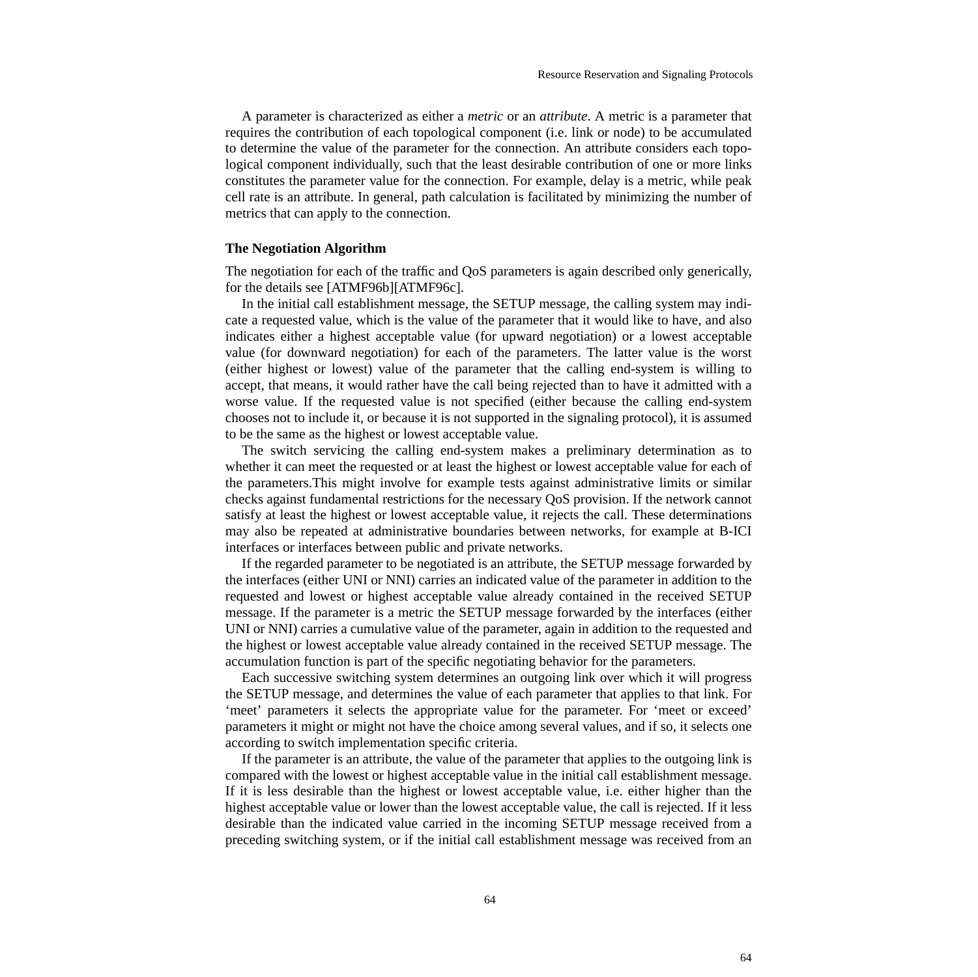A parameter is characterized as either a *metric* or an *attribute*. A metric is a parameter that requires the contribution of each topological component (i.e. link or node) to be accumulated to determine the value of the parameter for the connection. An attribute considers each topological component individually, such that the least desirable contribution of one or more links constitutes the parameter value for the connection. For example, delay is a metric, while peak cell rate is an attribute. In general, path calculation is facilitated by minimizing the number of metrics that can apply to the connection.

#### **The Negotiation Algorithm**

The negotiation for each of the traffic and QoS parameters is again described only generically, for the details see [[ATMF96b\]\[ATMF96c\].](#page-77-0)

In the initial call establishment message, the SETUP message, the calling system may indicate a requested value, which is the value of the parameter that it would like to have, and also indicates either a highest acceptable value (for upward negotiation) or a lowest acceptable value (for downward negotiation) for each of the parameters. The latter value is the worst (either highest or lowest) value of the parameter that the calling end-system is willing to accept, that means, it would rather have the call being rejected than to have it admitted with a worse value. If the requested value is not specified (either because the calling end-system chooses not to include it, or because it is not supported in the signaling protocol), it is assumed to be the same as the highest or lowest acceptable value.

The switch servicing the calling end-system makes a preliminary determination as to whether it can meet the requested or at least the highest or lowest acceptable value for each of the parameters.This might involve for example tests against administrative limits or similar checks against fundamental restrictions for the necessary QoS provision. If the network cannot satisfy at least the highest or lowest acceptable value, it rejects the call. These determinations may also be repeated at administrative boundaries between networks, for example at B-ICI interfaces or interfaces between public and private networks.

If the regarded parameter to be negotiated is an attribute, the SETUP message forwarded by the interfaces (either UNI or NNI) carries an indicated value of the parameter in addition to the requested and lowest or highest acceptable value already contained in the received SETUP message. If the parameter is a metric the SETUP message forwarded by the interfaces (either UNI or NNI) carries a cumulative value of the parameter, again in addition to the requested and the highest or lowest acceptable value already contained in the received SETUP message. The accumulation function is part of the specific negotiating behavior for the parameters.

Each successive switching system determines an outgoing link over which it will progress the SETUP message, and determines the value of each parameter that applies to that link. For 'meet' parameters it selects the appropriate value for the parameter. For 'meet or exceed' parameters it might or might not have the choice among several values, and if so, it selects one according to switch implementation specific criteria.

If the parameter is an attribute, the value of the parameter that applies to the outgoing link is compared with the lowest or highest acceptable value in the initial call establishment message. If it is less desirable than the highest or lowest acceptable value, i.e. either higher than the highest acceptable value or lower than the lowest acceptable value, the call is rejected. If it less desirable than the indicated value carried in the incoming SETUP message received from a preceding switching system, or if the initial call establishment message was received from an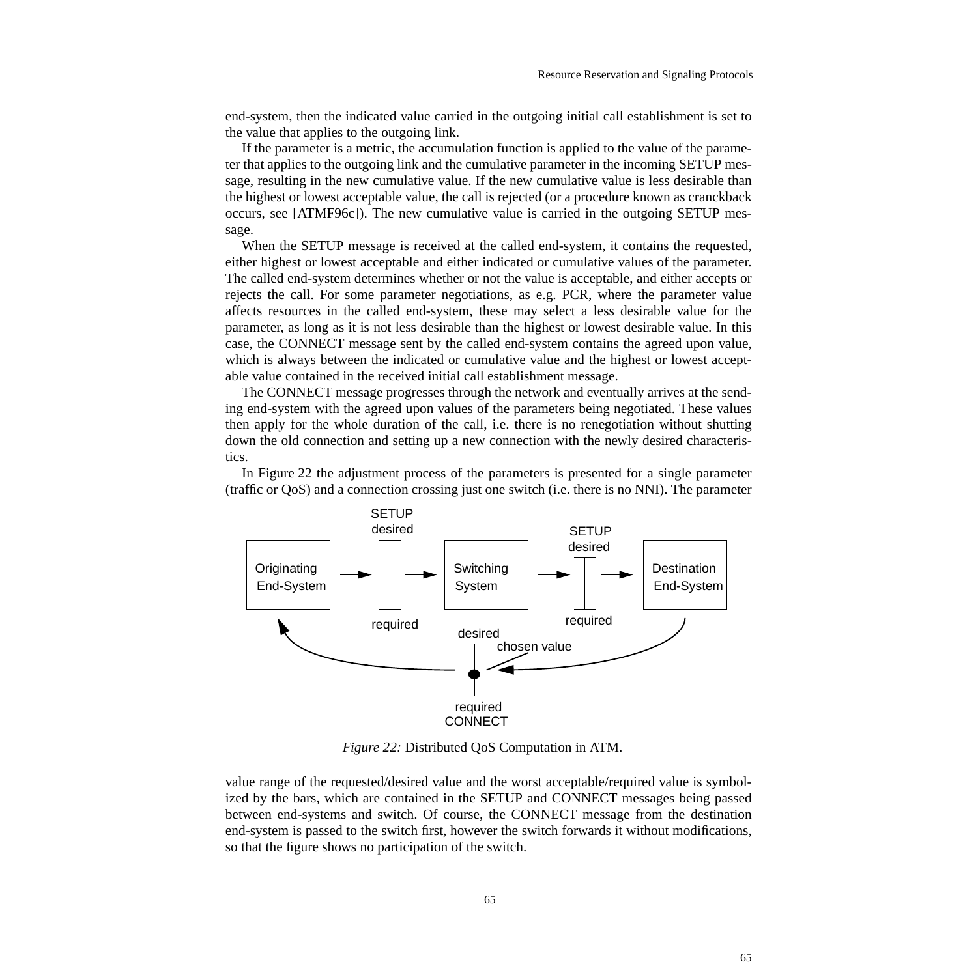end-system, then the indicated value carried in the outgoing initial call establishment is set to the value that applies to the outgoing link.

If the parameter is a metric, the accumulation function is applied to the value of the parameter that applies to the outgoing link and the cumulative parameter in the incoming SETUP message, resulting in the new cumulative value. If the new cumulative value is less desirable than the highest or lowest acceptable value, the call is rejected (or a procedure known as cranckback occurs, see [\[ATMF96c\]\).](#page-77-0) The new cumulative value is carried in the outgoing SETUP message.

When the SETUP message is received at the called end-system, it contains the requested, either highest or lowest acceptable and either indicated or cumulative values of the parameter. The called end-system determines whether or not the value is acceptable, and either accepts or rejects the call. For some parameter negotiations, as e.g. PCR, where the parameter value affects resources in the called end-system, these may select a less desirable value for the parameter, as long as it is not less desirable than the highest or lowest desirable value. In this case, the CONNECT message sent by the called end-system contains the agreed upon value, which is always between the indicated or cumulative value and the highest or lowest acceptable value contained in the received initial call establishment message.

The CONNECT message progresses through the network and eventually arrives at the sending end-system with the agreed upon values of the parameters being negotiated. These values then apply for the whole duration of the call, i.e. there is no renegotiation without shutting down the old connection and setting up a new connection with the newly desired characteristics.

In Figure 22 the adjustment process of the parameters is presented for a single parameter (traffic or QoS) and a connection crossing just one switch (i.e. there is no NNI). The parameter



*Figure 22:* Distributed QoS Computation in ATM.

value range of the requested/desired value and the worst acceptable/required value is symbolized by the bars, which are contained in the SETUP and CONNECT messages being passed between end-systems and switch. Of course, the CONNECT message from the destination end-system is passed to the switch first, however the switch forwards it without modifications, so that the figure shows no participation of the switch.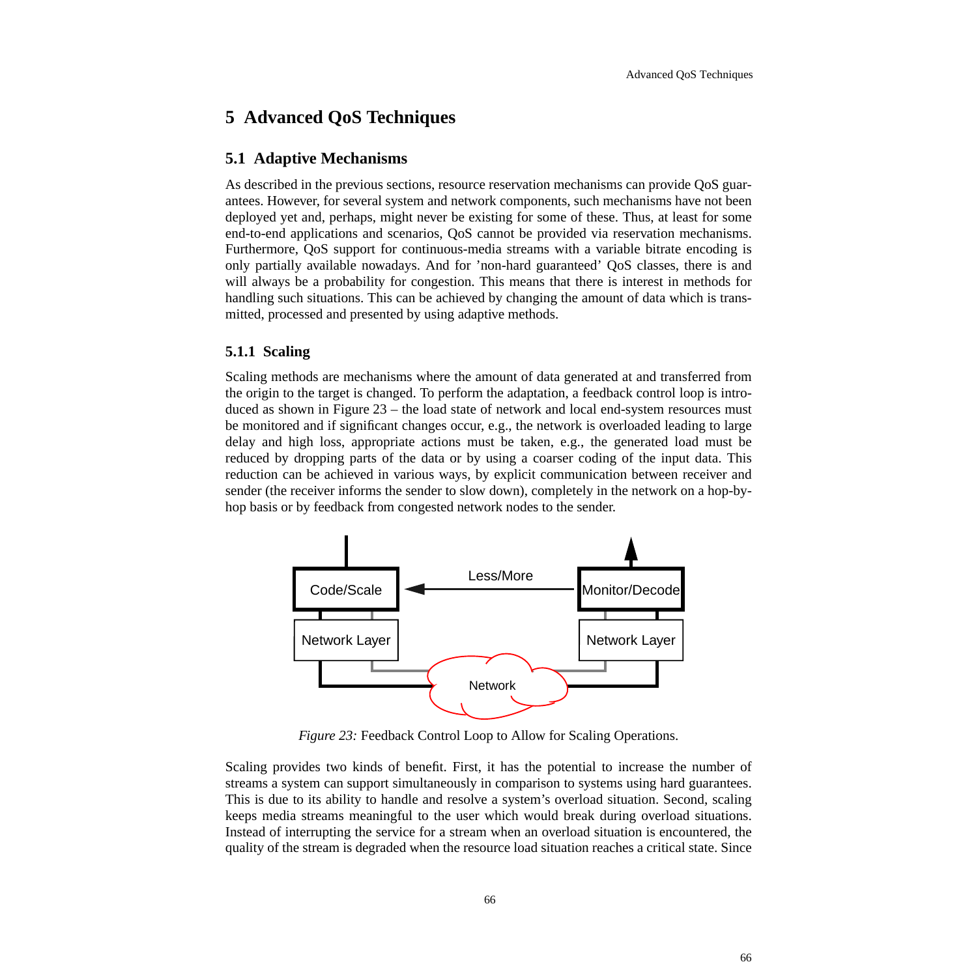# **5 Advanced QoS Techniques**

## **5.1 Adaptive Mechanisms**

As described in the previous sections, resource reservation mechanisms can provide QoS guarantees. However, for several system and network components, such mechanisms have not been deployed yet and, perhaps, might never be existing for some of these. Thus, at least for some end-to-end applications and scenarios, QoS cannot be provided via reservation mechanisms. Furthermore, QoS support for continuous-media streams with a variable bitrate encoding is only partially available nowadays. And for 'non-hard guaranteed' QoS classes, there is and will always be a probability for congestion. This means that there is interest in methods for handling such situations. This can be achieved by changing the amount of data which is transmitted, processed and presented by using adaptive methods.

## **5.1.1 Scaling**

Scaling methods are mechanisms where the amount of data generated at and transferred from the origin to the target is changed. To perform the adaptation, a feedback control loop is introduced as shown in Figure 23 – the load state of network and local end-system resources must be monitored and if significant changes occur, e.g., the network is overloaded leading to large delay and high loss, appropriate actions must be taken, e.g., the generated load must be reduced by dropping parts of the data or by using a coarser coding of the input data. This reduction can be achieved in various ways, by explicit communication between receiver and sender (the receiver informs the sender to slow down), completely in the network on a hop-byhop basis or by feedback from congested network nodes to the sender.



*Figure 23:* Feedback Control Loop to Allow for Scaling Operations.

Scaling provides two kinds of benefit. First, it has the potential to increase the number of streams a system can support simultaneously in comparison to systems using hard guarantees. This is due to its ability to handle and resolve a system's overload situation. Second, scaling keeps media streams meaningful to the user which would break during overload situations. Instead of interrupting the service for a stream when an overload situation is encountered, the quality of the stream is degraded when the resource load situation reaches a critical state. Since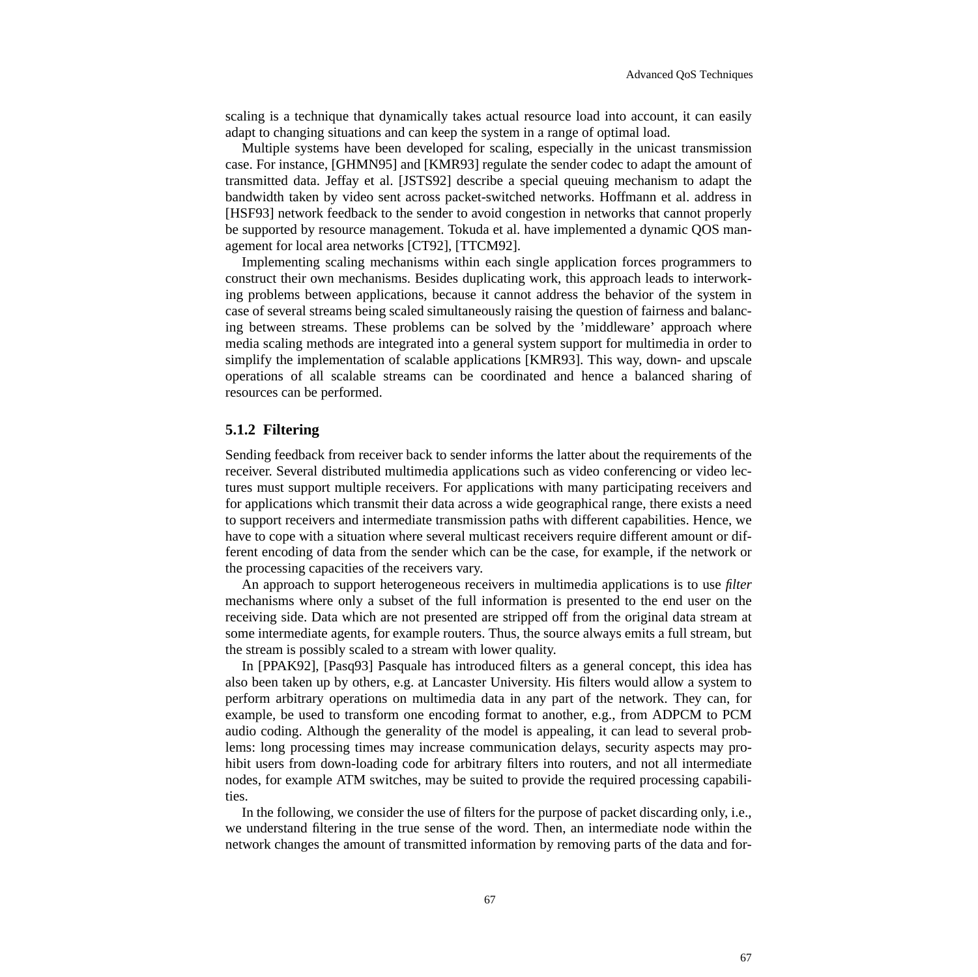<span id="page-68-0"></span>scaling is a technique that dynamically takes actual resource load into account, it can easily adapt to changing situations and can keep the system in a range of optimal load.

Multiple systems have been developed for scaling, especially in the unicast transmission case. For instance, [\[GHMN95\]](#page-80-0) and [\[KMR93\]](#page-81-0) regulate the sender codec to adapt the amount of transmitted data. Jeffay et al. [\[JSTS92\]](#page-81-0) describe a special queuing mechanism to adapt the bandwidth taken by video sent across packet-switched networks. Hoffmann et al. address in [\[HSF93\]](#page-80-0) network feedback to the sender to avoid congestion in networks that cannot properly be supported by resource management. Tokuda et al. have implemented a dynamic QOS management for local area networks [[CT92\], \[](#page-78-0)[TTCM92\].](#page-83-0)

Implementing scaling mechanisms within each single application forces programmers to construct their own mechanisms. Besides duplicating work, this approach leads to interworking problems between applications, because it cannot address the behavior of the system in case of several streams being scaled simultaneously raising the question of fairness and balancing between streams. These problems can be solved by the 'middleware' approach where media scaling methods are integrated into a general system support for multimedia in order to simplify the implementation of scalable applications [\[KMR93\]](#page-81-0). This way, down- and upscale operations of all scalable streams can be coordinated and hence a balanced sharing of resources can be performed.

### **5.1.2 Filtering**

Sending feedback from receiver back to sender informs the latter about the requirements of the receiver. Several distributed multimedia applications such as video conferencing or video lectures must support multiple receivers. For applications with many participating receivers and for applications which transmit their data across a wide geographical range, there exists a need to support receivers and intermediate transmission paths with different capabilities. Hence, we have to cope with a situation where several multicast receivers require different amount or different encoding of data from the sender which can be the case, for example, if the network or the processing capacities of the receivers vary.

An approach to support heterogeneous receivers in multimedia applications is to use *filter* mechanisms where only a subset of the full information is presented to the end user on the receiving side. Data which are not presented are stripped off from the original data stream at some intermediate agents, for example routers. Thus, the source always emits a full stream, but the stream is possibly scaled to a stream with lower quality.

In [\[PPAK92\], \[Pasq93\] P](#page-82-0)asquale has introduced filters as a general concept, this idea has also been taken up by others, e.g. at Lancaster University. His filters would allow a system to perform arbitrary operations on multimedia data in any part of the network. They can, for example, be used to transform one encoding format to another, e.g., from ADPCM to PCM audio coding. Although the generality of the model is appealing, it can lead to several problems: long processing times may increase communication delays, security aspects may prohibit users from down-loading code for arbitrary filters into routers, and not all intermediate nodes, for example ATM switches, may be suited to provide the required processing capabilities.

In the following, we consider the use of filters for the purpose of packet discarding only, i.e., we understand filtering in the true sense of the word. Then, an intermediate node within the network changes the amount of transmitted information by removing parts of the data and for-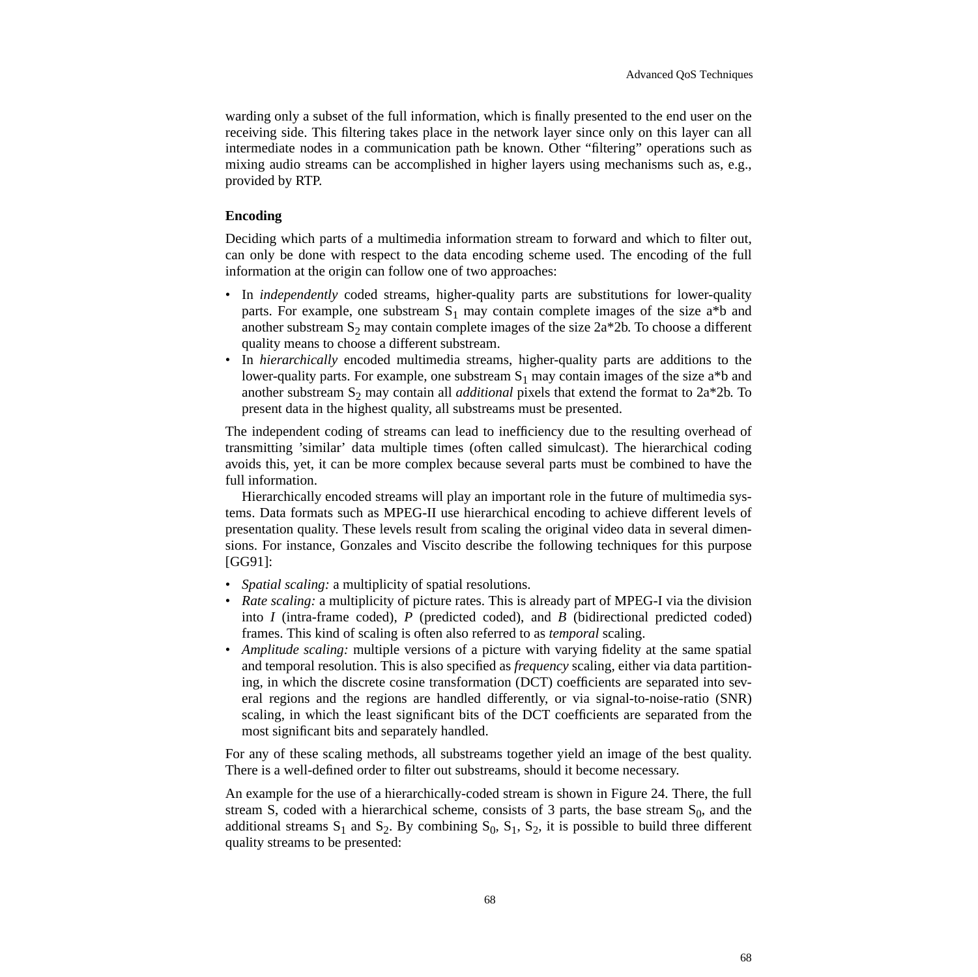warding only a subset of the full information, which is finally presented to the end user on the receiving side. This filtering takes place in the network layer since only on this layer can all intermediate nodes in a communication path be known. Other "filtering" operations such as mixing audio streams can be accomplished in higher layers using mechanisms such as, e.g., provided by RTP.

#### **Encoding**

Deciding which parts of a multimedia information stream to forward and which to filter out, can only be done with respect to the data encoding scheme used. The encoding of the full information at the origin can follow one of two approaches:

- In *independently* coded streams, higher-quality parts are substitutions for lower-quality parts. For example, one substream  $S_1$  may contain complete images of the size a\*b and another substream  $S_2$  may contain complete images of the size  $2a*2b$ . To choose a different quality means to choose a different substream.
- In *hierarchically* encoded multimedia streams, higher-quality parts are additions to the lower-quality parts. For example, one substream  $S_1$  may contain images of the size a\*b and another substream  $S_2$  may contain all *additional* pixels that extend the format to  $2a*2b$ . To present data in the highest quality, all substreams must be presented.

The independent coding of streams can lead to inefficiency due to the resulting overhead of transmitting 'similar' data multiple times (often called simulcast). The hierarchical coding avoids this, yet, it can be more complex because several parts must be combined to have the full information.

Hierarchically encoded streams will play an important role in the future of multimedia systems. Data formats such as MPEG-II use hierarchical encoding to achieve different levels of presentation quality. These levels result from scaling the original video data in several dimensions. For instance, Gonzales and Viscito describe the following techniques for this purpose [\[GG91\]:](#page-80-0)

- *Spatial scaling:* a multiplicity of spatial resolutions.
- *Rate scaling:* a multiplicity of picture rates. This is already part of MPEG-I via the division into *I* (intra-frame coded), *P* (predicted coded), and *B* (bidirectional predicted coded) frames. This kind of scaling is often also referred to as *temporal* scaling.
- *Amplitude scaling:* multiple versions of a picture with varying fidelity at the same spatial and temporal resolution. This is also specified as *frequency* scaling, either via data partitioning, in which the discrete cosine transformation (DCT) coefficients are separated into several regions and the regions are handled differently, or via signal-to-noise-ratio (SNR) scaling, in which the least significant bits of the DCT coefficients are separated from the most significant bits and separately handled.

For any of these scaling methods, all substreams together yield an image of the best quality. There is a well-defined order to filter out substreams, should it become necessary.

An example for the use of a hierarchically-coded stream is shown in [Figure 24.](#page-70-0) There, the full stream S, coded with a hierarchical scheme, consists of 3 parts, the base stream  $S_0$ , and the additional streams  $S_1$  and  $S_2$ . By combining  $S_0$ ,  $S_1$ ,  $S_2$ , it is possible to build three different quality streams to be presented: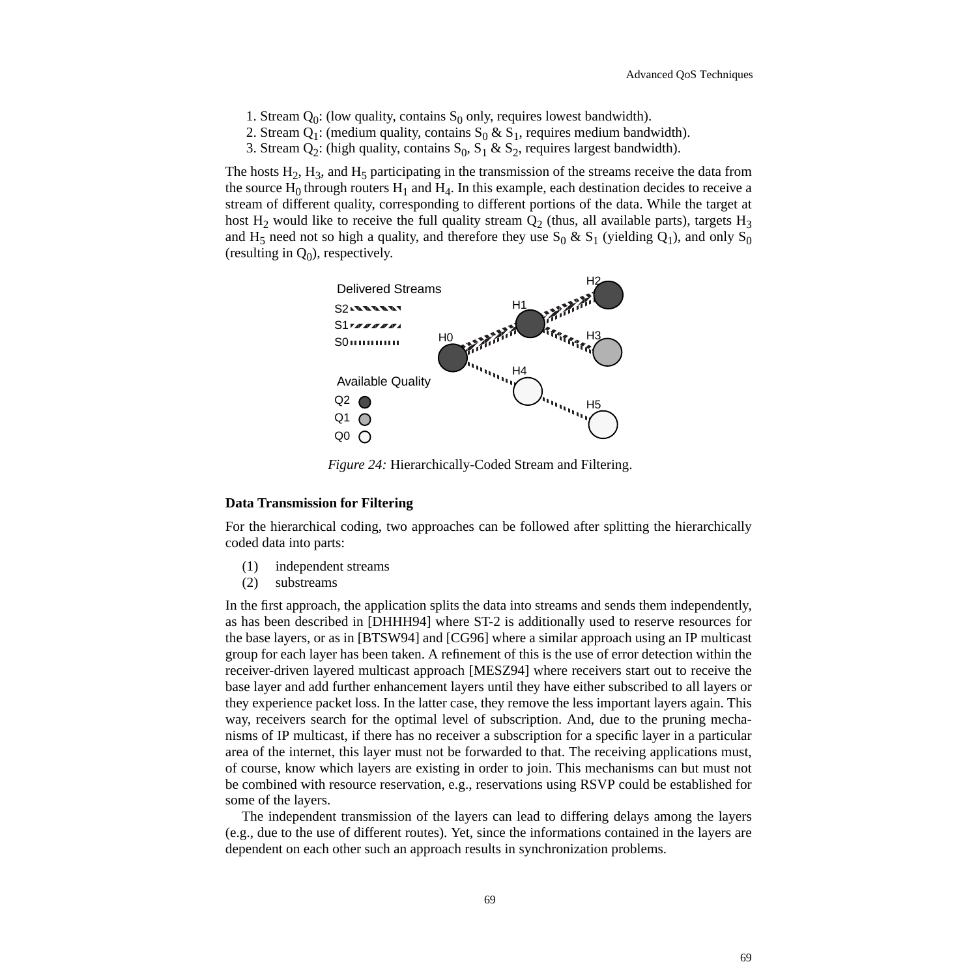- <span id="page-70-0"></span>1. Stream  $Q_0$ : (low quality, contains  $S_0$  only, requires lowest bandwidth).
- 2. Stream  $Q_1$ : (medium quality, contains  $S_0 \& S_1$ , requires medium bandwidth).
- 3. Stream  $Q_2$ : (high quality, contains  $S_0$ ,  $S_1$  &  $S_2$ , requires largest bandwidth).

The hosts  $H_2$ ,  $H_3$ , and  $H_5$  participating in the transmission of the streams receive the data from the source  $H_0$  through routers  $H_1$  and  $H_4$ . In this example, each destination decides to receive a stream of different quality, corresponding to different portions of the data. While the target at host H<sub>2</sub> would like to receive the full quality stream  $Q_2$  (thus, all available parts), targets H<sub>3</sub> and H<sub>5</sub> need not so high a quality, and therefore they use S<sub>0</sub> & S<sub>1</sub> (yielding Q<sub>1</sub>), and only S<sub>0</sub> (resulting in  $Q_0$ ), respectively.



*Figure 24:* Hierarchically-Coded Stream and Filtering.

#### **Data Transmission for Filtering**

For the hierarchical coding, two approaches can be followed after splitting the hierarchically coded data into parts:

- (1) independent streams
- (2) substreams

In the first approach, the application splits the data into streams and sends them independently, as has been described in [\[DHHH94\]](#page-79-0) where ST-2 is additionally used to reserve resources for the base layers, or as in [\[BTSW94\]](#page-77-0) and [\[CG96\] w](#page-78-0)here a similar approach using an IP multicast group for each layer has been taken. A refinement of this is the use of error detection within the receiver-driven layered multicast approach [\[MESZ94\]](#page-81-0) where receivers start out to receive the base layer and add further enhancement layers until they have either subscribed to all layers or they experience packet loss. In the latter case, they remove the less important layers again. This way, receivers search for the optimal level of subscription. And, due to the pruning mechanisms of IP multicast, if there has no receiver a subscription for a specific layer in a particular area of the internet, this layer must not be forwarded to that. The receiving applications must, of course, know which layers are existing in order to join. This mechanisms can but must not be combined with resource reservation, e.g., reservations using RSVP could be established for some of the layers.

The independent transmission of the layers can lead to differing delays among the layers (e.g., due to the use of different routes). Yet, since the informations contained in the layers are dependent on each other such an approach results in synchronization problems.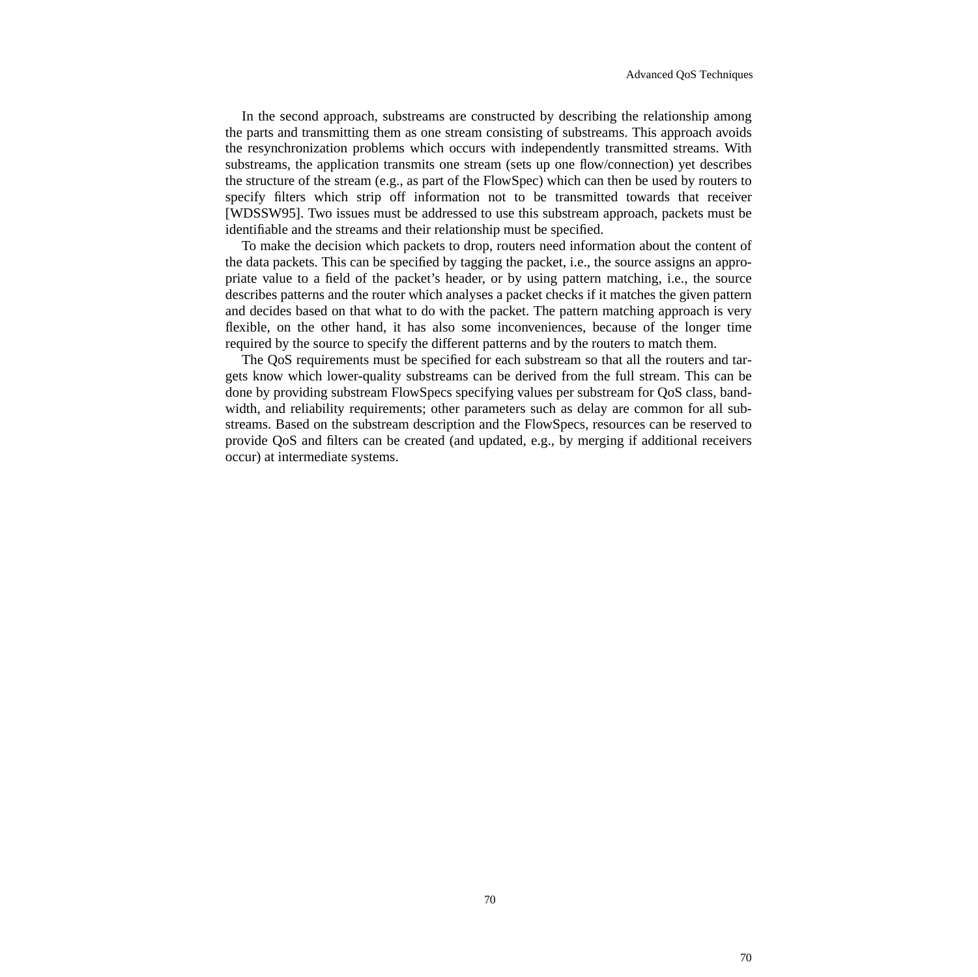In the second approach, substreams are constructed by describing the relationship among the parts and transmitting them as one stream consisting of substreams. This approach avoids the resynchronization problems which occurs with independently transmitted streams. With substreams, the application transmits one stream (sets up one flow/connection) yet describes the structure of the stream (e.g., as part of the FlowSpec) which can then be used by routers to specify filters which strip off information not to be transmitted towards that receiver [\[WDSSW95\].](#page-83-0) Two issues must be addressed to use this substream approach, packets must be identifiable and the streams and their relationship must be specified.

To make the decision which packets to drop, routers need information about the content of the data packets. This can be specified by tagging the packet, i.e., the source assigns an appropriate value to a field of the packet's header, or by using pattern matching, i.e., the source describes patterns and the router which analyses a packet checks if it matches the given pattern and decides based on that what to do with the packet. The pattern matching approach is very flexible, on the other hand, it has also some inconveniences, because of the longer time required by the source to specify the different patterns and by the routers to match them.

The QoS requirements must be specified for each substream so that all the routers and targets know which lower-quality substreams can be derived from the full stream. This can be done by providing substream FlowSpecs specifying values per substream for QoS class, bandwidth, and reliability requirements; other parameters such as delay are common for all substreams. Based on the substream description and the FlowSpecs, resources can be reserved to provide QoS and filters can be created (and updated, e.g., by merging if additional receivers occur) at intermediate systems.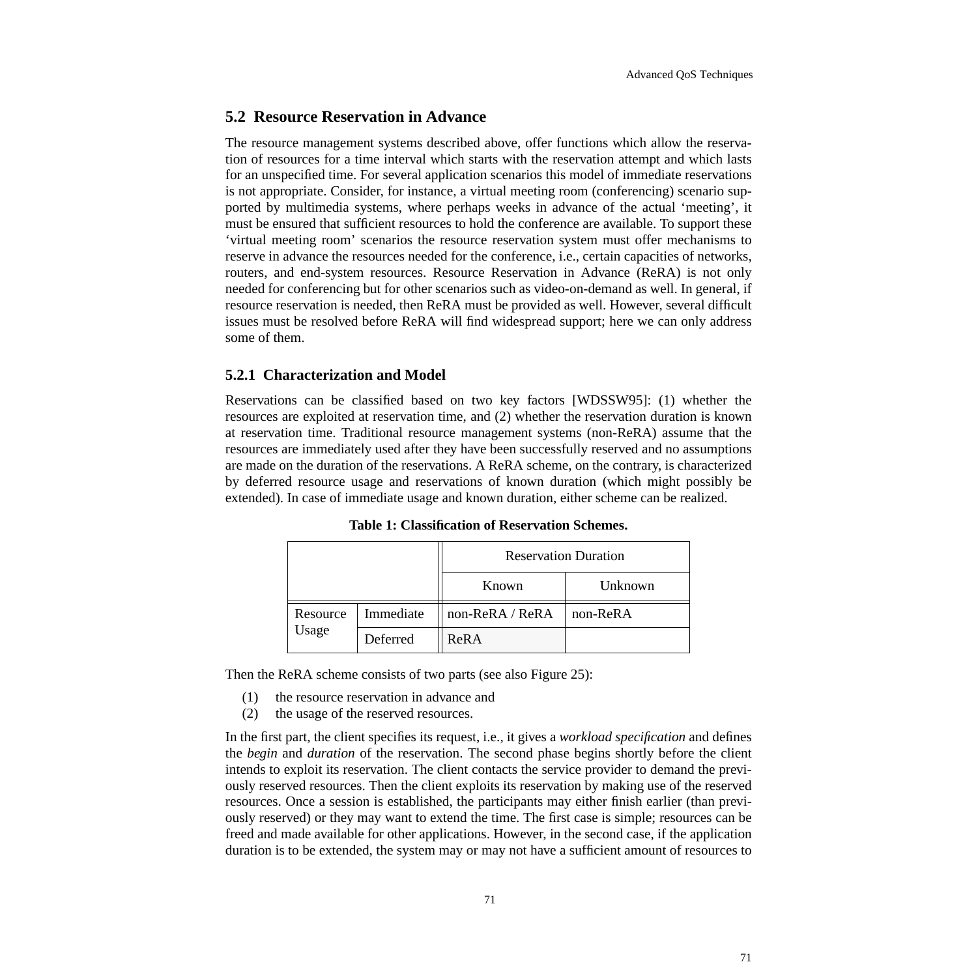## **5.2 Resource Reservation in Advance**

The resource management systems described above, offer functions which allow the reservation of resources for a time interval which starts with the reservation attempt and which lasts for an unspecified time. For several application scenarios this model of immediate reservations is not appropriate. Consider, for instance, a virtual meeting room (conferencing) scenario supported by multimedia systems, where perhaps weeks in advance of the actual 'meeting', it must be ensured that sufficient resources to hold the conference are available. To support these 'virtual meeting room' scenarios the resource reservation system must offer mechanisms to reserve in advance the resources needed for the conference, i.e., certain capacities of networks, routers, and end-system resources. Resource Reservation in Advance (ReRA) is not only needed for conferencing but for other scenarios such as video-on-demand as well. In general, if resource reservation is needed, then ReRA must be provided as well. However, several difficult issues must be resolved before ReRA will find widespread support; here we can only address some of them.

### **5.2.1 Characterization and Model**

Reservations can be classified based on two key factors [WDSSW95]: (1) whether the resources are exploited at reservation time, and (2) whether the reservation duration is known at reservation time. Traditional resource management systems (non-ReRA) assume that the resources are immediately used after they have been successfully reserved and no assumptions are made on the duration of the reservations. A ReRA scheme, on the contrary, is characterized by deferred resource usage and reservations of known duration (which might possibly be extended). In case of immediate usage and known duration, either scheme can be realized.

|                   |           | <b>Reservation Duration</b> |          |
|-------------------|-----------|-----------------------------|----------|
|                   |           | Known                       | Unknown  |
| Resource<br>Usage | Immediate | non-ReRA / ReRA             | non-ReRA |
|                   | Deferred  | ReRA                        |          |

**Table 1: Classification of Reservation Schemes.**

Then the ReRA scheme consists of two parts (see also Fig[ure 25\):](#page-73-0)

- (1) the resource reservation in advance and
- (2) the usage of the reserved resources.

In the first part, the client specifies its request, i.e., it gives a *workload specification* and defines the *begin* and *duration* of the reservation. The second phase begins shortly before the client intends to exploit its reservation. The client contacts the service provider to demand the previously reserved resources. Then the client exploits its reservation by making use of the reserved resources. Once a session is established, the participants may either finish earlier (than previously reserved) or they may want to extend the time. The first case is simple; resources can be freed and made available for other applications. However, in the second case, if the application duration is to be extended*,* the system may or may not have a sufficient amount of resources to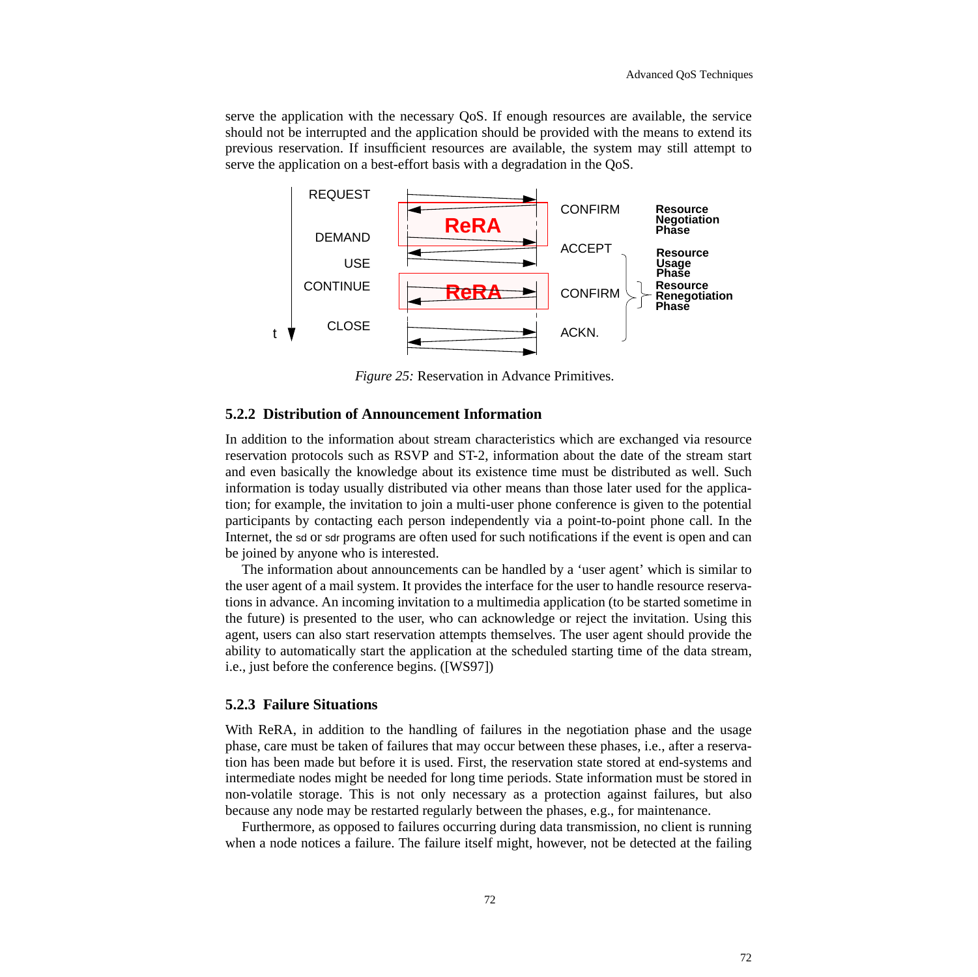<span id="page-73-0"></span>serve the application with the necessary QoS. If enough resources are available, the service should not be interrupted and the application should be provided with the means to extend its previous reservation. If insufficient resources are available, the system may still attempt to serve the application on a best-effort basis with a degradation in the QoS.



*Figure 25:* Reservation in Advance Primitives.

#### **5.2.2 Distribution of Announcement Information**

In addition to the information about stream characteristics which are exchanged via resource reservation protocols such as RSVP and ST-2, information about the date of the stream start and even basically the knowledge about its existence time must be distributed as well. Such information is today usually distributed via other means than those later used for the application; for example, the invitation to join a multi-user phone conference is given to the potential participants by contacting each person independently via a point-to-point phone call. In the Internet, the sd or sdr programs are often used for such notifications if the event is open and can be joined by anyone who is interested.

The information about announcements can be handled by a 'user agent' which is similar to the user agent of a mail system. It provides the interface for the user to handle resource reservations in advance. An incoming invitation to a multimedia application (to be started sometime in the future) is presented to the user, who can acknowledge or reject the invitation. Using this agent, users can also start reservation attempts themselves. The user agent should provide the ability to automatically start the application at the scheduled starting time of the data stream, i.e., just before the conference begins. ([[WS97\]\)](#page-84-0)

#### **5.2.3 Failure Situations**

With ReRA, in addition to the handling of failures in the negotiation phase and the usage phase, care must be taken of failures that may occur between these phases, i.e., after a reservation has been made but before it is used. First, the reservation state stored at end-systems and intermediate nodes might be needed for long time periods. State information must be stored in non-volatile storage. This is not only necessary as a protection against failures, but also because any node may be restarted regularly between the phases, e.g., for maintenance.

Furthermore, as opposed to failures occurring during data transmission, no client is running when a node notices a failure. The failure itself might, however, not be detected at the failing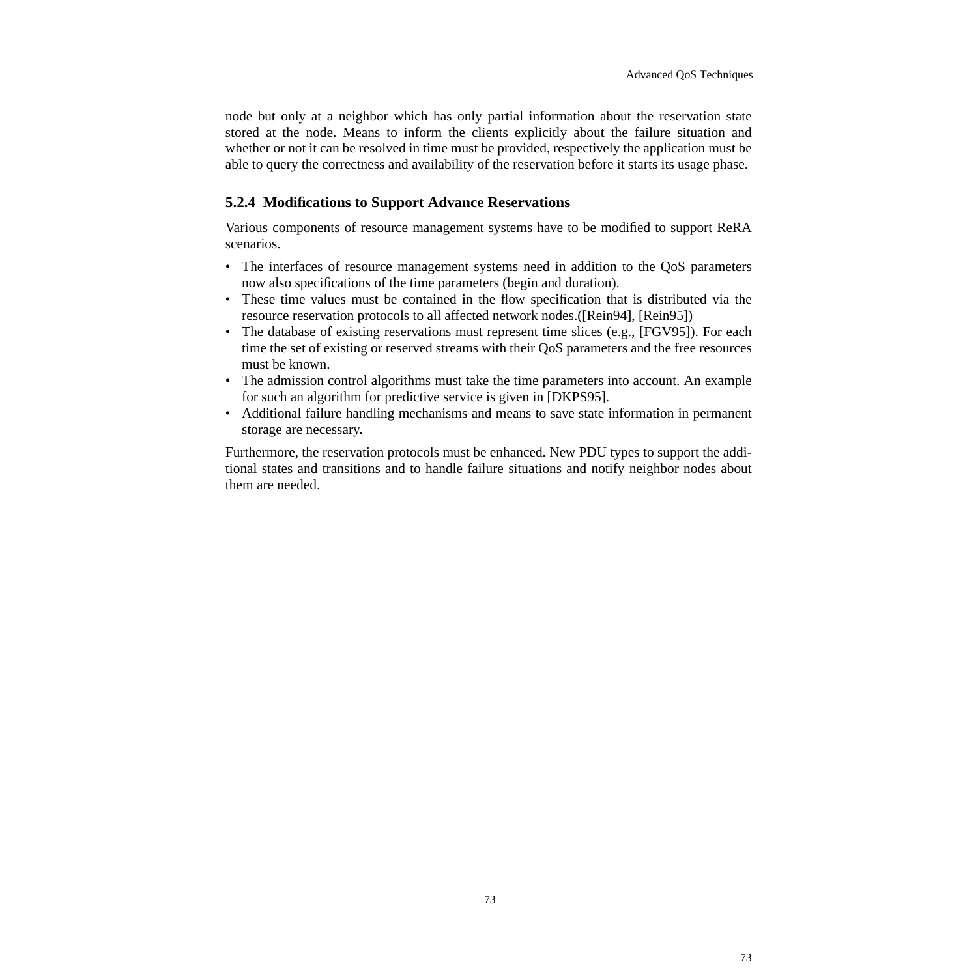node but only at a neighbor which has only partial information about the reservation state stored at the node. Means to inform the clients explicitly about the failure situation and whether or not it can be resolved in time must be provided, respectively the application must be able to query the correctness and availability of the reservation before it starts its usage phase.

### **5.2.4 Modifications to Support Advance Reservations**

Various components of resource management systems have to be modified to support ReRA scenarios.

- The interfaces of resource management systems need in addition to the QoS parameters now also specifications of the time parameters (begin and duration).
- These time values must be contained in the flow specification that is distributed via the resource reservation protocols to all affected network nodes.([R[ein94\], \[Rein95\]\)](#page-82-0)
- The database of existing reservations must represent time slices (e.g., [\[FGV95\]\)](#page-79-0). For each time the set of existing or reserved streams with their QoS parameters and the free resources must be known.
- The admission control algorithms must take the time parameters into account. An example for such an algorithm for predictive service is given in [[DKPS95\].](#page-79-0)
- Additional failure handling mechanisms and means to save state information in permanent storage are necessary.

Furthermore, the reservation protocols must be enhanced. New PDU types to support the additional states and transitions and to handle failure situations and notify neighbor nodes about them are needed.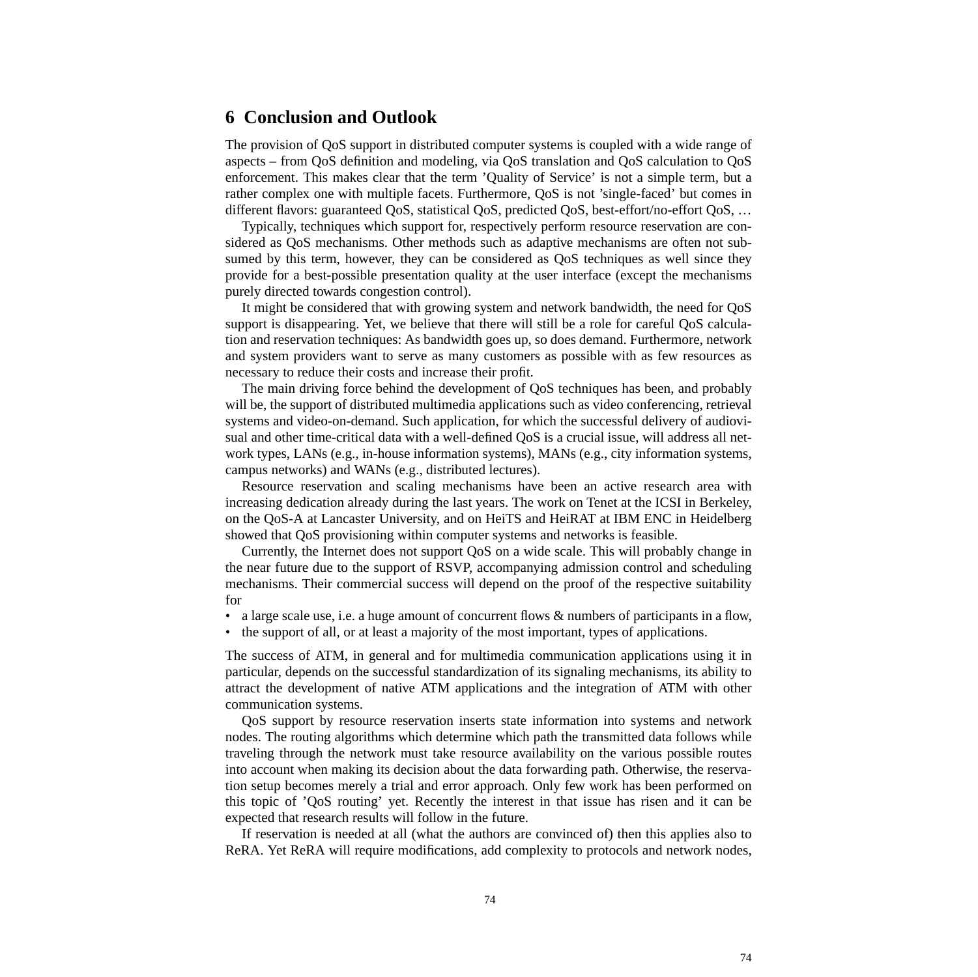## **6 Conclusion and Outlook**

The provision of QoS support in distributed computer systems is coupled with a wide range of aspects – from QoS definition and modeling, via QoS translation and QoS calculation to QoS enforcement. This makes clear that the term 'Quality of Service' is not a simple term, but a rather complex one with multiple facets. Furthermore, QoS is not 'single-faced' but comes in different flavors: guaranteed QoS, statistical QoS, predicted QoS, best-effort/no-effort QoS, …

Typically, techniques which support for, respectively perform resource reservation are considered as QoS mechanisms. Other methods such as adaptive mechanisms are often not subsumed by this term, however, they can be considered as QoS techniques as well since they provide for a best-possible presentation quality at the user interface (except the mechanisms purely directed towards congestion control).

It might be considered that with growing system and network bandwidth, the need for QoS support is disappearing. Yet, we believe that there will still be a role for careful QoS calculation and reservation techniques: As bandwidth goes up, so does demand. Furthermore, network and system providers want to serve as many customers as possible with as few resources as necessary to reduce their costs and increase their profit.

The main driving force behind the development of QoS techniques has been, and probably will be, the support of distributed multimedia applications such as video conferencing, retrieval systems and video-on-demand. Such application, for which the successful delivery of audiovisual and other time-critical data with a well-defined QoS is a crucial issue, will address all network types, LANs (e.g., in-house information systems), MANs (e.g., city information systems, campus networks) and WANs (e.g., distributed lectures).

Resource reservation and scaling mechanisms have been an active research area with increasing dedication already during the last years. The work on Tenet at the ICSI in Berkeley, on the QoS-A at Lancaster University, and on HeiTS and HeiRAT at IBM ENC in Heidelberg showed that QoS provisioning within computer systems and networks is feasible.

Currently, the Internet does not support QoS on a wide scale. This will probably change in the near future due to the support of RSVP, accompanying admission control and scheduling mechanisms. Their commercial success will depend on the proof of the respective suitability for

- a large scale use, i.e. a huge amount of concurrent flows & numbers of participants in a flow,
- the support of all, or at least a majority of the most important, types of applications.

The success of ATM, in general and for multimedia communication applications using it in particular, depends on the successful standardization of its signaling mechanisms, its ability to attract the development of native ATM applications and the integration of ATM with other communication systems.

QoS support by resource reservation inserts state information into systems and network nodes. The routing algorithms which determine which path the transmitted data follows while traveling through the network must take resource availability on the various possible routes into account when making its decision about the data forwarding path. Otherwise, the reservation setup becomes merely a trial and error approach. Only few work has been performed on this topic of 'QoS routing' yet. Recently the interest in that issue has risen and it can be expected that research results will follow in the future.

If reservation is needed at all (what the authors are convinced of) then this applies also to ReRA. Yet ReRA will require modifications, add complexity to protocols and network nodes,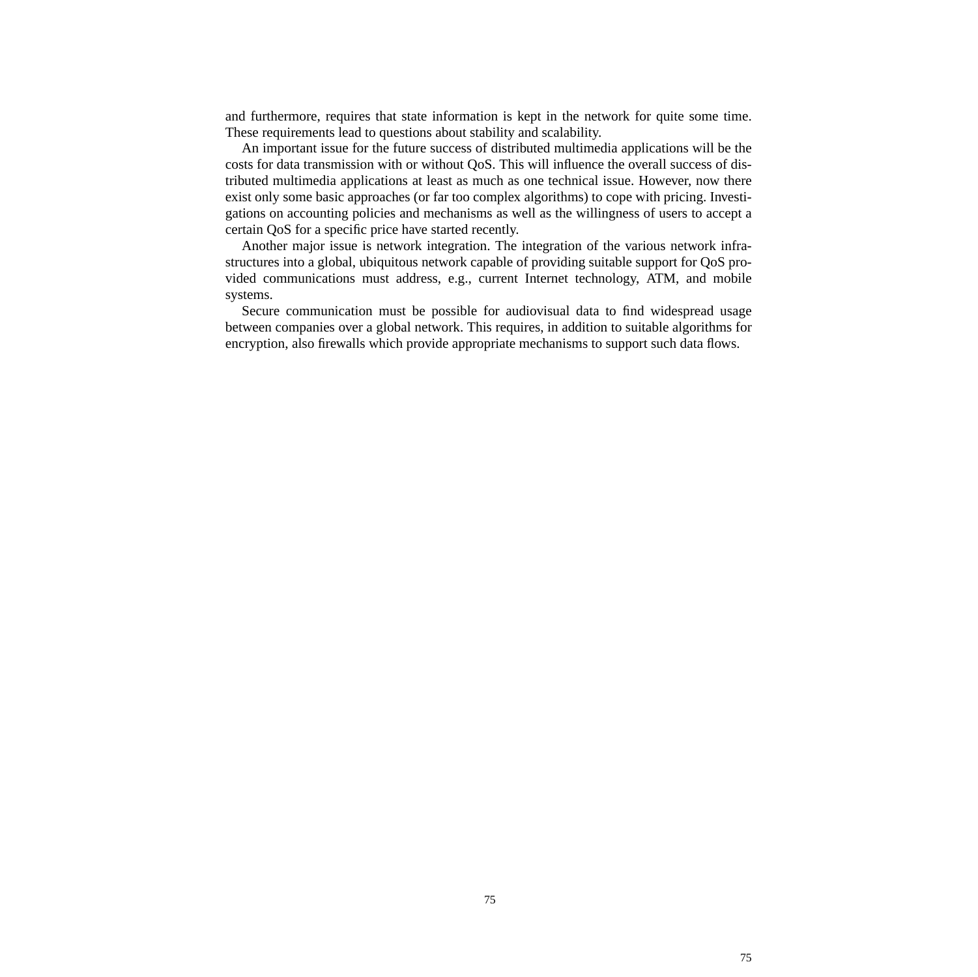and furthermore, requires that state information is kept in the network for quite some time. These requirements lead to questions about stability and scalability.

An important issue for the future success of distributed multimedia applications will be the costs for data transmission with or without QoS. This will influence the overall success of distributed multimedia applications at least as much as one technical issue. However, now there exist only some basic approaches (or far too complex algorithms) to cope with pricing. Investigations on accounting policies and mechanisms as well as the willingness of users to accept a certain QoS for a specific price have started recently.

Another major issue is network integration. The integration of the various network infrastructures into a global, ubiquitous network capable of providing suitable support for QoS provided communications must address, e.g., current Internet technology, ATM, and mobile systems.

Secure communication must be possible for audiovisual data to find widespread usage between companies over a global network. This requires, in addition to suitable algorithms for encryption, also firewalls which provide appropriate mechanisms to support such data flows.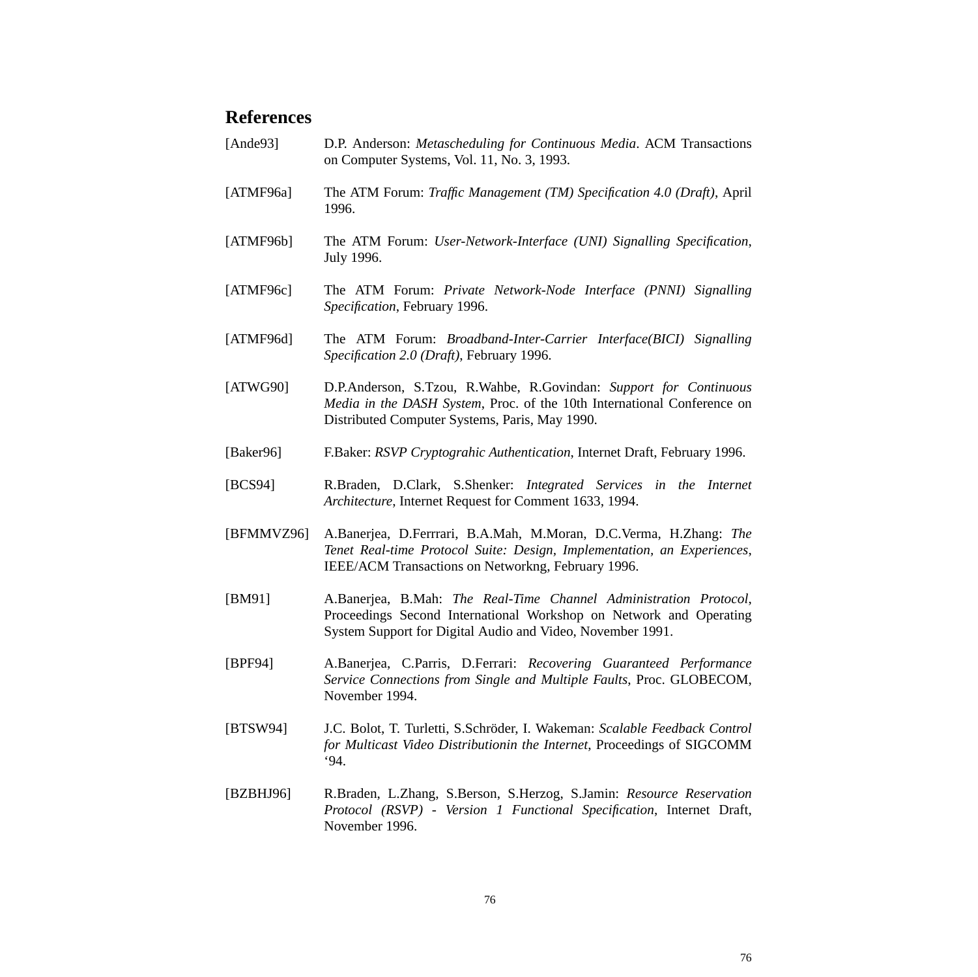# **References**

[Ande93] D.P. Anderson: *Metascheduling for Continuous Media*. ACM Transactions on Computer Systems, Vol. 11, No. 3, 1993. [ATMF96a] The ATM Forum: *Traffic Management (TM) Specification 4.0 (Draft)*, April 1996. [ATMF96b] The ATM Forum: *User-Network-Interface (UNI) Signalling Specification*, July 1996. [ATMF96c] The ATM Forum: *Private Network-Node Interface (PNNI) Signalling Specification*, February 1996. [ATMF96d] The ATM Forum: *Broadband-Inter-Carrier Interface(BICI) Signalling Specification 2.0 (Draft)*, February 1996. [ATWG90] D.P.Anderson, S.Tzou, R.Wahbe, R.Govindan: *Support for Continuous Media in the DASH System*, Proc. of the 10th International Conference on Distributed Computer Systems, Paris, May 1990. [Baker96] F.Baker: *RSVP Cryptograhic Authentication*, Internet Draft, February 1996. [BCS94] R.Braden, D.Clark, S.Shenker: *Integrated Services in the Internet Architecture*, Internet Request for Comment 1633, 1994. [BFMMVZ96] A.Banerjea, D.Ferrrari, B.A.Mah, M.Moran, D.C.Verma, H.Zhang: *The Tenet Real-time Protocol Suite: Design, Implementation, an Experiences*, IEEE/ACM Transactions on Networkng, February 1996. [BM91] A.Banerjea, B.Mah: *The Real-Time Channel Administration Protocol*, Proceedings Second International Workshop on Network and Operating System Support for Digital Audio and Video, November 1991. [BPF94] A.Banerjea, C.Parris, D.Ferrari: *Recovering Guaranteed Performance Service Connections from Single and Multiple Faults*, Proc. GLOBECOM, November 1994. [BTSW94] J.C. Bolot, T. Turletti, S.Schröder, I. Wakeman: *Scalable Feedback Control for Multicast Video Distributionin the Internet*, Proceedings of SIGCOMM '94. [BZBHJ96] R.Braden, L.Zhang, S.Berson, S.Herzog, S.Jamin: *Resource Reservation Protocol (RSVP) - Version 1 Functional Specification*, Internet Draft, November 1996.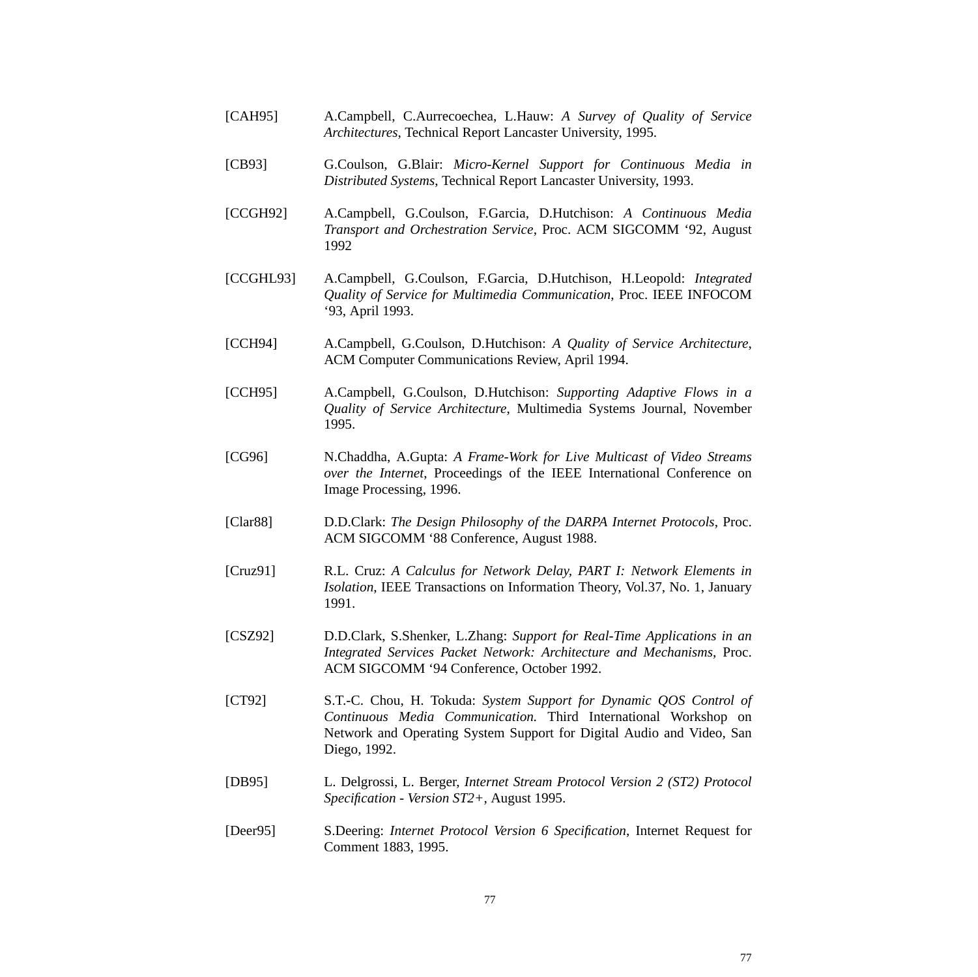- [CAH95] A.Campbell, C.Aurrecoechea, L.Hauw: *A Survey of Quality of Service Architectures*, Technical Report Lancaster University, 1995.
- [CB93] G.Coulson, G.Blair: *Micro-Kernel Support for Continuous Media in Distributed Systems*, Technical Report Lancaster University, 1993.
- [CCGH92] A.Campbell, G.Coulson, F.Garcia, D.Hutchison: *A Continuous Media Transport and Orchestration Service*, Proc. ACM SIGCOMM '92, August 1992
- [CCGHL93] A.Campbell, G.Coulson, F.Garcia, D.Hutchison, H.Leopold: *Integrated Quality of Service for Multimedia Communication*, Proc. IEEE INFOCOM '93, April 1993.
- [CCH94] A.Campbell, G.Coulson, D.Hutchison: *A Quality of Service Architecture*, ACM Computer Communications Review, April 1994.
- [CCH95] A.Campbell, G.Coulson, D.Hutchison: *Supporting Adaptive Flows in a Quality of Service Architecture*, Multimedia Systems Journal, November 1995.
- [CG96] N.Chaddha, A.Gupta: *A Frame-Work for Live Multicast of Video Streams over the Internet*, Proceedings of the IEEE International Conference on Image Processing, 1996.
- [Clar88] D.D.Clark: *The Design Philosophy of the DARPA Internet Protocols*, Proc. ACM SIGCOMM '88 Conference, August 1988.
- [Cruz91] R.L. Cruz: *A Calculus for Network Delay, PART I: Network Elements in Isolation*, IEEE Transactions on Information Theory, Vol.37, No. 1, January 1991.
- [CSZ92] D.D.Clark, S.Shenker, L.Zhang: *Support for Real-Time Applications in an Integrated Services Packet Network: Architecture and Mechanisms*, Proc. ACM SIGCOMM '94 Conference, October 1992.
- [CT92] S.T.-C. Chou, H. Tokuda: *System Support for Dynamic QOS Control of Continuous Media Communication.* Third International Workshop on Network and Operating System Support for Digital Audio and Video, San Diego, 1992.
- [DB95] L. Delgrossi, L. Berger, *Internet Stream Protocol Version 2 (ST2) Protocol Specification - Version ST2+*, August 1995.
- [Deer95] S.Deering: *Internet Protocol Version 6 Specification*, Internet Request for Comment 1883, 1995.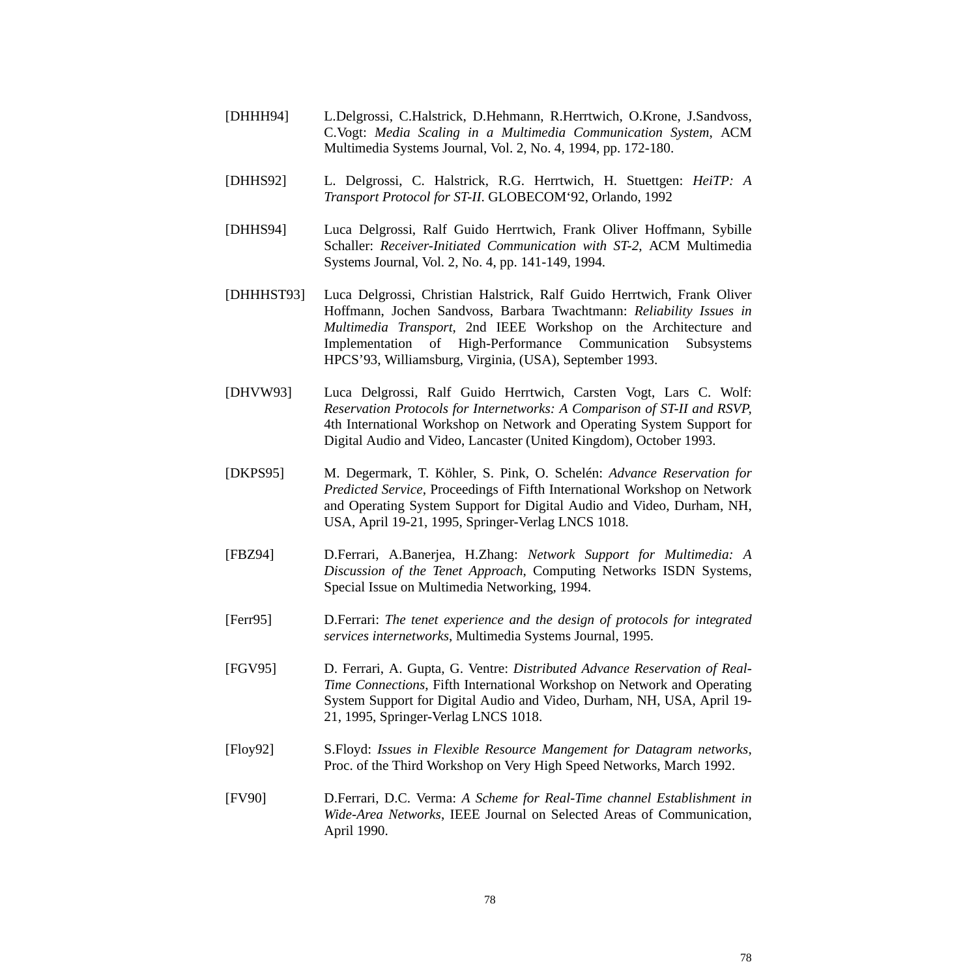- <span id="page-79-0"></span>[DHHH94] L.Delgrossi, C.Halstrick, D.Hehmann, R.Herrtwich, O.Krone, J.Sandvoss, C.Vogt: *Media Scaling in a Multimedia Communication System*, ACM Multimedia Systems Journal, Vol. 2, No. 4, 1994, pp. 172-180.
- [DHHS92] L. Delgrossi, C. Halstrick, R.G. Herrtwich, H. Stuettgen: *HeiTP: A Transport Protocol for ST-II*. GLOBECOM'92, Orlando, 1992
- [DHHS94] Luca Delgrossi, Ralf Guido Herrtwich, Frank Oliver Hoffmann, Sybille Schaller: *Receiver-Initiated Communication with ST-2*, ACM Multimedia Systems Journal, Vol. 2, No. 4, pp. 141-149, 1994.
- [DHHHST93] Luca Delgrossi, Christian Halstrick, Ralf Guido Herrtwich, Frank Oliver Hoffmann, Jochen Sandvoss, Barbara Twachtmann: *Reliability Issues in Multimedia Transport*, 2nd IEEE Workshop on the Architecture and Implementation of High-Performance Communication Subsystems HPCS'93, Williamsburg, Virginia, (USA), September 1993.
- [DHVW93] Luca Delgrossi, Ralf Guido Herrtwich, Carsten Vogt, Lars C. Wolf: *Reservation Protocols for Internetworks: A Comparison of ST-II and RSVP*, 4th International Workshop on Network and Operating System Support for Digital Audio and Video, Lancaster (United Kingdom), October 1993.
- [DKPS95] M. Degermark, T. Köhler, S. Pink, O. Schelén: *Advance Reservation for Predicted Service*, Proceedings of Fifth International Workshop on Network and Operating System Support for Digital Audio and Video, Durham, NH, USA, April 19-21, 1995, Springer-Verlag LNCS 1018.
- [FBZ94] D.Ferrari, A.Banerjea, H.Zhang: *Network Support for Multimedia: A Discussion of the Tenet Approach*, Computing Networks ISDN Systems, Special Issue on Multimedia Networking, 1994.
- [Ferr95] D.Ferrari: *The tenet experience and the design of protocols for integrated services internetworks*, Multimedia Systems Journal, 1995.
- [FGV95] D. Ferrari, A. Gupta, G. Ventre: *Distributed Advance Reservation of Real-Time Connections*, Fifth International Workshop on Network and Operating System Support for Digital Audio and Video, Durham, NH, USA, April 19- 21, 1995, Springer-Verlag LNCS 1018.
- [Floy92] S.Floyd: *Issues in Flexible Resource Mangement for Datagram networks*, Proc. of the Third Workshop on Very High Speed Networks, March 1992.
- [FV90] D.Ferrari, D.C. Verma: *A Scheme for Real-Time channel Establishment in Wide-Area Networks*, IEEE Journal on Selected Areas of Communication, April 1990.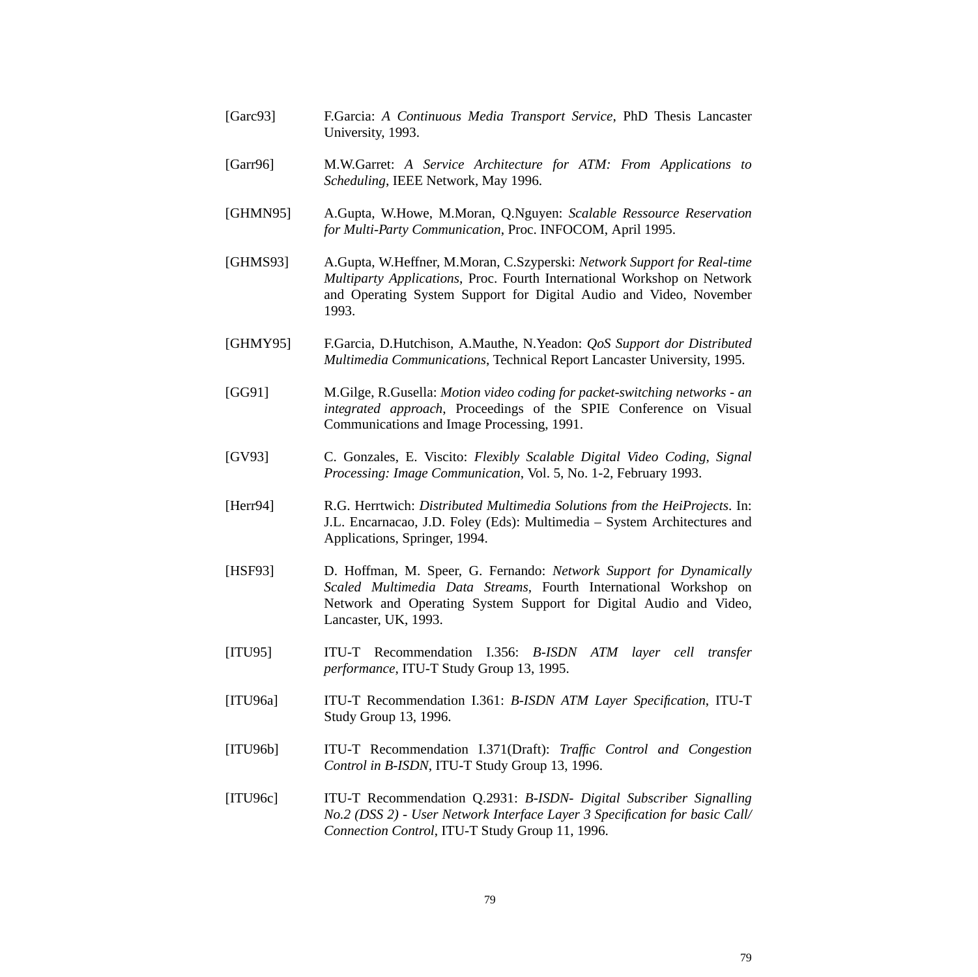[Garc93] F.Garcia: *A Continuous Media Transport Service*, PhD Thesis Lancaster University, 1993. [Garr96] M.W.Garret: *A Service Architecture for ATM: From Applications to Scheduling*, IEEE Network, May 1996. [GHMN95] A.Gupta, W.Howe, M.Moran, Q.Nguyen: *Scalable Ressource Reservation for Multi-Party Communication*, Proc. INFOCOM, April 1995. [GHMS93] A.Gupta, W.Heffner, M.Moran, C.Szyperski: *Network Support for Real-time Multiparty Applications*, Proc. Fourth International Workshop on Network and Operating System Support for Digital Audio and Video, November 1993. [GHMY95] F.Garcia, D.Hutchison, A.Mauthe, N.Yeadon: *QoS Support dor Distributed Multimedia Communications*, Technical Report Lancaster University, 1995. [GG91] M.Gilge, R.Gusella: *Motion video coding for packet-switching networks - an integrated approach*, Proceedings of the SPIE Conference on Visual Communications and Image Processing, 1991. [GV93] C. Gonzales, E. Viscito: *Flexibly Scalable Digital Video Coding, Signal Processing: Image Communication*, Vol. 5, No. 1-2, February 1993. [Herr94] R.G. Herrtwich: *Distributed Multimedia Solutions from the HeiProjects*. In: J.L. Encarnacao, J.D. Foley (Eds): Multimedia – System Architectures and Applications, Springer, 1994. [HSF93] D. Hoffman, M. Speer, G. Fernando: *Network Support for Dynamically Scaled Multimedia Data Streams*, Fourth International Workshop on Network and Operating System Support for Digital Audio and Video, Lancaster, UK, 1993. [ITU95] ITU-T Recommendation I.356: *B-ISDN ATM layer cell transfer performance*, ITU-T Study Group 13, 1995. [ITU96a] ITU-T Recommendation I.361: *B-ISDN ATM Layer Specification*, ITU-T Study Group 13, 1996. [ITU96b] ITU-T Recommendation I.371(Draft): *Traffic Control and Congestion Control in B-ISDN*, ITU-T Study Group 13, 1996. [ITU96c] ITU-T Recommendation Q.2931: *B-ISDN- Digital Subscriber Signalling No.2 (DSS 2) - User Network Interface Layer 3 Specification for basic Call/ Connection Control*, ITU-T Study Group 11, 1996.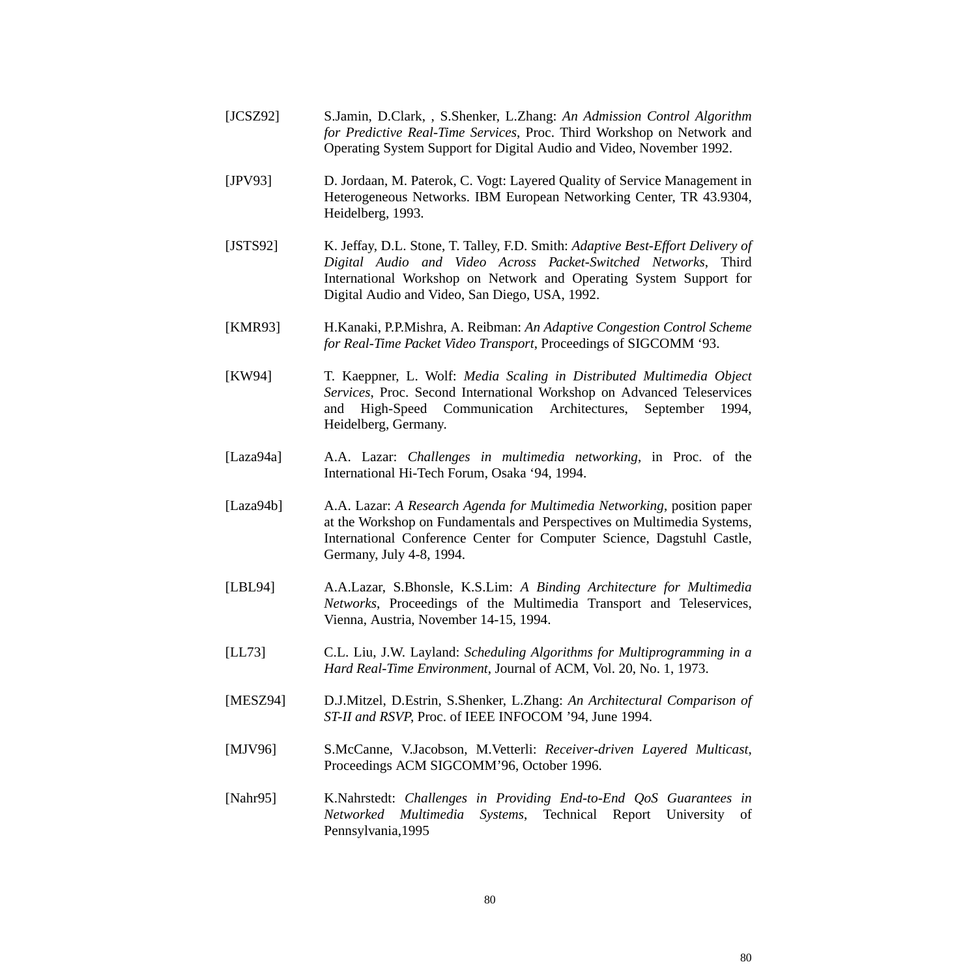| [JCSZ92]      | S.Jamin, D.Clark, , S.Shenker, L.Zhang: An Admission Control Algorithm<br>for Predictive Real-Time Services, Proc. Third Workshop on Network and<br>Operating System Support for Digital Audio and Video, November 1992.                                                    |  |
|---------------|-----------------------------------------------------------------------------------------------------------------------------------------------------------------------------------------------------------------------------------------------------------------------------|--|
| [IPV93]       | D. Jordaan, M. Paterok, C. Vogt: Layered Quality of Service Management in<br>Heterogeneous Networks. IBM European Networking Center, TR 43.9304,<br>Heidelberg, 1993.                                                                                                       |  |
| [JSTS92]      | K. Jeffay, D.L. Stone, T. Talley, F.D. Smith: Adaptive Best-Effort Delivery of<br>Digital Audio and Video Across Packet-Switched Networks,<br>Third<br>International Workshop on Network and Operating System Support for<br>Digital Audio and Video, San Diego, USA, 1992. |  |
| [KMR93]       | H.Kanaki, P.P.Mishra, A. Reibman: An Adaptive Congestion Control Scheme<br>for Real-Time Packet Video Transport, Proceedings of SIGCOMM '93.                                                                                                                                |  |
| [KW94]        | T. Kaeppner, L. Wolf: Media Scaling in Distributed Multimedia Object<br>Services, Proc. Second International Workshop on Advanced Teleservices<br>High-Speed Communication Architectures,<br>September<br>1994,<br>and<br>Heidelberg, Germany.                              |  |
| [Laza $94a$ ] | A.A. Lazar: Challenges in multimedia networking, in Proc. of the<br>International Hi-Tech Forum, Osaka '94, 1994.                                                                                                                                                           |  |
| [Laza $94b$ ] | A.A. Lazar: A Research Agenda for Multimedia Networking, position paper<br>at the Workshop on Fundamentals and Perspectives on Multimedia Systems,<br>International Conference Center for Computer Science, Dagstuhl Castle,<br>Germany, July 4-8, 1994.                    |  |
| [LBL94]       | A.A.Lazar, S.Bhonsle, K.S.Lim: A Binding Architecture for Multimedia<br>Networks, Proceedings of the Multimedia Transport and Teleservices,<br>Vienna, Austria, November 14-15, 1994.                                                                                       |  |
| [LL73]        | C.L. Liu, J.W. Layland: Scheduling Algorithms for Multiprogramming in a<br>Hard Real-Time Environment, Journal of ACM, Vol. 20, No. 1, 1973.                                                                                                                                |  |
| [MESZ94]      | D.J.Mitzel, D.Estrin, S.Shenker, L.Zhang: An Architectural Comparison of<br>ST-II and RSVP, Proc. of IEEE INFOCOM '94, June 1994.                                                                                                                                           |  |
| [MJV96]       | S.McCanne, V.Jacobson, M.Vetterli: Receiver-driven Layered Multicast,<br>Proceedings ACM SIGCOMM'96, October 1996.                                                                                                                                                          |  |
| [Nahr $95$ ]  | K.Nahrstedt: Challenges in Providing End-to-End QoS Guarantees in<br>Multimedia<br>Technical Report<br>University<br><b>Networked</b><br>Systems,<br>of<br>Pennsylvania, 1995                                                                                               |  |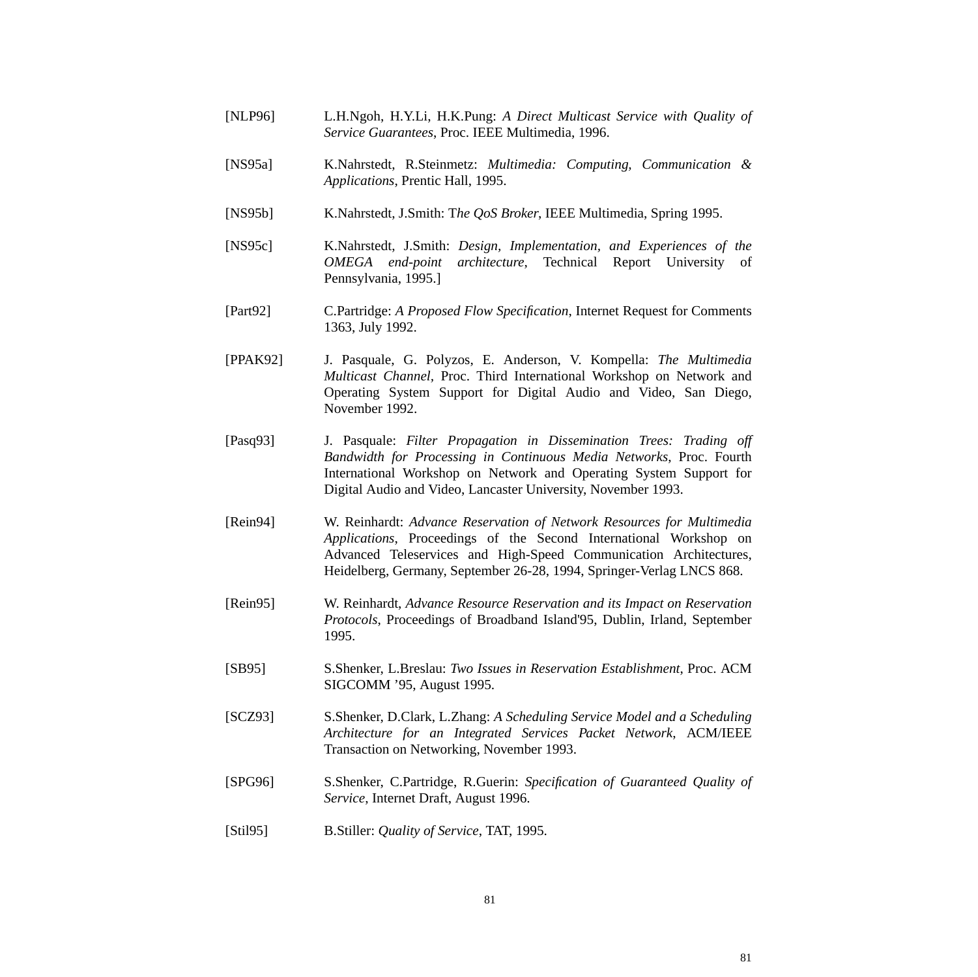<span id="page-82-0"></span>[NLP96] L.H.Ngoh, H.Y.Li, H.K.Pung: *A Direct Multicast Service with Quality of Service Guarantees*, Proc. IEEE Multimedia, 1996. [NS95a] K.Nahrstedt, R.Steinmetz: *Multimedia: Computing, Communication & Applications*, Prentic Hall, 1995. [NS95b] K.Nahrstedt, J.Smith: T*he QoS Broker*, IEEE Multimedia, Spring 1995. [NS95c] K.Nahrstedt, J.Smith: *Design, Implementation, and Experiences of the OMEGA end-point architecture*, Technical Report University of Pennsylvania, 1995.] [Part92] C.Partridge: *A Proposed Flow Specification*, Internet Request for Comments 1363, July 1992. [PPAK92] J. Pasquale, G. Polyzos, E. Anderson, V. Kompella: *The Multimedia Multicast Channel,* Proc. Third International Workshop on Network and Operating System Support for Digital Audio and Video, San Diego, November 1992. [Pasq93] J. Pasquale: *Filter Propagation in Dissemination Trees: Trading off Bandwidth for Processing in Continuous Media Networks*, Proc. Fourth International Workshop on Network and Operating System Support for Digital Audio and Video, Lancaster University, November 1993. [Rein94] W. Reinhardt: *Advance Reservation of Network Resources for Multimedia Applications*, Proceedings of the Second International Workshop on Advanced Teleservices and High-Speed Communication Architectures, Heidelberg, Germany, September 26-28, 1994, Springer-Verlag LNCS 868. [Rein95] W. Reinhardt, *Advance Resource Reservation and its Impact on Reservation Protocols*, Proceedings of Broadband Island'95, Dublin, Irland, September 1995. [SB95] S.Shenker, L.Breslau: *Two Issues in Reservation Establishment*, Proc. ACM SIGCOMM '95, August 1995. [SCZ93] S.Shenker, D.Clark, L.Zhang: *A Scheduling Service Model and a Scheduling Architecture for an Integrated Services Packet Network*, ACM/IEEE Transaction on Networking, November 1993. [SPG96] S.Shenker, C.Partridge, R.Guerin: *Specification of Guaranteed Quality of Service*, Internet Draft, August 1996. [Stil95] B.Stiller: *Quality of Service*, TAT, 1995.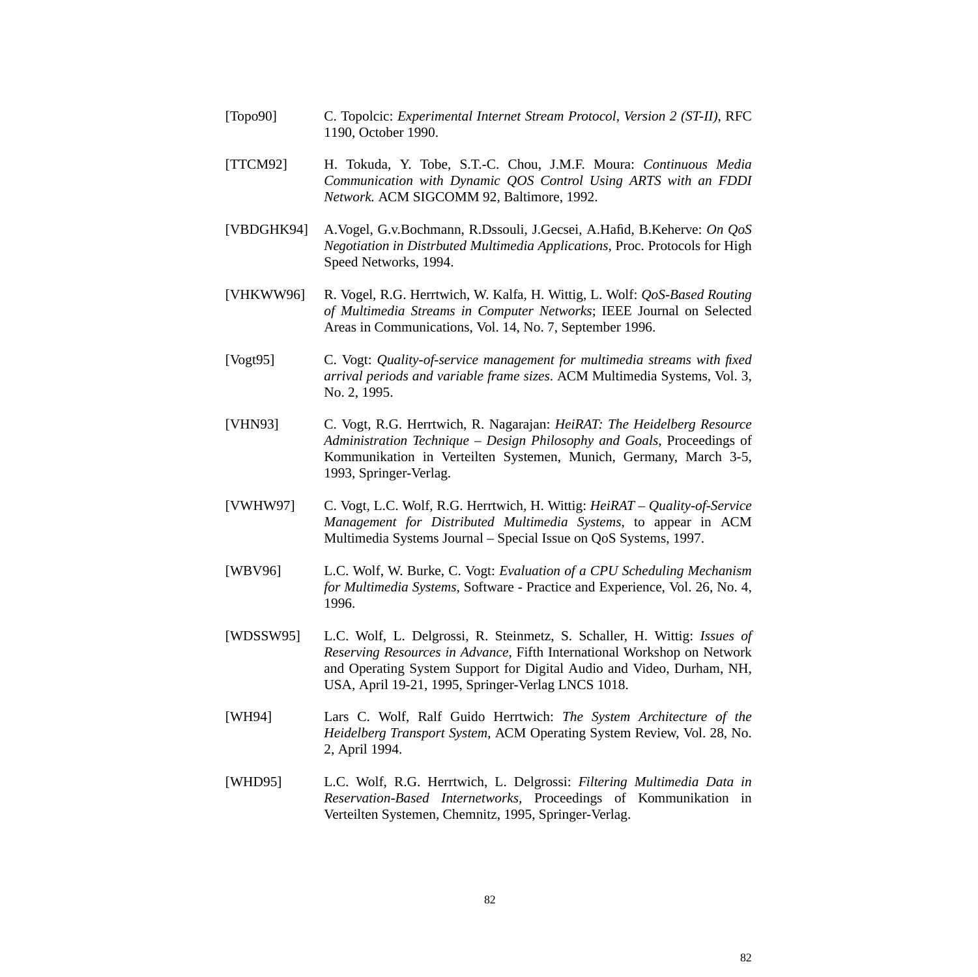- [Topo90] C. Topolcic: *Experimental Internet Stream Protocol, Version 2 (ST-II)*, RFC 1190, October 1990.
- [TTCM92] H. Tokuda, Y. Tobe, S.T.-C. Chou, J.M.F. Moura: *Continuous Media Communication with Dynamic QOS Control Using ARTS with an FDDI Network.* ACM SIGCOMM 92, Baltimore, 1992.
- [VBDGHK94] A.Vogel, G.v.Bochmann, R.Dssouli, J.Gecsei, A.Hafid, B.Keherve: *On QoS Negotiation in Distrbuted Multimedia Applications*, Proc. Protocols for High Speed Networks, 1994.
- [VHKWW96] R. Vogel, R.G. Herrtwich, W. Kalfa, H. Wittig, L. Wolf: *QoS-Based Routing of Multimedia Streams in Computer Networks*; IEEE Journal on Selected Areas in Communications, Vol. 14, No. 7, September 1996.
- [Vogt95] C. Vogt: *Quality-of-service management for multimedia streams with fixed arrival periods and variable frame sizes*. ACM Multimedia Systems, Vol. 3, No. 2, 1995.
- [VHN93] C. Vogt, R.G. Herrtwich, R. Nagarajan: *HeiRAT: The Heidelberg Resource Administration Technique – Design Philosophy and Goals*, Proceedings of Kommunikation in Verteilten Systemen, Munich, Germany, March 3-5, 1993, Springer-Verlag.
- [VWHW97] C. Vogt, L.C. Wolf, R.G. Herrtwich, H. Wittig: *HeiRAT Quality-of-Service Management for Distributed Multimedia Systems*, to appear in ACM Multimedia Systems Journal – Special Issue on QoS Systems, 1997.
- [WBV96] L.C. Wolf, W. Burke, C. Vogt: *Evaluation of a CPU Scheduling Mechanism for Multimedia Systems*, Software - Practice and Experience, Vol. 26, No. 4, 1996.
- [WDSSW95] L.C. Wolf, L. Delgrossi, R. Steinmetz, S. Schaller, H. Wittig: *Issues of Reserving Resources in Advance*, Fifth International Workshop on Network and Operating System Support for Digital Audio and Video, Durham, NH, USA, April 19-21, 1995, Springer-Verlag LNCS 1018.
- [WH94] Lars C. Wolf, Ralf Guido Herrtwich: *The System Architecture of the Heidelberg Transport System*, ACM Operating System Review, Vol. 28, No. 2, April 1994.
- [WHD95] L.C. Wolf, R.G. Herrtwich, L. Delgrossi: *Filtering Multimedia Data in Reservation-Based Internetworks,* Proceedings of Kommunikation in Verteilten Systemen, Chemnitz, 1995, Springer-Verlag.